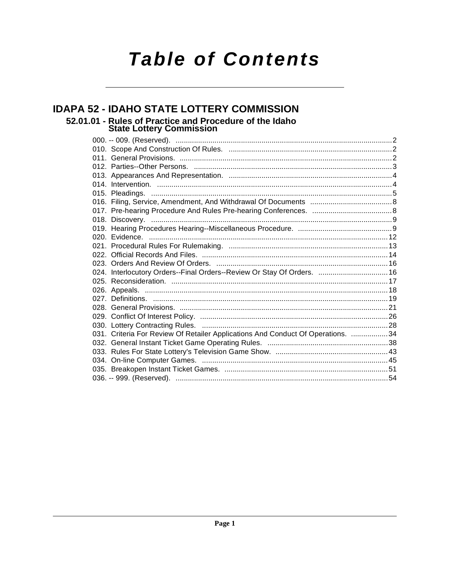# **Table of Contents**

## **IDAPA 52 - IDAHO STATE LOTTERY COMMISSION** 52.01.01 - Rules of Practice and Procedure of the Idaho<br>State Lottery Commission

| 024. Interlocutory Orders--Final Orders--Review Or Stay Of Orders.  16          |  |
|---------------------------------------------------------------------------------|--|
|                                                                                 |  |
|                                                                                 |  |
|                                                                                 |  |
|                                                                                 |  |
|                                                                                 |  |
|                                                                                 |  |
| 031. Criteria For Review Of Retailer Applications And Conduct Of Operations. 34 |  |
|                                                                                 |  |
|                                                                                 |  |
|                                                                                 |  |
|                                                                                 |  |
|                                                                                 |  |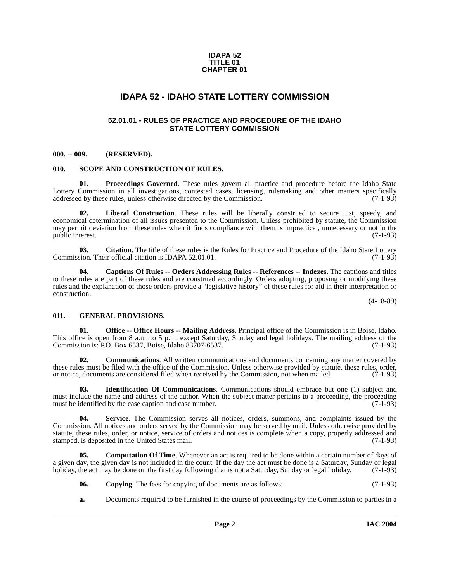#### **IDAPA 52 TITLE 01 CHAPTER 01**

### **IDAPA 52 - IDAHO STATE LOTTERY COMMISSION**

### **52.01.01 - RULES OF PRACTICE AND PROCEDURE OF THE IDAHO STATE LOTTERY COMMISSION**

#### <span id="page-1-2"></span><span id="page-1-1"></span><span id="page-1-0"></span>**000. -- 009. (RESERVED).**

#### <span id="page-1-9"></span><span id="page-1-3"></span>**010. SCOPE AND CONSTRUCTION OF RULES.**

<span id="page-1-8"></span>**01. Proceedings Governed**. These rules govern all practice and procedure before the Idaho State Lottery Commission in all investigations, contested cases, licensing, rulemaking and other matters specifically addressed by these rules, unless otherwise directed by the Commission. (7-1-93) addressed by these rules, unless otherwise directed by the Commission.

<span id="page-1-7"></span>**Liberal Construction**. These rules will be liberally construed to secure just, speedy, and economical determination of all issues presented to the Commission. Unless prohibited by statute, the Commission may permit deviation from these rules when it finds compliance with them is impractical, unnecessary or not in the public interest.  $(7-1-93)$ public interest.

**03.** Citation. The title of these rules is the Rules for Practice and Procedure of the Idaho State Lottery sion. Their official citation is IDAPA 52.01.01. Commission. Their official citation is IDAPA 52.01.01.

<span id="page-1-5"></span>**04. Captions Of Rules -- Orders Addressing Rules -- References -- Indexes**. The captions and titles to these rules are part of these rules and are construed accordingly. Orders adopting, proposing or modifying these rules and the explanation of those orders provide a "legislative history" of these rules for aid in their interpretation or construction.

(4-18-89)

#### <span id="page-1-4"></span>**011. GENERAL PROVISIONS.**

**01. Office -- Office Hours -- Mailing Address**. Principal office of the Commission is in Boise, Idaho. This office is open from 8 a.m. to 5 p.m. except Saturday, Sunday and legal holidays. The mailing address of the Commission is: P.O. Box 6537. Boise, Idaho 83707-6537. Commission is: P.O. Box 6537, Boise, Idaho 83707-6537.

**02. Communications**. All written communications and documents concerning any matter covered by these rules must be filed with the office of the Commission. Unless otherwise provided by statute, these rules, order, or notice, documents are considered filed when received by the Commission, not when mailed. (7-1-93) or notice, documents are considered filed when received by the Commission, not when mailed.

**03. Identification Of Communications**. Communications should embrace but one (1) subject and must include the name and address of the author. When the subject matter pertains to a proceeding, the proceeding must be identified by the case caption and case number. (7-1-93) must be identified by the case caption and case number.

<span id="page-1-10"></span>**04. Service**. The Commission serves all notices, orders, summons, and complaints issued by the Commission. All notices and orders served by the Commission may be served by mail. Unless otherwise provided by statute, these rules, order, or notice, service of orders and notices is complete when a copy, properly addressed and stamped, is deposited in the United States mail. (7-1-93) stamped, is deposited in the United States mail.

**05. Computation Of Time**. Whenever an act is required to be done within a certain number of days of a given day, the given day is not included in the count. If the day the act must be done is a Saturday, Sunday or legal holiday, the act may be done on the first day following that is not a Saturday, Sunday or legal holiday. (7-1-93)

- <span id="page-1-6"></span>**06.** Copying. The fees for copying of documents are as follows: (7-1-93)
- **a.** Documents required to be furnished in the course of proceedings by the Commission to parties in a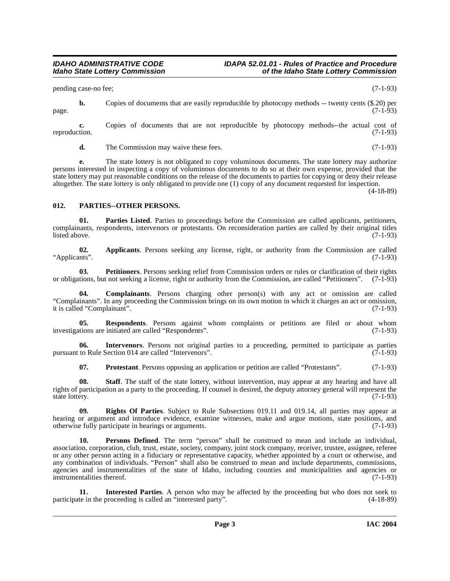pending case-no fee; (7-1-93)

**b.** Copies of documents that are easily reproducible by photocopy methods -- twenty cents (\$.20) per (7-1-93) page.  $(7-1-93)$ 

**c.** Copies of documents that are not reproducible by photocopy methods--the actual cost of tion. (7-1-93) reproduction.

**d.** The Commission may waive these fees. (7-1-93)

**e.** The state lottery is not obligated to copy voluminous documents. The state lottery may authorize persons interested in inspecting a copy of voluminous documents to do so at their own expense, provided that the state lottery may put reasonable conditions on the release of the documents to parties for copying or deny their release altogether. The state lottery is only obligated to provide one (1) copy of any document requested for inspection.

(4-18-89)

### <span id="page-2-3"></span><span id="page-2-0"></span>**012. PARTIES--OTHER PERSONS.**

<span id="page-2-2"></span>**Parties Listed**. Parties to proceedings before the Commission are called applicants, petitioners, complainants, respondents, intervenors or protestants. On reconsideration parties are called by their original titles<br>(7-1-93) listed above. (7-1-93)

<span id="page-2-1"></span>**02.** Applicants. Persons seeking any license, right, or authority from the Commission are called ints". "Applicants".

**03.** Petitioners. Persons seeking relief from Commission orders or rules or clarification of their rights tions, but not seeking a license, right or authority from the Commission, are called "Petitioners". (7-1-93) or obligations, but not seeking a license, right or authority from the Commission, are called "Petitioners".

**04. Complainants**. Persons charging other person(s) with any act or omission are called "Complainants". In any proceeding the Commission brings on its own motion in which it charges an act or omission, it is called "Complainant".

**05. Respondents**. Persons against whom complaints or petitions are filed or about whom investigations are initiated are called "Respondents". (7-1-93)

**06. Intervenors**. Persons not original parties to a proceeding, permitted to participate as parties to Rule Section 014 are called "Intervenors". pursuant to Rule Section 014 are called "Intervenors".

<span id="page-2-4"></span>**07. Protestant**. Persons opposing an application or petition are called "Protestants". (7-1-93)

**08.** Staff. The staff of the state lottery, without intervention, may appear at any hearing and have all rights of participation as a party to the proceeding. If counsel is desired, the deputy attorney general will represent the state lottery. (7-1-93)

**09. Rights Of Parties**. Subject to Rule Subsections 019.11 and 019.14, all parties may appear at hearing or argument and introduce evidence, examine witnesses, make and argue motions, state positions, and otherwise fully participate in hearings or arguments. (7-1-93)

**10. Persons Defined**. The term "person" shall be construed to mean and include an individual, association, corporation, club, trust, estate, society, company, joint stock company, receiver, trustee, assignee, referee or any other person acting in a fiduciary or representative capacity, whether appointed by a court or otherwise, and any combination of individuals. "Person" shall also be construed to mean and include departments, commissions, agencies and instrumentalities of the state of Idaho, including counties and municipalities and agencies or instrumentalities thereof. (7-1-93)

**Interested Parties**. A person who may be affected by the proceeding but who does not seek to proceeding is called an "interested party". (4-18-89) participate in the proceeding is called an "interested party".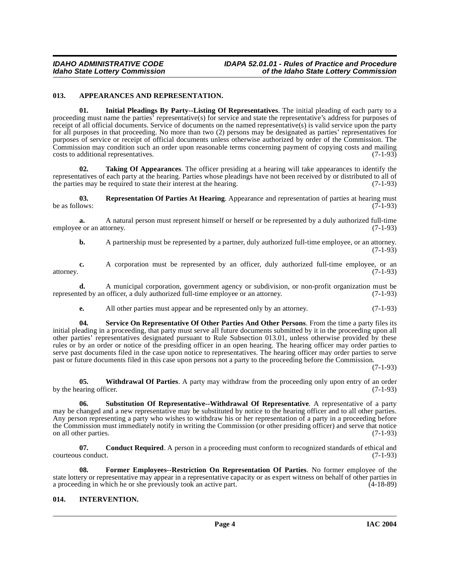#### <span id="page-3-2"></span><span id="page-3-0"></span>**013. APPEARANCES AND REPRESENTATION.**

**01. Initial Pleadings By Party--Listing Of Representatives**. The initial pleading of each party to a proceeding must name the parties' representative(s) for service and state the representative's address for purposes of receipt of all official documents. Service of documents on the named representative(s) is valid service upon the party for all purposes in that proceeding. No more than two (2) persons may be designated as parties' representatives for purposes of service or receipt of official documents unless otherwise authorized by order of the Commission. The Commission may condition such an order upon reasonable terms concerning payment of copying costs and mailing costs to additional representatives. (7-1-93)

<span id="page-3-8"></span>**02. Taking Of Appearances**. The officer presiding at a hearing will take appearances to identify the representatives of each party at the hearing. Parties whose pleadings have not been received by or distributed to all of the parties may be required to state their interest at the hearing. (7-1-93)

<span id="page-3-5"></span>**03.** Representation Of Parties At Hearing. Appearance and representation of parties at hearing must be as follows: (7-1-93) be as follows:  $(7-1-93)$ 

**a.** A natural person must represent himself or herself or be represented by a duly authorized full-time employee or an attorney. (7-1-93)

**b.** A partnership must be represented by a partner, duly authorized full-time employee, or an attorney.  $(7-1-93)$ 

**c.** A corporation must be represented by an officer, duly authorized full-time employee, or an  $(7-1-93)$ attorney. (7-1-93)

**d.** A municipal corporation, government agency or subdivision, or non-profit organization must be represented by an officer, a duly authorized full-time employee or an attorney. (7-1-93)

<span id="page-3-6"></span>**e.** All other parties must appear and be represented only by an attorney. (7-1-93)

**04. Service On Representative Of Other Parties And Other Persons**. From the time a party files its initial pleading in a proceeding, that party must serve all future documents submitted by it in the proceeding upon all other parties' representatives designated pursuant to Rule Subsection 013.01, unless otherwise provided by these rules or by an order or notice of the presiding officer in an open hearing. The hearing officer may order parties to serve past documents filed in the case upon notice to representatives. The hearing officer may order parties to serve past or future documents filed in this case upon persons not a party to the proceeding before the Commission.

(7-1-93)

<span id="page-3-9"></span>**05. Withdrawal Of Parties**. A party may withdraw from the proceeding only upon entry of an order by the hearing officer.  $(7-1-93)$ 

<span id="page-3-7"></span>**06. Substitution Of Representative--Withdrawal Of Representative**. A representative of a party may be changed and a new representative may be substituted by notice to the hearing officer and to all other parties. Any person representing a party who wishes to withdraw his or her representation of a party in a proceeding before the Commission must immediately notify in writing the Commission (or other presiding officer) and serve that notice on all other parties. (7-1-93)

**07.** Conduct Required. A person in a proceeding must conform to recognized standards of ethical and s conduct. (7-1-93) courteous conduct.

<span id="page-3-3"></span>**08. Former Employees--Restriction On Representation Of Parties**. No former employee of the state lottery or representative may appear in a representative capacity or as expert witness on behalf of other parties in a proceeding in which he or she previously took an active part. (4-18-89) a proceeding in which he or she previously took an active part.

### <span id="page-3-4"></span><span id="page-3-1"></span>**014. INTERVENTION.**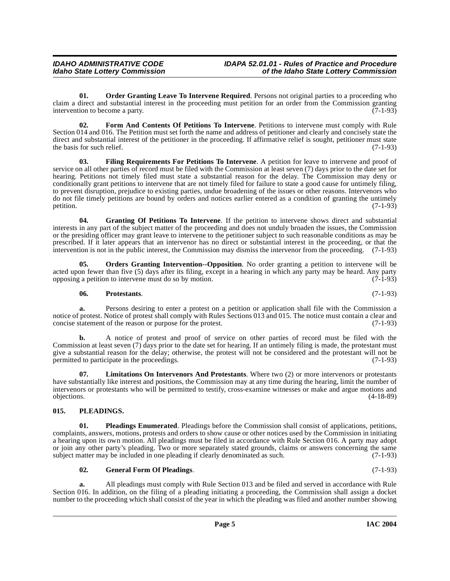<span id="page-4-4"></span>**01.** Order Granting Leave To Intervene Required. Persons not original parties to a proceeding who claim a direct and substantial interest in the proceeding must petition for an order from the Commission granting<br>(7-1-93) intervention to become a party.

<span id="page-4-1"></span>**02. Form And Contents Of Petitions To Intervene**. Petitions to intervene must comply with Rule Section 014 and 016. The Petition must set forth the name and address of petitioner and clearly and concisely state the direct and substantial interest of the petitioner in the proceeding. If affirmative relief is sought, petitioner must state the basis for such relief.  $(7-1-93)$ 

**03. Filing Requirements For Petitions To Intervene**. A petition for leave to intervene and proof of service on all other parties of record must be filed with the Commission at least seven (7) days prior to the date set for hearing. Petitions not timely filed must state a substantial reason for the delay. The Commission may deny or conditionally grant petitions to intervene that are not timely filed for failure to state a good cause for untimely filing, to prevent disruption, prejudice to existing parties, undue broadening of the issues or other reasons. Intervenors who do not file timely petitions are bound by orders and notices earlier entered as a condition of granting the untimely petition.  $(7-1-93)$ 

**04. Granting Of Petitions To Intervene**. If the petition to intervene shows direct and substantial interests in any part of the subject matter of the proceeding and does not unduly broaden the issues, the Commission or the presiding officer may grant leave to intervene to the petitioner subject to such reasonable conditions as may be prescribed. If it later appears that an intervenor has no direct or substantial interest in the proceeding, or that the intervention is not in the public interest, the Commission may dismiss the intervenor from the proceeding. (7-1-93)

**05. Orders Granting Intervention--Opposition**. No order granting a petition to intervene will be acted upon fewer than five (5) days after its filing, except in a hearing in which any party may be heard. Any party opposing a petition to intervene must do so by motion. (7-1-93) opposing a petition to intervene must do so by motion.

### **06. Protestants**. (7-1-93)

**a.** Persons desiring to enter a protest on a petition or application shall file with the Commission a notice of protest. Notice of protest shall comply with Rules Sections 013 and 015. The notice must contain a clear and concise statement of the reason or purpose for the protest. (7-1-93) concise statement of the reason or purpose for the protest.

**b.** A notice of protest and proof of service on other parties of record must be filed with the Commission at least seven (7) days prior to the date set for hearing. If an untimely filing is made, the protestant must give a substantial reason for the delay; otherwise, the protest will not be considered and the protestant will not be permitted to participate in the proceedings. (7-1-93)

<span id="page-4-3"></span>**07. Limitations On Intervenors And Protestants**. Where two (2) or more intervenors or protestants have substantially like interest and positions, the Commission may at any time during the hearing, limit the number of intervenors or protestants who will be permitted to testify, cross-examine witnesses or make and argue motions and objections. (4-18-89)

### <span id="page-4-6"></span><span id="page-4-0"></span>**015. PLEADINGS.**

<span id="page-4-5"></span>**01. Pleadings Enumerated**. Pleadings before the Commission shall consist of applications, petitions, complaints, answers, motions, protests and orders to show cause or other notices used by the Commission in initiating a hearing upon its own motion. All pleadings must be filed in accordance with Rule Section 016. A party may adopt or join any other party's pleading. Two or more separately stated grounds, claims or answers concerning the same<br>subject matter may be included in one pleading if clearly denominated as such. (7-1-93) subject matter may be included in one pleading if clearly denominated as such.

### <span id="page-4-2"></span>**02. General Form Of Pleadings**. (7-1-93)

**a.** All pleadings must comply with Rule Section 013 and be filed and served in accordance with Rule Section 016. In addition, on the filing of a pleading initiating a proceeding, the Commission shall assign a docket number to the proceeding which shall consist of the year in which the pleading was filed and another number showing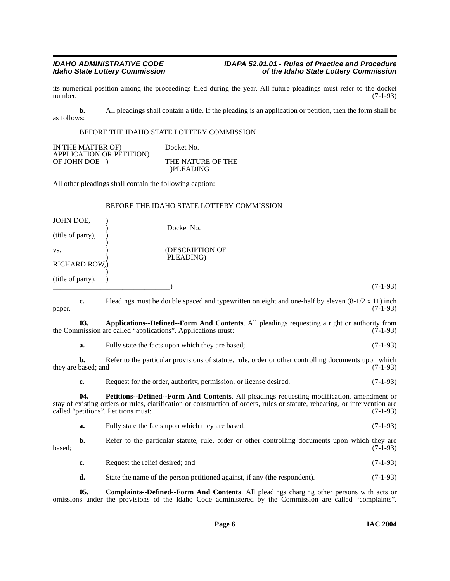its numerical position among the proceedings filed during the year. All future pleadings must refer to the docket number. (7-1-93)

**b.** All pleadings shall contain a title. If the pleading is an application or petition, then the form shall be as follows:

#### BEFORE THE IDAHO STATE LOTTERY COMMISSION

| IN THE MATTER OF)        | Docket No.        |
|--------------------------|-------------------|
| APPLICATION OR PETITION) |                   |
| OF JOHN DOE              | THE NATURE OF THE |
|                          | )PLEADING         |

All other pleadings shall contain the following caption:

#### BEFORE THE IDAHO STATE LOTTERY COMMISSION

<span id="page-5-0"></span>

| JOHN DOE,         |                           |                                                                                                                                                                                                                                                                  |            |
|-------------------|---------------------------|------------------------------------------------------------------------------------------------------------------------------------------------------------------------------------------------------------------------------------------------------------------|------------|
| (title of party), |                           | Docket No.                                                                                                                                                                                                                                                       |            |
| VS.               |                           | (DESCRIPTION OF<br>PLEADING)                                                                                                                                                                                                                                     |            |
|                   | RICHARD ROW,)             |                                                                                                                                                                                                                                                                  |            |
| (title of party). |                           |                                                                                                                                                                                                                                                                  | $(7-1-93)$ |
| paper.            | c.                        | Pleadings must be double spaced and typewritten on eight and one-half by eleven $(8-1/2 \times 11)$ inch                                                                                                                                                         | $(7-1-93)$ |
|                   | 03.                       | Applications--Defined--Form And Contents. All pleadings requesting a right or authority from<br>the Commission are called "applications". Applications must:                                                                                                     | $(7-1-93)$ |
|                   | a.                        | Fully state the facts upon which they are based;                                                                                                                                                                                                                 | $(7-1-93)$ |
|                   | b.<br>they are based; and | Refer to the particular provisions of statute, rule, order or other controlling documents upon which                                                                                                                                                             | $(7-1-93)$ |
|                   | c.                        | Request for the order, authority, permission, or license desired.                                                                                                                                                                                                | $(7-1-93)$ |
|                   | 04.                       | Petitions--Defined--Form And Contents. All pleadings requesting modification, amendment or<br>stay of existing orders or rules, clarification or construction of orders, rules or statute, rehearing, or intervention are<br>called "petitions". Petitions must: | $(7-1-93)$ |
|                   | a.                        | Fully state the facts upon which they are based;                                                                                                                                                                                                                 | $(7-1-93)$ |
| based;            | b.                        | Refer to the particular statute, rule, order or other controlling documents upon which they are                                                                                                                                                                  | $(7-1-93)$ |
|                   | c.                        | Request the relief desired; and                                                                                                                                                                                                                                  | $(7-1-93)$ |
|                   | d.                        | State the name of the person petitioned against, if any (the respondent).                                                                                                                                                                                        | $(7-1-93)$ |

<span id="page-5-2"></span><span id="page-5-1"></span>**05. Complaints--Defined--Form And Contents**. All pleadings charging other persons with acts or omissions under the provisions of the Idaho Code administered by the Commission are called "complaints".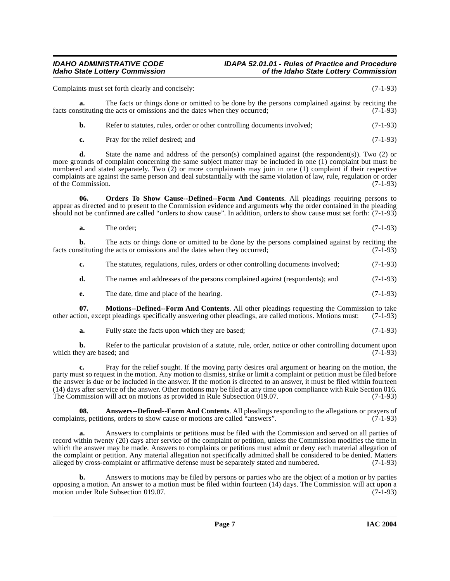#### **IDAHO ADMINISTRATIVE CODE IDAPA 52.01.01 - Rules of Practice and Procedure<br>Idaho State Lottery Commission in the Idaho State Lottery Commission Idaho State Lottery Commission of the Idaho State Lottery Commission**

Complaints must set forth clearly and concisely: (7-1-93)

**a.** The facts or things done or omitted to be done by the persons complained against by reciting the facts constituting the acts or omissions and the dates when they occurred; (7-1-93)

|  | Refer to statutes, rules, order or other controlling documents involved; | $(7-1-93)$ |
|--|--------------------------------------------------------------------------|------------|
|--|--------------------------------------------------------------------------|------------|

**c.** Pray for the relief desired; and (7-1-93)

**d.** State the name and address of the person(s) complained against (the respondent(s)). Two (2) or more grounds of complaint concerning the same subject matter may be included in one (1) complaint but must be numbered and stated separately. Two (2) or more complainants may join in one (1) complaint if their respective complaints are against the same person and deal substantially with the same violation of law, rule, regulation or order of the Commission. (7-1-93)

**06. Orders To Show Cause--Defined--Form And Contents**. All pleadings requiring persons to appear as directed and to present to the Commission evidence and arguments why the order contained in the pleading should not be confirmed are called "orders to show cause". In addition, orders to show cause must set forth: (7-1-93)

<span id="page-6-2"></span>

| а. | The order: | $(7-1-93)$ |  |
|----|------------|------------|--|
|    |            |            |  |

**b.** The acts or things done or omitted to be done by the persons complained against by reciting the stituting the acts or omissions and the dates when they occurred: (7-1-93) facts constituting the acts or omissions and the dates when they occurred;

- **c.** The statutes, regulations, rules, orders or other controlling documents involved; (7-1-93)
- **d.** The names and addresses of the persons complained against (respondents); and  $(7-1-93)$
- <span id="page-6-1"></span>**e.** The date, time and place of the hearing. (7-1-93)

**07. Motions--Defined--Form And Contents**. All other pleadings requesting the Commission to take other action, except pleadings specifically answering other pleadings, are called motions. Motions must: (7-1-93)

**a.** Fully state the facts upon which they are based; (7-1-93)

**b.** Refer to the particular provision of a statute, rule, order, notice or other controlling document upon evare based: and (7-1-93) which they are based; and

**c.** Pray for the relief sought. If the moving party desires oral argument or hearing on the motion, the party must so request in the motion. Any motion to dismiss, strike or limit a complaint or petition must be filed before the answer is due or be included in the answer. If the motion is directed to an answer, it must be filed within fourteen (14) days after service of the answer. Other motions may be filed at any time upon compliance with Rule Section 016. The Commission will act on motions as provided in Rule Subsection  $0.07$ . (7-1-93)

<span id="page-6-0"></span>**08.** Answers--Defined--Form And Contents. All pleadings responding to the allegations or prayers of these permions are called "answers". complaints, petitions, orders to show cause or motions are called "answers".

**a.** Answers to complaints or petitions must be filed with the Commission and served on all parties of record within twenty (20) days after service of the complaint or petition, unless the Commission modifies the time in which the answer may be made. Answers to complaints or petitions must admit or deny each material allegation of the complaint or petition. Any material allegation not specifically admitted shall be considered to be denied. Matters alleged by cross-complaint or affirmative defense must be separately stated and numbered. (7-1-93)

**b.** Answers to motions may be filed by persons or parties who are the object of a motion or by parties opposing a motion. An answer to a motion must be filed within fourteen (14) days. The Commission will act upon a motion under Rule Subsection 019.07. motion under Rule Subsection 019.07.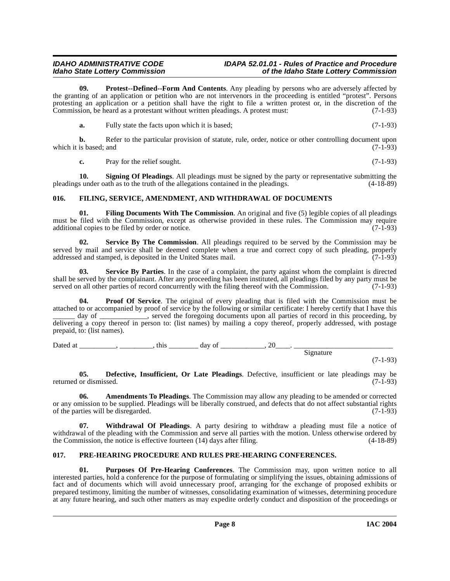**09. Protest--Defined--Form And Contents**. Any pleading by persons who are adversely affected by the granting of an application or petition who are not intervenors in the proceeding is entitled "protest". Persons protesting an application or a petition shall have the right to file a written protest or, in the discretion of the Commission, be heard as a protestant without written pleadings. A protest must: (7-1-93)

<span id="page-7-7"></span>**a.** Fully state the facts upon which it is based; (7-1-93)

**b.** Refer to the particular provision of statute, rule, order, notice or other controlling document upon is based: and (7-1-93) which it is based; and

<span id="page-7-10"></span><span id="page-7-4"></span>**c.** Pray for the relief sought. (7-1-93)

**10. Signing Of Pleadings**. All pleadings must be signed by the party or representative submitting the pleadings under oath as to the truth of the allegations contained in the pleadings. (4-18-89)

### <span id="page-7-5"></span><span id="page-7-0"></span>**016. FILING, SERVICE, AMENDMENT, AND WITHDRAWAL OF DOCUMENTS**

**01. Filing Documents With The Commission**. An original and five (5) legible copies of all pleadings must be filed with the Commission, except as otherwise provided in these rules. The Commission may require additional copies to be filed by order or notice. (7-1-93)

<span id="page-7-9"></span>**02. Service By The Commission**. All pleadings required to be served by the Commission may be served by mail and service shall be deemed complete when a true and correct copy of such pleading, properly addressed and stamped, is deposited in the United States mail. (7-1-93) addressed and stamped, is deposited in the United States mail.

<span id="page-7-8"></span>**03. Service By Parties**. In the case of a complaint, the party against whom the complaint is directed shall be served by the complainant. After any proceeding has been instituted, all pleadings filed by any party must be served on all other parties of record concurrently with the filing thereof with the Commission. (7-1-93)

**04. Proof Of Service**. The original of every pleading that is filed with the Commission must be attached to or accompanied by proof of service by the following or similar certificate: I hereby certify that I have this day of \_\_\_\_\_\_\_\_\_\_, served the foregoing documents upon all parties of record in this proceeding, by delivering a copy thereof in person to: (list names) by mailing a copy thereof, properly addressed, with postage prepaid, to: (list names).

Dated at \_\_\_\_\_\_\_\_, \_\_\_\_\_\_\_\_\_, this \_\_\_\_\_\_\_\_\_\_\_\_ day of \_\_\_\_\_\_\_\_\_\_\_\_, 20\_\_\_\_. Signature (7-1-93)

<span id="page-7-3"></span>**05. Defective, Insufficient, Or Late Pleadings**. Defective, insufficient or late pleadings may be returned or dismissed. (7-1-93)

<span id="page-7-2"></span>**06. Amendments To Pleadings**. The Commission may allow any pleading to be amended or corrected or any omission to be supplied. Pleadings will be liberally construed, and defects that do not affect substantial rights of the parties will be disregarded.

<span id="page-7-11"></span>**07. Withdrawal Of Pleadings**. A party desiring to withdraw a pleading must file a notice of withdrawal of the pleading with the Commission and serve all parties with the motion. Unless otherwise ordered by the Commission, the notice is effective fourteen (14) days after filing. (4-18-89) the Commission, the notice is effective fourteen  $(14)$  days after filing.

### <span id="page-7-6"></span><span id="page-7-1"></span>**017. PRE-HEARING PROCEDURE AND RULES PRE-HEARING CONFERENCES.**

**01. Purposes Of Pre-Hearing Conferences**. The Commission may, upon written notice to all interested parties, hold a conference for the purpose of formulating or simplifying the issues, obtaining admissions of fact and of documents which will avoid unnecessary proof, arranging for the exchange of proposed exhibits or prepared testimony, limiting the number of witnesses, consolidating examination of witnesses, determining procedure at any future hearing, and such other matters as may expedite orderly conduct and disposition of the proceedings or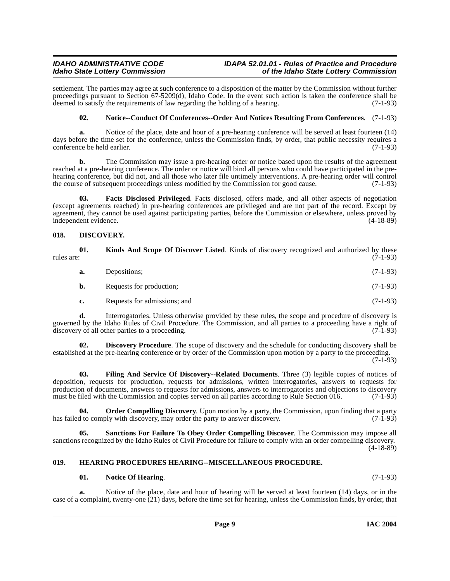settlement. The parties may agree at such conference to a disposition of the matter by the Commission without further proceedings pursuant to Section 67-5209(d), Idaho Code. In the event such action is taken the conference shall be deemed to satisfy the requirements of law regarding the holding of a hearing. (7-1-93) deemed to satisfy the requirements of law regarding the holding of a hearing.

### <span id="page-8-7"></span>**02. Notice--Conduct Of Conferences--Order And Notices Resulting From Conferences**. (7-1-93)

**a.** Notice of the place, date and hour of a pre-hearing conference will be served at least fourteen (14) days before the time set for the conference, unless the Commission finds, by order, that public necessity requires a conference be held earlier. (7-1-93) conference be held earlier.

**b.** The Commission may issue a pre-hearing order or notice based upon the results of the agreement reached at a pre-hearing conference. The order or notice will bind all persons who could have participated in the prehearing conference, but did not, and all those who later file untimely interventions. A pre-hearing order will control the course of subsequent proceedings unless modified by the Commission for good cause. (7-1-93)

<span id="page-8-3"></span>**03. Facts Disclosed Privileged**. Facts disclosed, offers made, and all other aspects of negotiation (except agreements reached) in pre-hearing conferences are privileged and are not part of the record. Except by agreement, they cannot be used against participating parties, before the Commission or elsewhere, unless proved by independent evidence. (4-18-89)

### <span id="page-8-2"></span><span id="page-8-0"></span>**018. DISCOVERY.**

<span id="page-8-6"></span>

| rules are: | 01. | <b>Kinds And Scope Of Discover Listed.</b> Kinds of discovery recognized and authorized by these | $(7-1-93)$ |
|------------|-----|--------------------------------------------------------------------------------------------------|------------|
|            | а.  | Depositions:                                                                                     | $(7-1-93)$ |
|            | b.  | Requests for production;                                                                         | $(7-1-93)$ |
|            |     | Requests for admissions; and                                                                     | $(7-1-93)$ |

**d.** Interrogatories. Unless otherwise provided by these rules, the scope and procedure of discovery is governed by the Idaho Rules of Civil Procedure. The Commission, and all parties to a proceeding have a right of discovery of all other parties to a proceeding. (7-1-93) discovery of all other parties to a proceeding.

**02. Discovery Procedure**. The scope of discovery and the schedule for conducting discovery shall be established at the pre-hearing conference or by order of the Commission upon motion by a party to the proceeding.  $(7-1-93)$ 

<span id="page-8-4"></span>**03. Filing And Service Of Discovery--Related Documents**. Three (3) legible copies of notices of deposition, requests for production, requests for admissions, written interrogatories, answers to requests for production of documents, answers to requests for admissions, answers to interrogatories and objections to discovery must be filed with the Commission and copies served on all parties according to Rule Section 016.  $(7-1-93)$ 

<span id="page-8-8"></span>**04. Order Compelling Discovery**. Upon motion by a party, the Commission, upon finding that a party d to comply with discovery, may order the party to answer discovery. has failed to comply with discovery, may order the party to answer discovery.

**Sanctions For Failure To Obey Order Compelling Discover**. The Commission may impose all sanctions recognized by the Idaho Rules of Civil Procedure for failure to comply with an order compelling discovery.  $(4-18-89)$ 

### <span id="page-8-1"></span>**019. HEARING PROCEDURES HEARING--MISCELLANEOUS PROCEDURE.**

### <span id="page-8-5"></span>**01. Notice Of Hearing**. (7-1-93)

**a.** Notice of the place, date and hour of hearing will be served at least fourteen (14) days, or in the case of a complaint, twenty-one (21) days, before the time set for hearing, unless the Commission finds, by order, that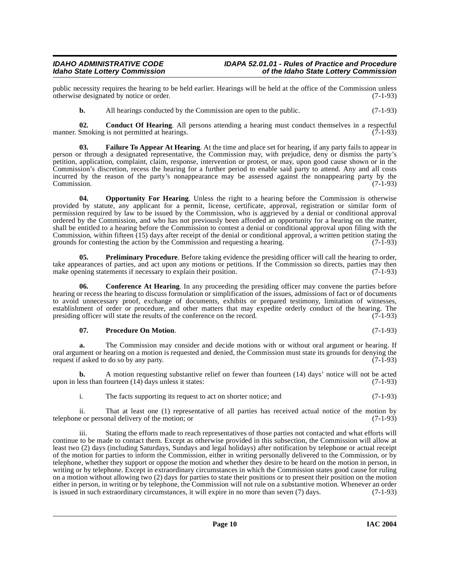public necessity requires the hearing to be held earlier. Hearings will be held at the office of the Commission unless otherwise designated by notice or order. otherwise designated by notice or order.

<span id="page-9-0"></span>**b.** All hearings conducted by the Commission are open to the public. (7-1-93)

**02. Conduct Of Hearing**. All persons attending a hearing must conduct themselves in a respectful Smoking is not permitted at hearings. (7-1-93) manner. Smoking is not permitted at hearings.

**03. Failure To Appear At Hearing**. At the time and place set for hearing, if any party fails to appear in person or through a designated representative, the Commission may, with prejudice, deny or dismiss the party's petition, application, complaint, claim, response, intervention or protest, or may, upon good cause shown or in the Commission's discretion, recess the hearing for a further period to enable said party to attend. Any and all costs incurred by the reason of the party's nonappearance may be assessed against the nonappearing party by the Commission. (7-1-93)

<span id="page-9-1"></span>**04. Opportunity For Hearing**. Unless the right to a hearing before the Commission is otherwise provided by statute, any applicant for a permit, license, certificate, approval, registration or similar form of permission required by law to be issued by the Commission, who is aggrieved by a denial or conditional approval ordered by the Commission, and who has not previously been afforded an opportunity for a hearing on the matter, shall be entitled to a hearing before the Commission to contest a denial or conditional approval upon filing with the Commission, within fifteen (15) days after receipt of the denial or conditional approval, a written petition stating the grounds for contesting the action by the Commission and requesting a hearing.  $(7-1-93)$ grounds for contesting the action by the Commission and requesting a hearing.

**05. Preliminary Procedure**. Before taking evidence the presiding officer will call the hearing to order, take appearances of parties, and act upon any motions or petitions. If the Commission so directs, parties may then make opening statements if necessary to explain their position. (7-1-93)

**06.** Conference At Hearing. In any proceeding the presiding officer may convene the parties before hearing or recess the hearing to discuss formulation or simplification of the issues, admissions of fact or of documents to avoid unnecessary proof, exchange of documents, exhibits or prepared testimony, limitation of witnesses, establishment of order or procedure, and other matters that may expedite orderly conduct of the hearing. The presiding officer will state the results of the conference on the record. (7-1-93) presiding officer will state the results of the conference on the record.

#### **07. Procedure On Motion**. (7-1-93)

**a.** The Commission may consider and decide motions with or without oral argument or hearing. If oral argument or hearing on a motion is requested and denied, the Commission must state its grounds for denying the request if asked to do so by any party. (7-1-93)

**b.** A motion requesting substantive relief on fewer than fourteen (14) days' notice will not be acted upon in less than fourteen (14) days unless it states: (7-1-93)

i. The facts supporting its request to act on shorter notice; and (7-1-93)

ii. That at least one (1) representative of all parties has received actual notice of the motion by e or personal delivery of the motion: or telephone or personal delivery of the motion; or

iii. Stating the efforts made to reach representatives of those parties not contacted and what efforts will continue to be made to contact them. Except as otherwise provided in this subsection, the Commission will allow at least two (2) days (including Saturdays, Sundays and legal holidays) after notification by telephone or actual receipt of the motion for parties to inform the Commission, either in writing personally delivered to the Commission, or by telephone, whether they support or oppose the motion and whether they desire to be heard on the motion in person, in writing or by telephone. Except in extraordinary circumstances in which the Commission states good cause for ruling on a motion without allowing two (2) days for parties to state their positions or to present their position on the motion either in person, in writing or by telephone, the Commission will not rule on a substantive motion. Whenever an order<br>is issued in such extraordinary circumstances, it will expire in no more than seven (7) days. (7-1-93) is issued in such extraordinary circumstances, it will expire in no more than seven (7) days.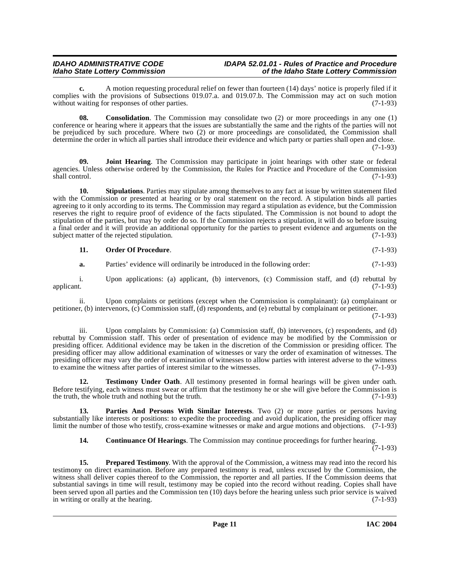**c.** A motion requesting procedural relief on fewer than fourteen (14) days' notice is properly filed if it complies with the provisions of Subsections 019.07.a. and 019.07.b. The Commission may act on such motion without waiting for responses of other parties. (7-1-93)

**08. Consolidation**. The Commission may consolidate two (2) or more proceedings in any one (1) conference or hearing where it appears that the issues are substantially the same and the rights of the parties will not be prejudiced by such procedure. Where two (2) or more proceedings are consolidated, the Commission shall determine the order in which all parties shall introduce their evidence and which party or parties shall open and close. (7-1-93)

<span id="page-10-1"></span>**09. Joint Hearing**. The Commission may participate in joint hearings with other state or federal agencies. Unless otherwise ordered by the Commission, the Rules for Practice and Procedure of the Commission shall control. (7-1-93) shall control. (7-1-93)

**10. Stipulations**. Parties may stipulate among themselves to any fact at issue by written statement filed with the Commission or presented at hearing or by oral statement on the record. A stipulation binds all parties agreeing to it only according to its terms. The Commission may regard a stipulation as evidence, but the Commission reserves the right to require proof of evidence of the facts stipulated. The Commission is not bound to adopt the stipulation of the parties, but may by order do so. If the Commission rejects a stipulation, it will do so before issuing a final order and it will provide an additional opportunity for the parties to present evidence and arguments on the subject matter of the rejected stipulation. (7-1-93) subject matter of the rejected stipulation.

#### **11. Order Of Procedure**. (7-1-93)

**a.** Parties' evidence will ordinarily be introduced in the following order: (7-1-93)

i. Upon applications: (a) applicant, (b) intervenors, (c) Commission staff, and (d) rebuttal by applicant. (7-1-93) applicant.  $(7-1-93)$ 

ii. Upon complaints or petitions (except when the Commission is complainant): (a) complainant or petitioner, (b) intervenors, (c) Commission staff, (d) respondents, and (e) rebuttal by complainant or petitioner.

(7-1-93)

iii. Upon complaints by Commission: (a) Commission staff, (b) intervenors, (c) respondents, and (d) rebuttal by Commission staff. This order of presentation of evidence may be modified by the Commission or presiding officer. Additional evidence may be taken in the discretion of the Commission or presiding officer. The presiding officer may allow additional examination of witnesses or vary the order of examination of witnesses. The presiding officer may vary the order of examination of witnesses to allow parties with interest adverse to the witness to examine the witness after parties of interest similar to the witnesses. (7-1-93)

<span id="page-10-3"></span>**12. Testimony Under Oath**. All testimony presented in formal hearings will be given under oath. Before testifying, each witness must swear or affirm that the testimony he or she will give before the Commission is the truth, the whole truth and nothing but the truth. (7-1-93)

**13. Parties And Persons With Similar Interests**. Two (2) or more parties or persons having substantially like interests or positions: to expedite the proceeding and avoid duplication, the presiding officer may limit the number of those who testify, cross-examine witnesses or make and argue motions and objections. (7-1-93)

<span id="page-10-2"></span><span id="page-10-0"></span>**14. Continuance Of Hearings**. The Commission may continue proceedings for further hearing.

 $(7-1-93)$ 

**15. Prepared Testimony**. With the approval of the Commission, a witness may read into the record his testimony on direct examination. Before any prepared testimony is read, unless excused by the Commission, the witness shall deliver copies thereof to the Commission, the reporter and all parties. If the Commission deems that substantial savings in time will result, testimony may be copied into the record without reading. Copies shall have been served upon all parties and the Commission ten (10) days before the hearing unless such prior service is waived<br>in writing or orally at the hearing. in writing or orally at the hearing.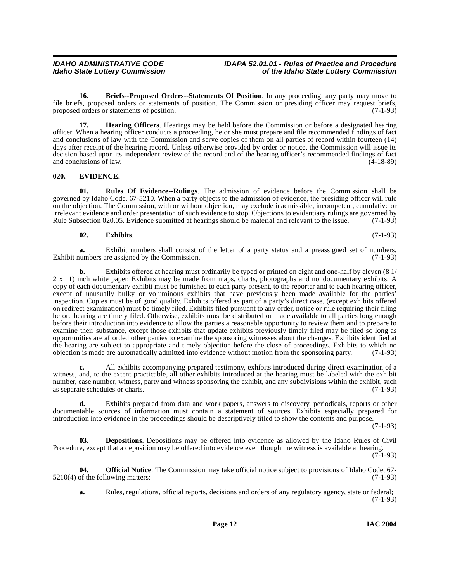<span id="page-11-1"></span>**16. Briefs--Proposed Orders--Statements Of Position**. In any proceeding, any party may move to file briefs, proposed orders or statements of position. The Commission or presiding officer may request briefs, proposed orders or statements of position. (7-1-93) proposed orders or statements of position.

<span id="page-11-5"></span>**17. Hearing Officers**. Hearings may be held before the Commission or before a designated hearing officer. When a hearing officer conducts a proceeding, he or she must prepare and file recommended findings of fact and conclusions of law with the Commission and serve copies of them on all parties of record within fourteen (14) days after receipt of the hearing record. Unless otherwise provided by order or notice, the Commission will issue its decision based upon its independent review of the record and of the hearing officer's recommended findings of fact<br>(4-18-89) and conclusions of law.

### <span id="page-11-3"></span><span id="page-11-0"></span>**020. EVIDENCE.**

<span id="page-11-7"></span>**01. Rules Of Evidence--Rulings**. The admission of evidence before the Commission shall be governed by Idaho Code. 67-5210. When a party objects to the admission of evidence, the presiding officer will rule on the objection. The Commission, with or without objection, may exclude inadmissible, incompetent, cumulative or irrelevant evidence and order presentation of such evidence to stop. Objections to evidentiary rulings are governed by Rule Subsection 020.05. Evidence submitted at hearings should be material and relevant to the issue. (7-1-93)

#### <span id="page-11-4"></span>**02. Exhibits**. (7-1-93)

**a.** Exhibit numbers shall consist of the letter of a party status and a preassigned set of numbers.<br>umbers are assigned by the Commission. (7-1-93) Exhibit numbers are assigned by the Commission.

**b.** Exhibits offered at hearing must ordinarily be typed or printed on eight and one-half by eleven (8 1/ 2 x 11) inch white paper. Exhibits may be made from maps, charts, photographs and nondocumentary exhibits. A copy of each documentary exhibit must be furnished to each party present, to the reporter and to each hearing officer, except of unusually bulky or voluminous exhibits that have previously been made available for the parties' inspection. Copies must be of good quality. Exhibits offered as part of a party's direct case, (except exhibits offered on redirect examination) must be timely filed. Exhibits filed pursuant to any order, notice or rule requiring their filing before hearing are timely filed. Otherwise, exhibits must be distributed or made available to all parties long enough before their introduction into evidence to allow the parties a reasonable opportunity to review them and to prepare to examine their substance, except those exhibits that update exhibits previously timely filed may be filed so long as opportunities are afforded other parties to examine the sponsoring witnesses about the changes. Exhibits identified at the hearing are subject to appropriate and timely objection before the close of proceedings. Exhibits to which no objection is made are automatically admitted into evidence without motion from the sponsoring party. (7-1-93)

**c.** All exhibits accompanying prepared testimony, exhibits introduced during direct examination of a witness, and, to the extent practicable, all other exhibits introduced at the hearing must be labeled with the exhibit number, case number, witness, party and witness sponsoring the exhibit, and any subdivisions within the exhibit, such as separate schedules or charts. (7-1-93)

**d.** Exhibits prepared from data and work papers, answers to discovery, periodicals, reports or other documentable sources of information must contain a statement of sources. Exhibits especially prepared for introduction into evidence in the proceedings should be descriptively titled to show the contents and purpose.

(7-1-93)

**03. Depositions**. Depositions may be offered into evidence as allowed by the Idaho Rules of Civil Procedure, except that a deposition may be offered into evidence even though the witness is available at hearing.  $(7-1-93)$ 

<span id="page-11-6"></span><span id="page-11-2"></span>**04. Official Notice**. The Commission may take official notice subject to provisions of Idaho Code, 67-<br>of the following matters: (7-1-93)

 $5210(4)$  of the following matters:

**a.** Rules, regulations, official reports, decisions and orders of any regulatory agency, state or federal; (7-1-93)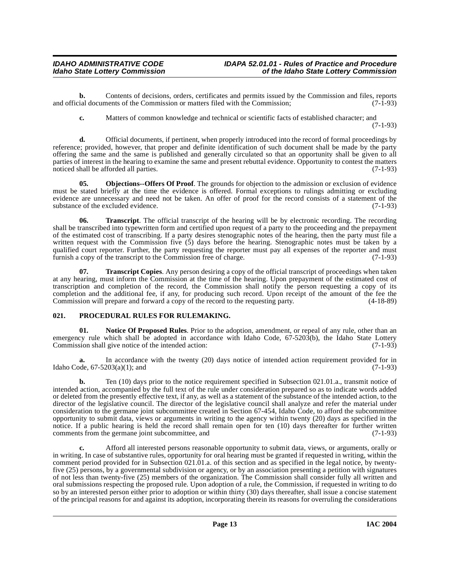**b.** Contents of decisions, orders, certificates and permits issued by the Commission and files, reports ial documents of the Commission or matters filed with the Commission: (7-1-93) and official documents of the Commission or matters filed with the Commission;

**c.** Matters of common knowledge and technical or scientific facts of established character; and

(7-1-93)

**d.** Official documents, if pertinent, when properly introduced into the record of formal proceedings by reference; provided, however, that proper and definite identification of such document shall be made by the party offering the same and the same is published and generally circulated so that an opportunity shall be given to all parties of interest in the hearing to examine the same and present rebuttal evidence. Opportunity to contest the matters noticed shall be afforded all parties. (7-1-93) noticed shall be afforded all parties.

<span id="page-12-1"></span>**05. Objections--Offers Of Proof**. The grounds for objection to the admission or exclusion of evidence must be stated briefly at the time the evidence is offered. Formal exceptions to rulings admitting or excluding evidence are unnecessary and need not be taken. An offer of proof for the record consists of a statement of the substance of the excluded evidence. (7-1-93) substance of the excluded evidence.

**06. Transcript**. The official transcript of the hearing will be by electronic recording. The recording shall be transcribed into typewritten form and certified upon request of a party to the proceeding and the prepayment of the estimated cost of transcribing. If a party desires stenographic notes of the hearing, then the party must file a written request with the Commission five (5) days before the hearing. Stenographic notes must be taken by a qualified court reporter. Further, the party requesting the reporter must pay all expenses of the reporter and must furnish a copy of the transcript to the Commission free of charge. (7-1-93)

**07. Transcript Copies**. Any person desiring a copy of the official transcript of proceedings when taken at any hearing, must inform the Commission at the time of the hearing. Upon prepayment of the estimated cost of transcription and completion of the record, the Commission shall notify the person requesting a copy of its completion and the additional fee, if any, for producing such record. Upon receipt of the amount of the fee the Commission will prepare and forward a copy of the record to the requesting party. (4-18-89) Commission will prepare and forward a copy of the record to the requesting party.

### <span id="page-12-0"></span>**021. PROCEDURAL RULES FOR RULEMAKING.**

**01. Notice Of Proposed Rules**. Prior to the adoption, amendment, or repeal of any rule, other than an emergency rule which shall be adopted in accordance with Idaho Code,  $67-5203(b)$ , the Idaho State Lottery<br>Commission shall give notice of the intended action: (7-1-93) Commission shall give notice of the intended action:

**a.** In accordance with the twenty (20) days notice of intended action requirement provided for in Idaho Code,  $67-5203(a)(1)$ ; and (7-1-93)

**b.** Ten (10) days prior to the notice requirement specified in Subsection 021.01.a., transmit notice of intended action, accompanied by the full text of the rule under consideration prepared so as to indicate words added or deleted from the presently effective text, if any, as well as a statement of the substance of the intended action, to the director of the legislative council. The director of the legislative council shall analyze and refer the material under consideration to the germane joint subcommittee created in Section 67-454, Idaho Code, to afford the subcommittee opportunity to submit data, views or arguments in writing to the agency within twenty (20) days as specified in the notice. If a public hearing is held the record shall remain open for ten (10) days thereafter for further written comments from the germane joint subcommittee, and (7-1-93)

**c.** Afford all interested persons reasonable opportunity to submit data, views, or arguments, orally or in writing. In case of substantive rules, opportunity for oral hearing must be granted if requested in writing, within the comment period provided for in Subsection 021.01.a. of this section and as specified in the legal notice, by twentyfive (25) persons, by a governmental subdivision or agency, or by an association presenting a petition with signatures of not less than twenty-five (25) members of the organization. The Commission shall consider fully all written and oral submissions respecting the proposed rule. Upon adoption of a rule, the Commission, if requested in writing to do so by an interested person either prior to adoption or within thirty (30) days thereafter, shall issue a concise statement of the principal reasons for and against its adoption, incorporating therein its reasons for overruling the considerations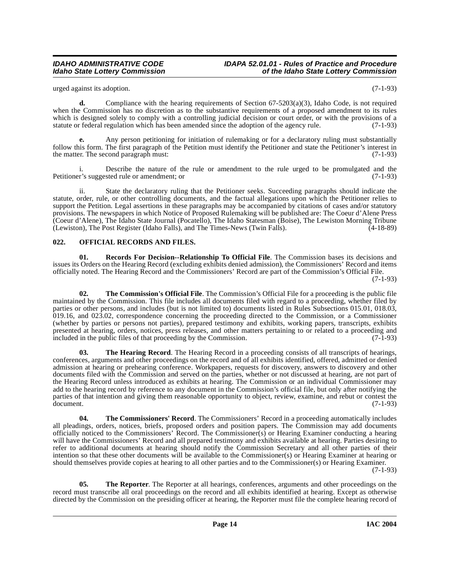urged against its adoption. (7-1-93)

**d.** Compliance with the hearing requirements of Section 67-5203(a)(3), Idaho Code, is not required when the Commission has no discretion as to the substantive requirements of a proposed amendment to its rules which is designed solely to comply with a controlling judicial decision or court order, or with the provisions of a statute or federal regulation which has been amended since the adoption of the agency rule. (7-1-93)

**e.** Any person petitioning for initiation of rulemaking or for a declaratory ruling must substantially follow this form. The first paragraph of the Petition must identify the Petitioner and state the Petitioner's interest in the matter. The second paragraph must: (7-1-93)

i. Describe the nature of the rule or amendment to the rule urged to be promulgated and the ris's suggested rule or amendment: or  $(7-1-93)$ Petitioner's suggested rule or amendment; or

ii. State the declaratory ruling that the Petitioner seeks. Succeeding paragraphs should indicate the statute, order, rule, or other controlling documents, and the factual allegations upon which the Petitioner relies to support the Petition. Legal assertions in these paragraphs may be accompanied by citations of cases and/or statutory provisions. The newspapers in which Notice of Proposed Rulemaking will be published are: The Coeur d'Alene Press (Coeur d'Alene), The Idaho State Journal (Pocatello), The Idaho Statesman (Boise), The Lewiston Morning Tribune (Lewiston), The Post Register (Idaho Falls), and The Times-News (Twin Falls). (4-18-89)

### <span id="page-13-1"></span><span id="page-13-0"></span>**022. OFFICIAL RECORDS AND FILES.**

<span id="page-13-2"></span>**01. Records For Decision--Relationship To Official File**. The Commission bases its decisions and issues its Orders on the Hearing Record (excluding exhibits denied admission), the Commissioners' Record and items officially noted. The Hearing Record and the Commissioners' Record are part of the Commission's Official File.

(7-1-93)

<span id="page-13-3"></span>**02. The Commission's Official File**. The Commission's Official File for a proceeding is the public file maintained by the Commission. This file includes all documents filed with regard to a proceeding, whether filed by parties or other persons, and includes (but is not limited to) documents listed in Rules Subsections 015.01, 018.03,  $0.19.16$ , and  $0.023.02$ , correspondence concerning the proceeding directed to the Commission, or a Commissioner (whether by parties or persons not parties), prepared testimony and exhibits, working papers, transcripts, exhibits presented at hearing, orders, notices, press releases, and other matters pertaining to or related to a proceeding and included in the public files of that proceeding by the Commission. (7-1-93) included in the public files of that proceeding by the Commission.

<span id="page-13-5"></span>**03. The Hearing Record**. The Hearing Record in a proceeding consists of all transcripts of hearings, conferences, arguments and other proceedings on the record and of all exhibits identified, offered, admitted or denied admission at hearing or prehearing conference. Workpapers, requests for discovery, answers to discovery and other documents filed with the Commission and served on the parties, whether or not discussed at hearing, are not part of the Hearing Record unless introduced as exhibits at hearing. The Commission or an individual Commissioner may add to the hearing record by reference to any document in the Commission's official file, but only after notifying the parties of that intention and giving them reasonable opportunity to object, review, examine, and rebut or contest the document. (7-1-93) document. (7-1-93)

<span id="page-13-4"></span>**04. The Commissioners' Record**. The Commissioners' Record in a proceeding automatically includes all pleadings, orders, notices, briefs, proposed orders and position papers. The Commission may add documents officially noticed to the Commissioners' Record. The Commissioner(s) or Hearing Examiner conducting a hearing will have the Commissioners' Record and all prepared testimony and exhibits available at hearing. Parties desiring to refer to additional documents at hearing should notify the Commission Secretary and all other parties of their intention so that these other documents will be available to the Commissioner(s) or Hearing Examiner at hearing or should themselves provide copies at hearing to all other parties and to the Commissioner(s) or Hearing Examiner.

(7-1-93)

<span id="page-13-6"></span>**05.** The Reporter. The Reporter at all hearings, conferences, arguments and other proceedings on the record must transcribe all oral proceedings on the record and all exhibits identified at hearing. Except as otherwise directed by the Commission on the presiding officer at hearing, the Reporter must file the complete hearing record of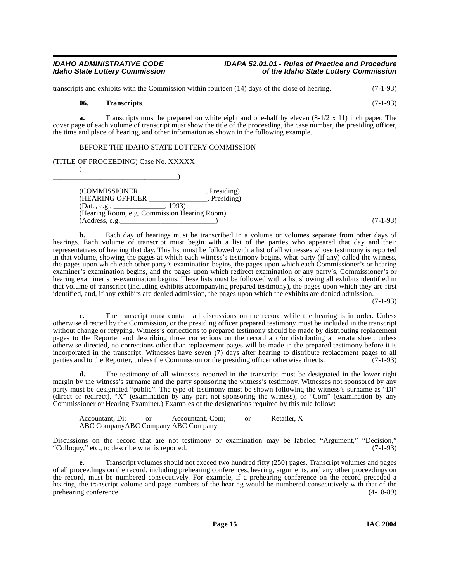transcripts and exhibits with the Commission within fourteen (14) days of the close of hearing. (7-1-93)

#### **06. Transcripts**. (7-1-93)

 $)$ 

**a.** Transcripts must be prepared on white eight and one-half by eleven (8-1/2 x 11) inch paper. The cover page of each volume of transcript must show the title of the proceeding, the case number, the presiding officer, the time and place of hearing, and other information as shown in the following example.

### BEFORE THE IDAHO STATE LOTTERY COMMISSION

(TITLE OF PROCEEDING) Case No. XXXXX

\_\_\_\_\_\_\_\_\_\_\_\_\_\_\_\_\_\_\_\_\_\_\_\_\_\_\_\_\_\_\_\_\_\_)  $\overline{\text{[COMMISSIONER]}}$ ,  $\overline{\text{President}}$ (HEARING OFFICER \_\_\_\_\_\_\_\_\_\_\_\_\_\_\_\_, Presiding) (Date, e.g., \_\_\_\_\_\_\_\_\_\_\_\_\_\_, 1993) (Hearing Room, e.g. Commission Hearing Room) (Address, e.g.\_\_\_\_\_\_\_\_\_\_\_\_\_\_\_\_\_\_\_\_\_\_\_\_\_\_) (7-1-93)

**b.** Each day of hearings must be transcribed in a volume or volumes separate from other days of hearings. Each volume of transcript must begin with a list of the parties who appeared that day and their representatives of hearing that day. This list must be followed with a list of all witnesses whose testimony is reported in that volume, showing the pages at which each witness's testimony begins, what party (if any) called the witness, the pages upon which each other party's examination begins, the pages upon which each Commissioner's or hearing examiner's examination begins, and the pages upon which redirect examination or any party's, Commissioner's or hearing examiner's re-examination begins. These lists must be followed with a list showing all exhibits identified in that volume of transcript (including exhibits accompanying prepared testimony), the pages upon which they are first identified, and, if any exhibits are denied admission, the pages upon which the exhibits are denied admission.

(7-1-93)

**c.** The transcript must contain all discussions on the record while the hearing is in order. Unless otherwise directed by the Commission, or the presiding officer prepared testimony must be included in the transcript without change or retyping. Witness's corrections to prepared testimony should be made by distributing replacement pages to the Reporter and describing those corrections on the record and/or distributing an errata sheet; unless otherwise directed, no corrections other than replacement pages will be made in the prepared testimony before it is incorporated in the transcript. Witnesses have seven (7) days after hearing to distribute replacement pages to all parties and to the Reporter, unless the Commission or the presiding officer otherwise directs.  $(7-1-93)$ parties and to the Reporter, unless the Commission or the presiding officer otherwise directs.

**d.** The testimony of all witnesses reported in the transcript must be designated in the lower right margin by the witness's surname and the party sponsoring the witness's testimony. Witnesses not sponsored by any party must be designated "public". The type of testimony must be shown following the witness's surname as "Di" (direct or redirect), "X" (examination by any part not sponsoring the witness), or "Com" (examination by any Commissioner or Hearing Examiner.) Examples of the designations required by this rule follow:

Accountant, Di; or Accountant, Com; or Retailer, X ABC CompanyABC Company ABC Company

Discussions on the record that are not testimony or examination may be labeled "Argument," "Decision," "Collogny," etc., to describe what is reported. (7-1-93) "Colloquy," etc., to describe what is reported.

**e.** Transcript volumes should not exceed two hundred fifty (250) pages. Transcript volumes and pages of all proceedings on the record, including prehearing conferences, hearing, arguments, and any other proceedings on the record, must be numbered consecutively. For example, if a prehearing conference on the record preceded a hearing, the transcript volume and page numbers of the hearing would be numbered consecutively with that of the prehearing conference. (4-18-89) prehearing conference.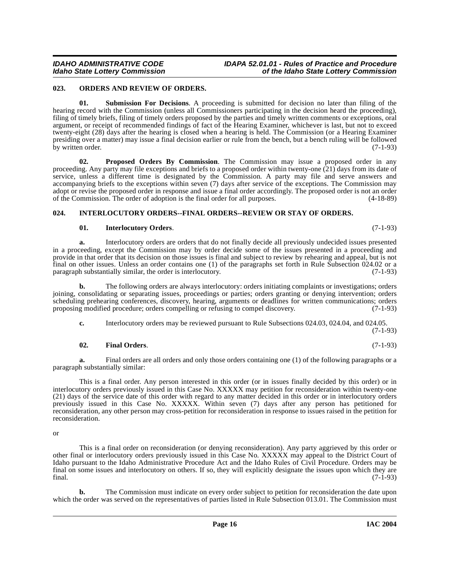### <span id="page-15-3"></span><span id="page-15-0"></span>**023. ORDERS AND REVIEW OF ORDERS.**

<span id="page-15-5"></span>**01. Submission For Decisions**. A proceeding is submitted for decision no later than filing of the hearing record with the Commission (unless all Commissioners participating in the decision heard the proceeding), filing of timely briefs, filing of timely orders proposed by the parties and timely written comments or exceptions, oral argument, or receipt of recommended findings of fact of the Hearing Examiner, whichever is last, but not to exceed twenty-eight (28) days after the hearing is closed when a hearing is held. The Commission (or a Hearing Examiner presiding over a matter) may issue a final decision earlier or rule from the bench, but a bench ruling will be followed by written order. (7-1-93)

<span id="page-15-4"></span>**02. Proposed Orders By Commission**. The Commission may issue a proposed order in any proceeding. Any party may file exceptions and briefs to a proposed order within twenty-one (21) days from its date of service, unless a different time is designated by the Commission. A party may file and serve answers and accompanying briefs to the exceptions within seven (7) days after service of the exceptions. The Commission may adopt or revise the proposed order in response and issue a final order accordingly. The proposed order is not an order of the Commission. The order of adoption is the final order for all purposes. (4-18-89)

### <span id="page-15-1"></span>**024. INTERLOCUTORY ORDERS--FINAL ORDERS--REVIEW OR STAY OF ORDERS.**

### <span id="page-15-2"></span>**01. Interlocutory Orders**. (7-1-93)

**a.** Interlocutory orders are orders that do not finally decide all previously undecided issues presented in a proceeding, except the Commission may by order decide some of the issues presented in a proceeding and provide in that order that its decision on those issues is final and subject to review by rehearing and appeal, but is not final on other issues. Unless an order contains one (1) of the paragraphs set forth in Rule Subsection 024.02 or a paragraph substantially similar, the order is interlocutory. (7-1-93) paragraph substantially similar, the order is interlocutory.

**b.** The following orders are always interlocutory: orders initiating complaints or investigations; orders joining, consolidating or separating issues, proceedings or parties; orders granting or denying intervention; orders scheduling prehearing conferences, discovery, hearing, arguments or deadlines for written communications; orders proposing modified procedure; orders compelling or refusing to compel discovery. (7-1-93)

**c.** Interlocutory orders may be reviewed pursuant to Rule Subsections 024.03, 024.04, and 024.05.

(7-1-93)

### **02. Final Orders**. (7-1-93)

**a.** Final orders are all orders and only those orders containing one (1) of the following paragraphs or a paragraph substantially similar:

This is a final order. Any person interested in this order (or in issues finally decided by this order) or in interlocutory orders previously issued in this Case No. XXXXX may petition for reconsideration within twenty-one (21) days of the service date of this order with regard to any matter decided in this order or in interlocutory orders previously issued in this Case No. XXXXX. Within seven (7) days after any person has petitioned for reconsideration, any other person may cross-petition for reconsideration in response to issues raised in the petition for reconsideration.

or

This is a final order on reconsideration (or denying reconsideration). Any party aggrieved by this order or other final or interlocutory orders previously issued in this Case No. XXXXX may appeal to the District Court of Idaho pursuant to the Idaho Administrative Procedure Act and the Idaho Rules of Civil Procedure. Orders may be final on some issues and interlocutory on others. If so, they will explicitly designate the issues upon which they are final. (7-1-93) final. (7-1-93)

**b.** The Commission must indicate on every order subject to petition for reconsideration the date upon which the order was served on the representatives of parties listed in Rule Subsection 013.01. The Commission must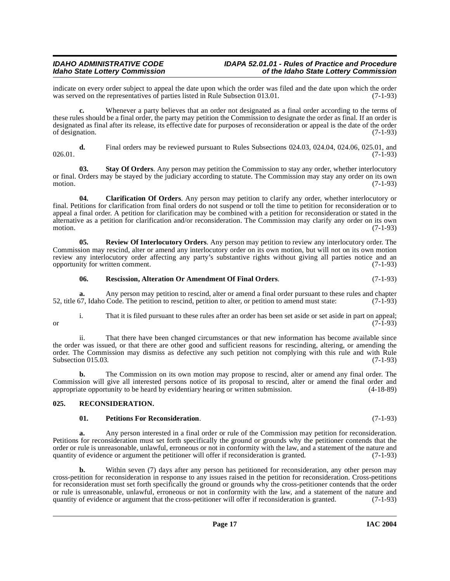indicate on every order subject to appeal the date upon which the order was filed and the date upon which the order was served on the representatives of parties listed in Rule Subsection 013.01. was served on the representatives of parties listed in Rule Subsection 013.01.

**c.** Whenever a party believes that an order not designated as a final order according to the terms of these rules should be a final order, the party may petition the Commission to designate the order as final. If an order is designated as final after its release, its effective date for purposes of reconsideration or appeal is the date of the order<br>(7-1-93) of designation.

**d.** Final orders may be reviewed pursuant to Rules Subsections 024.03, 024.04, 024.06, 025.01, and  $026.01.$  (7-1-93)

**03. Stay Of Orders**. Any person may petition the Commission to stay any order, whether interlocutory or final. Orders may be stayed by the judiciary according to statute. The Commission may stay any order on its own motion.  $(7-1-93)$ 

**04. Clarification Of Orders**. Any person may petition to clarify any order, whether interlocutory or final. Petitions for clarification from final orders do not suspend or toll the time to petition for reconsideration or to appeal a final order. A petition for clarification may be combined with a petition for reconsideration or stated in the alternative as a petition for clarification and/or reconsideration. The Commission may clarify any order on its own motion.  $(7-1-93)$ 

**05. Review Of Interlocutory Orders**. Any person may petition to review any interlocutory order. The Commission may rescind, alter or amend any interlocutory order on its own motion, but will not on its own motion review any interlocutory order affecting any party's substantive rights without giving all parties notice and an opportunity for written comment. (7-1-93)

#### <span id="page-16-4"></span><span id="page-16-3"></span>**06. Rescission, Alteration Or Amendment Of Final Orders**. (7-1-93)

**a.** Any person may petition to rescind, alter or amend a final order pursuant to these rules and chapter 57. Idaho Code. The petition to rescind, petition to alter, or petition to amend must state: (7-1-93) 52, title 67, Idaho Code. The petition to rescind, petition to alter, or petition to amend must state:

i. That it is filed pursuant to these rules after an order has been set aside or set aside in part on appeal; or  $(7-1-93)$ 

ii. That there have been changed circumstances or that new information has become available since the order was issued, or that there are other good and sufficient reasons for rescinding, altering, or amending the order. The Commission may dismiss as defective any such petition not complying with this rule and with Rule Subsection 015.03. (7-1-93)

**b.** The Commission on its own motion may propose to rescind, alter or amend any final order. The Commission will give all interested persons notice of its proposal to rescind, alter or amend the final order and appropriate opportunity to be heard by evidentiary hearing or written submission. (4-18-89) appropriate opportunity to be heard by evidentiary hearing or written submission.

### <span id="page-16-0"></span>**025. RECONSIDERATION.**

#### <span id="page-16-2"></span><span id="page-16-1"></span>**01. Petitions For Reconsideration**. (7-1-93)

**a.** Any person interested in a final order or rule of the Commission may petition for reconsideration. Petitions for reconsideration must set forth specifically the ground or grounds why the petitioner contends that the order or rule is unreasonable, unlawful, erroneous or not in conformity with the law, and a statement of the nature and quantity of evidence or argument the petitioner will offer if reconsideration is granted. (7-1-93) quantity of evidence or argument the petitioner will offer if reconsideration is granted.

**b.** Within seven (7) days after any person has petitioned for reconsideration, any other person may cross-petition for reconsideration in response to any issues raised in the petition for reconsideration. Cross-petitions for reconsideration must set forth specifically the ground or grounds why the cross-petitioner contends that the order or rule is unreasonable, unlawful, erroneous or not in conformity with the law, and a statement of the nature and quantity of evidence or argument that the cross-petitioner will offer if reconsideration is granted. (7-1-93 quantity of evidence or argument that the cross-petitioner will offer if reconsideration is granted.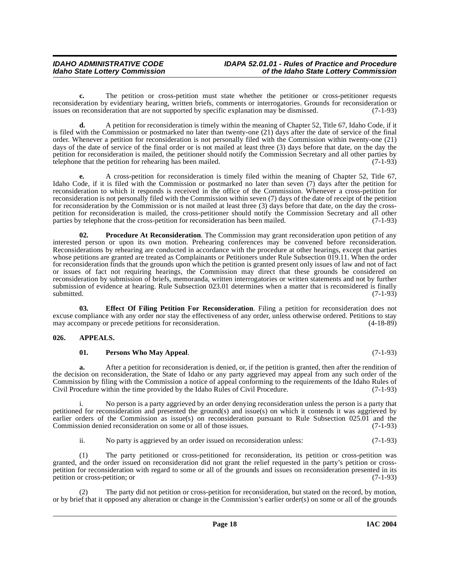**c.** The petition or cross-petition must state whether the petitioner or cross-petitioner requests reconsideration by evidentiary hearing, written briefs, comments or interrogatories. Grounds for reconsideration or<br>issues on reconsideration that are not supported by specific explanation may be dismissed. (7-1-93) issues on reconsideration that are not supported by specific explanation may be dismissed.

**d.** A petition for reconsideration is timely within the meaning of Chapter 52, Title 67, Idaho Code, if it is filed with the Commission or postmarked no later than twenty-one (21) days after the date of service of the final order. Whenever a petition for reconsideration is not personally filed with the Commission within twenty-one (21) days of the date of service of the final order or is not mailed at least three (3) days before that date, on the day the petition for reconsideration is mailed, the petitioner should notify the Commission Secretary and all other parties by telephone that the petition for rehearing has been mailed.  $(7-1-93)$ 

**e.** A cross-petition for reconsideration is timely filed within the meaning of Chapter 52, Title 67, Idaho Code, if it is filed with the Commission or postmarked no later than seven (7) days after the petition for reconsideration to which it responds is received in the office of the Commission. Whenever a cross-petition for reconsideration is not personally filed with the Commission within seven (7) days of the date of receipt of the petition for reconsideration by the Commission or is not mailed at least three (3) days before that date, on the day the crosspetition for reconsideration is mailed, the cross-petitioner should notify the Commission Secretary and all other parties by telephone that the cross-petition for reconsideration has been mailed. (7-1-93)

<span id="page-17-4"></span>**02. Procedure At Reconsideration**. The Commission may grant reconsideration upon petition of any interested person or upon its own motion. Prehearing conferences may be convened before reconsideration. Reconsiderations by rehearing are conducted in accordance with the procedure at other hearings, except that parties whose petitions are granted are treated as Complainants or Petitioners under Rule Subsection 019.11. When the order for reconsideration finds that the grounds upon which the petition is granted present only issues of law and not of fact or issues of fact not requiring hearings, the Commission may direct that these grounds be considered on reconsideration by submission of briefs, memoranda, written interrogatories or written statements and not by further submission of evidence at hearing. Rule Subsection 023.01 determines when a matter that is reconsidered is finally submitted. (7-1-93)

<span id="page-17-2"></span>**03. Effect Of Filing Petition For Reconsideration**. Filing a petition for reconsideration does not excuse compliance with any order nor stay the effectiveness of any order, unless otherwise ordered. Petitions to stay may accompany or precede petitions for reconsideration. (4-18-89) may accompany or precede petitions for reconsideration.

### <span id="page-17-0"></span>**026. APPEALS.**

### <span id="page-17-3"></span><span id="page-17-1"></span>**01. Persons Who May Appeal**. (7-1-93)

**a.** After a petition for reconsideration is denied, or, if the petition is granted, then after the rendition of the decision on reconsideration, the State of Idaho or any party aggrieved may appeal from any such order of the Commission by filing with the Commission a notice of appeal conforming to the requirements of the Idaho Rules of Civil Procedure within the time provided by the Idaho Rules of Civil Procedure. (7-1-93)

i. No person is a party aggrieved by an order denying reconsideration unless the person is a party that petitioned for reconsideration and presented the ground(s) and issue(s) on which it contends it was aggrieved by earlier orders of the Commission as issue(s) on reconsideration pursuant to Rule Subsection 025.01 and the Commission denied reconsideration on some or all of those issues. (7-1-93)

ii. No party is aggrieved by an order issued on reconsideration unless: (7-1-93)

(1) The party petitioned or cross-petitioned for reconsideration, its petition or cross-petition was granted, and the order issued on reconsideration did not grant the relief requested in the party's petition or crosspetition for reconsideration with regard to some or all of the grounds and issues on reconsideration presented in its petition or cross-petition; or

The party did not petition or cross-petition for reconsideration, but stated on the record, by motion, or by brief that it opposed any alteration or change in the Commission's earlier order(s) on some or all of the grounds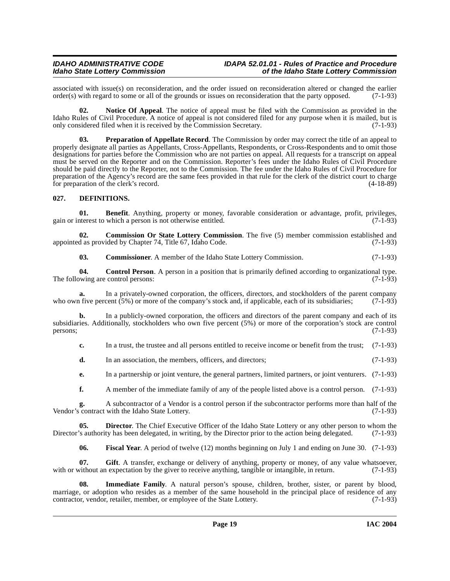#### **IDAHO ADMINISTRATIVE CODE IDAPA 52.01.01 - Rules of Practice and Procedure<br>Idaho State Lottery Commission** of the Idaho State Lottery Commission **Idaho State Lottery Commission of the Idaho State Lottery Commission**

associated with issue(s) on reconsideration, and the order issued on reconsideration altered or changed the earlier order(s) with regard to some or all of the grounds or issues on reconsideration that the party opposed.  $order(s)$  with regard to some or all of the grounds or issues on reconsideration that the party opposed.

**02. Notice Of Appeal**. The notice of appeal must be filed with the Commission as provided in the Idaho Rules of Civil Procedure. A notice of appeal is not considered filed for any purpose when it is mailed, but is only considered filed when it is received by the Commission Secretary. (7-1-93)

<span id="page-18-5"></span>**03. Preparation of Appellate Record**. The Commission by order may correct the title of an appeal to properly designate all parties as Appellants, Cross-Appellants, Respondents, or Cross-Respondents and to omit those designations for parties before the Commission who are not parties on appeal. All requests for a transcript on appeal must be served on the Reporter and on the Commission. Reporter's fees under the Idaho Rules of Civil Procedure should be paid directly to the Reporter, not to the Commission. The fee under the Idaho Rules of Civil Procedure for preparation of the Agency's record are the same fees provided in that rule for the clerk of the district court to charge for preparation of the clerk's record. (4-18-89)

#### <span id="page-18-2"></span><span id="page-18-0"></span>**027. DEFINITIONS.**

<span id="page-18-1"></span>**01. Benefit**. Anything, property or money, favorable consideration or advantage, profit, privileges, gain or interest to which a person is not otherwise entitled. (7-1-93)

**02. Commission Or State Lottery Commission**. The five (5) member commission established and d as provided by Chapter 74. Title 67. Idaho Code. (7-1-93) appointed as provided by Chapter 74, Title 67, Idaho Code.

**03. Commissioner**. A member of the Idaho State Lottery Commission. (7-1-93)

**04. Control Person**. A person in a position that is primarily defined according to organizational type. (7-1-93) The following are control persons:

**a.** In a privately-owned corporation, the officers, directors, and stockholders of the parent company is five percent (5%) or more of the company's stock and, if applicable, each of its subsidiaries: (7-1-93) who own five percent (5%) or more of the company's stock and, if applicable, each of its subsidiaries;

**b.** In a publicly-owned corporation, the officers and directors of the parent company and each of its subsidiaries. Additionally, stockholders who own five percent (5%) or more of the corporation's stock are control persons; (7-1-93) persons;  $(7-1-93)$ 

**c.** In a trust, the trustee and all persons entitled to receive income or benefit from the trust; (7-1-93)

**d.** In an association, the members, officers, and directors; (7-1-93)

**e.** In a partnership or joint venture, the general partners, limited partners, or joint venturers. (7-1-93)

**f.** A member of the immediate family of any of the people listed above is a control person. (7-1-93)

**g.** A subcontractor of a Vendor is a control person if the subcontractor performs more than half of the contract with the Idaho State Lottery. (7-1-93) Vendor's contract with the Idaho State Lottery.

**05. Director**. The Chief Executive Officer of the Idaho State Lottery or any other person to whom the Director's authority has been delegated, in writing, by the Director prior to the action being delegated. (7-1-93)

<span id="page-18-4"></span><span id="page-18-3"></span>**06. Fiscal Year**. A period of twelve (12) months beginning on July 1 and ending on June 30. (7-1-93)

**07. Gift**. A transfer, exchange or delivery of anything, property or money, of any value whatsoever, with or without an expectation by the giver to receive anything, tangible or intangible, in return. (7-1-93)

**08. Immediate Family**. A natural person's spouse, children, brother, sister, or parent by blood, marriage, or adoption who resides as a member of the same household in the principal place of residence of any<br>contractor, vendor, retailer, member, or employee of the State Lottery. (7-1-93) contractor, vendor, retailer, member, or employee of the State Lottery.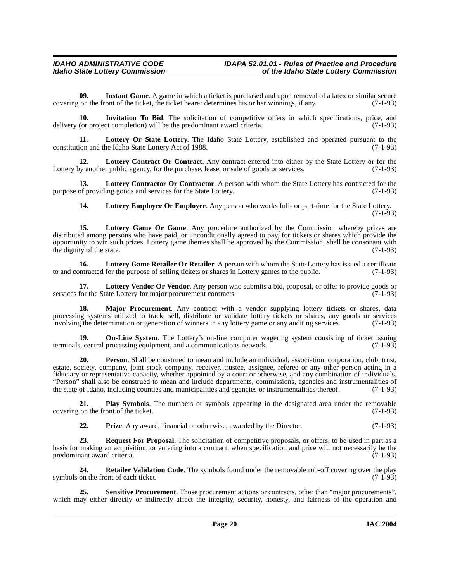<span id="page-19-0"></span>**09.** Instant Game. A game in which a ticket is purchased and upon removal of a latex or similar secure on the front of the ticket, the ticket bearer determines his or her winnings, if any. (7-1-93) covering on the front of the ticket, the ticket bearer determines his or her winnings, if any.

<span id="page-19-1"></span>**10. Invitation To Bid**. The solicitation of competitive offers in which specifications, price, and delivery (or project completion) will be the predominant award criteria. (7-1-93)

<span id="page-19-7"></span>**11. Lottery Or State Lottery**. The Idaho State Lottery, established and operated pursuant to the constitution and the Idaho State Lottery Act of 1988. (7-1-93)

<span id="page-19-2"></span>**12.** Lottery Contract Or Contract. Any contract entered into either by the State Lottery or for the purchase, lease, or sale of goods or services. (7-1-93) Lottery by another public agency, for the purchase, lease, or sale of goods or services.

**13. Lottery Contractor Or Contractor**. A person with whom the State Lottery has contracted for the purpose of providing goods and services for the State Lottery. (7-1-93)

<span id="page-19-5"></span><span id="page-19-4"></span><span id="page-19-3"></span>**14. Lottery Employee Or Employee**. Any person who works full- or part-time for the State Lottery.  $(7-1-93)$ 

**15. Lottery Game Or Game**. Any procedure authorized by the Commission whereby prizes are distributed among persons who have paid, or unconditionally agreed to pay, for tickets or shares which provide the opportunity to win such prizes. Lottery game themes shall be approved by the Commission, shall be consonant with the dignity of the state.  $(7-1-93)$ the dignity of the state.

<span id="page-19-6"></span>**16.** Lottery Game Retailer Or Retailer. A person with whom the State Lottery has issued a certificate paracted for the purpose of selling tickets or shares in Lottery games to the public. (7-1-93) to and contracted for the purpose of selling tickets or shares in Lottery games to the public.

<span id="page-19-8"></span>**17. Lottery Vendor Or Vendor**. Any person who submits a bid, proposal, or offer to provide goods or services for the State Lottery for major procurement contracts. (7-1-93)

<span id="page-19-9"></span>**18. Major Procurement**. Any contract with a vendor supplying lottery tickets or shares, data processing systems utilized to track, sell, distribute or validate lottery tickets or shares, any goods or services involving the determination or generation of winners in any lottery game or any auditing services. (7-1-93 involving the determination or generation of winners in any lottery game or any auditing services.

<span id="page-19-10"></span>**19. On-Line System**. The Lottery's on-line computer wagering system consisting of ticket issuing s, central processing equipment, and a communications network. terminals, central processing equipment, and a communications network.

**20. Person**. Shall be construed to mean and include an individual, association, corporation, club, trust, estate, society, company, joint stock company, receiver, trustee, assignee, referee or any other person acting in a fiduciary or representative capacity, whether appointed by a court or otherwise, and any combination of individuals. "Person" shall also be construed to mean and include departments, commissions, agencies and instrumentalities of the state of Idaho, including counties and municipalities and agencies or instrumentalities thereof. (7-1-93)

**21. Play Symbols**. The numbers or symbols appearing in the designated area under the removable on the front of the ticket. (7-1-93) covering on the front of the ticket.

<span id="page-19-13"></span><span id="page-19-12"></span><span id="page-19-11"></span>**22. Prize**. Any award, financial or otherwise, awarded by the Director. (7-1-93)

**23.** Request For Proposal. The solicitation of competitive proposals, or offers, to be used in part as a basis for making an acquisition, or entering into a contract, when specification and price will not necessarily be the predominant award criteria. (7-1-93) predominant award criteria.

**24. Retailer Validation Code**. The symbols found under the removable rub-off covering over the play on the front of each ticket. (7-1-93) symbols on the front of each ticket.

<span id="page-19-14"></span>**25. Sensitive Procurement**. Those procurement actions or contracts, other than "major procurements", which may either directly or indirectly affect the integrity, security, honesty, and fairness of the operation and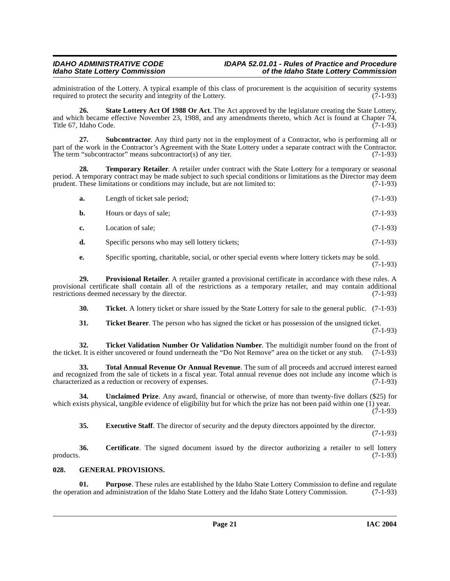administration of the Lottery. A typical example of this class of procurement is the acquisition of security systems required to protect the security and integrity of the Lottery. (7-1-93) required to protect the security and integrity of the Lottery.

<span id="page-20-4"></span>**26. State Lottery Act Of 1988 Or Act**. The Act approved by the legislature creating the State Lottery, and which became effective November 23, 1988, and any amendments thereto, which Act is found at Chapter 74, Title 67, Idaho Code. (7-1-93)

**27. Subcontractor**. Any third party not in the employment of a Contractor, who is performing all or part of the work in the Contractor's Agreement with the State Lottery under a separate contract with the Contractor. The term "subcontractor" means subcontractor(s) of any tier.  $(7-1-93)$ 

**28. Temporary Retailer**. A retailer under contract with the State Lottery for a temporary or seasonal period. A temporary contract may be made subject to such special conditions or limitations as the Director may deem prudent. These limitations or conditions may include, but are not limited to: (7-1-93)

<span id="page-20-5"></span>

| а. | Length of ticket sale period; | $(7-1-93)$ |
|----|-------------------------------|------------|
| b. | Hours or days of sale;        | $(7-1-93)$ |

**c.** Location of sale; (7-1-93)

**d.** Specific persons who may sell lottery tickets; (7-1-93)

<span id="page-20-3"></span>**e.** Specific sporting, charitable, social, or other special events where lottery tickets may be sold. (7-1-93)

**29. Provisional Retailer**. A retailer granted a provisional certificate in accordance with these rules. A provisional certificate shall contain all of the restrictions as a temporary retailer, and may contain additional restrictions deemed necessary by the director. (7-1-93)

**30. Ticket**. A lottery ticket or share issued by the State Lottery for sale to the general public. (7-1-93)

<span id="page-20-8"></span><span id="page-20-7"></span><span id="page-20-6"></span>**31. Ticket Bearer**. The person who has signed the ticket or has possession of the unsigned ticket. (7-1-93)

**32. Ticket Validation Number Or Validation Number**. The multidigit number found on the front of the ticket. It is either uncovered or found underneath the "Do Not Remove" area on the ticket or any stub. (7-1-93)

**33. Total Annual Revenue Or Annual Revenue**. The sum of all proceeds and accrued interest earned and recognized from the sale of tickets in a fiscal year. Total annual revenue does not include any income which is characterized as a reduction or recovery of expenses. (7-1-93)

**34. Unclaimed Prize**. Any award, financial or otherwise, of more than twenty-five dollars (\$25) for which exists physical, tangible evidence of eligibility but for which the prize has not been paid within one (1) year. (7-1-93)

<span id="page-20-9"></span><span id="page-20-1"></span>**35. Executive Staff**. The director of security and the deputy directors appointed by the director.

(7-1-93)

**36.** Certificate. The signed document issued by the director authorizing a retailer to sell lottery products. (7-1-93)  $p_{\text{p}}$  products.  $(7-1-93)$ 

### <span id="page-20-2"></span><span id="page-20-0"></span>**028. GENERAL PROVISIONS.**

**01. Purpose**. These rules are established by the Idaho State Lottery Commission to define and regulate tion and administration of the Idaho State Lottery and the Idaho State Lottery Commission. (7-1-93) the operation and administration of the Idaho State Lottery and the Idaho State Lottery Commission.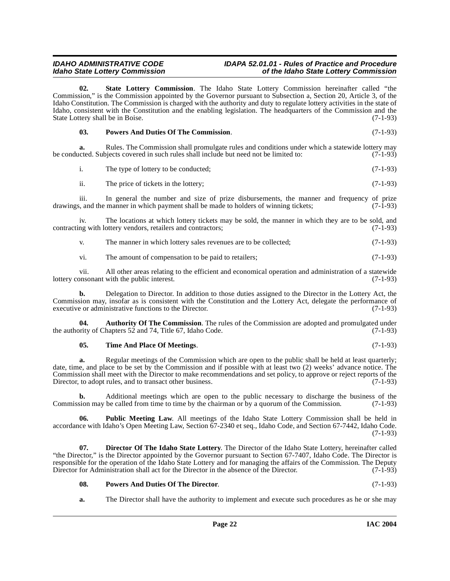<span id="page-21-4"></span>State Lottery Commission. The Idaho State Lottery Commission hereinafter called "the Commission," is the Commission appointed by the Governor pursuant to Subsection a, Section 20, Article 3, of the Idaho Constitution. The Commission is charged with the authority and duty to regulate lottery activities in the state of Idaho, consistent with the Constitution and the enabling legislation. The headquarters of the Commission and the State Lottery shall be in Boise. (7-1-93)

<span id="page-21-2"></span>

|  | <b>Powers And Duties Of The Commission.</b> | $(7-1-93)$ |
|--|---------------------------------------------|------------|
|--|---------------------------------------------|------------|

**a.** Rules. The Commission shall promulgate rules and conditions under which a statewide lottery may be conducted. Subjects covered in such rules shall include but need not be limited to: (7-1-93)

i. The type of lottery to be conducted; (7-1-93)

ii. The price of tickets in the lottery;  $(7-1-93)$ 

iii. In general the number and size of prize disbursements, the manner and frequency of prize<br>s, and the manner in which payment shall be made to holders of winning tickets; (7-1-93) drawings, and the manner in which payment shall be made to holders of winning tickets;

iv. The locations at which lottery tickets may be sold, the manner in which they are to be sold, and contracting with lottery vendors, retailers and contractors; (7-1-93)

v. The manner in which lottery sales revenues are to be collected; (7-1-93)

vi. The amount of compensation to be paid to retailers; (7-1-93)

vii. All other areas relating to the efficient and economical operation and administration of a statewide onsonant with the public interest. lottery consonant with the public interest.

**b.** Delegation to Director. In addition to those duties assigned to the Director in the Lottery Act, the Commission may, insofar as is consistent with the Constitution and the Lottery Act, delegate the performance of executive or administrative functions to the Director. (7-1-93) executive or administrative functions to the Director.

**04. Authority Of The Commission**. The rules of the Commission are adopted and promulgated under the authority of Chapters 52 and 74, Title 67, Idaho Code. (7-1-93)

#### <span id="page-21-0"></span>**05. Time And Place Of Meetings**. (7-1-93)

**a.** Regular meetings of the Commission which are open to the public shall be held at least quarterly; date, time, and place to be set by the Commission and if possible with at least two (2) weeks' advance notice. The Commission shall meet with the Director to make recommendations and set policy, to approve or reject reports of the Director, to adopt rules, and to transact other business. (7-1-93)

**b.** Additional meetings which are open to the public necessary to discharge the business of the Commission may be called from time to time by the chairman or by a quorum of the Commission. (7-1-93)

<span id="page-21-3"></span>**06. Public Meeting Law**. All meetings of the Idaho State Lottery Commission shall be held in accordance with Idaho's Open Meeting Law, Section 67-2340 et seq., Idaho Code, and Section 67-7442, Idaho Code. (7-1-93)

**07. Director Of The Idaho State Lottery**. The Director of the Idaho State Lottery, hereinafter called "the Director," is the Director appointed by the Governor pursuant to Section 67-7407, Idaho Code. The Director is responsible for the operation of the Idaho State Lottery and for managing the affairs of the Commission. The Deputy Director for Administration shall act for the Director in the absence of the Director. (7-1-93)

### <span id="page-21-1"></span>**08. Powers And Duties Of The Director**. (7-1-93)

**a.** The Director shall have the authority to implement and execute such procedures as he or she may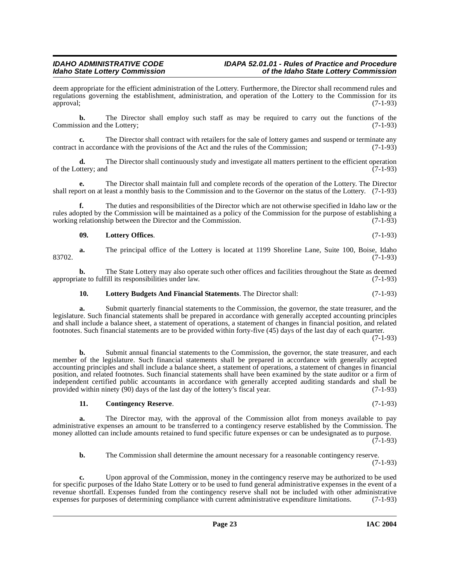deem appropriate for the efficient administration of the Lottery. Furthermore, the Director shall recommend rules and regulations governing the establishment, administration, and operation of the Lottery to the Commission for its approval: (7-1-93) approval; (7-1-93)

**b.** The Director shall employ such staff as may be required to carry out the functions of the Commission and the Lottery; (7-1-93)

**c.** The Director shall contract with retailers for the sale of lottery games and suspend or terminate any in accordance with the provisions of the Act and the rules of the Commission: (7-1-93) contract in accordance with the provisions of the Act and the rules of the Commission;

**d.** The Director shall continuously study and investigate all matters pertinent to the efficient operation (7-1-93) of the Lottery; and

**e.** The Director shall maintain full and complete records of the operation of the Lottery. The Director shall report on at least a monthly basis to the Commission and to the Governor on the status of the Lottery. (7-1-93)

**f.** The duties and responsibilities of the Director which are not otherwise specified in Idaho law or the rules adopted by the Commission will be maintained as a policy of the Commission for the purpose of establishing a working relationship between the Director and the Commission. (7-1-93)

#### <span id="page-22-2"></span>**09. Lottery Offices**. (7-1-93)

**a.** The principal office of the Lottery is located at 1199 Shoreline Lane, Suite 100, Boise, Idaho 83702. (7-1-93)

**b.** The State Lottery may also operate such other offices and facilities throughout the State as deemed ate to fulfill its responsibilities under law. (7-1-93) appropriate to fulfill its responsibilities under law.

### <span id="page-22-1"></span>**10. Lottery Budgets And Financial Statements**. The Director shall: (7-1-93)

**a.** Submit quarterly financial statements to the Commission, the governor, the state treasurer, and the legislature. Such financial statements shall be prepared in accordance with generally accepted accounting principles and shall include a balance sheet, a statement of operations, a statement of changes in financial position, and related footnotes. Such financial statements are to be provided within forty-five (45) days of the last day of each quarter.

(7-1-93)

**b.** Submit annual financial statements to the Commission, the governor, the state treasurer, and each member of the legislature. Such financial statements shall be prepared in accordance with generally accepted accounting principles and shall include a balance sheet, a statement of operations, a statement of changes in financial position, and related footnotes. Such financial statements shall have been examined by the state auditor or a firm of independent certified public accountants in accordance with generally accepted auditing standards and shall be provided within ninety (90) days of the last day of the lottery's fiscal year. (7-1-93)

### <span id="page-22-0"></span>**11. Contingency Reserve**. (7-1-93)

**a.** The Director may, with the approval of the Commission allot from moneys available to pay administrative expenses an amount to be transferred to a contingency reserve established by the Commission. The money allotted can include amounts retained to fund specific future expenses or can be undesignated as to purpose.  $(7-1-93)$ 

**b.** The Commission shall determine the amount necessary for a reasonable contingency reserve. (7-1-93)

**c.** Upon approval of the Commission, money in the contingency reserve may be authorized to be used for specific purposes of the Idaho State Lottery or to be used to fund general administrative expenses in the event of a revenue shortfall. Expenses funded from the contingency reserve shall not be included with other administrative expenses for purposes of determining compliance with current administrative expenditure limitations. (7-1-93) expenses for purposes of determining compliance with current administrative expenditure limitations.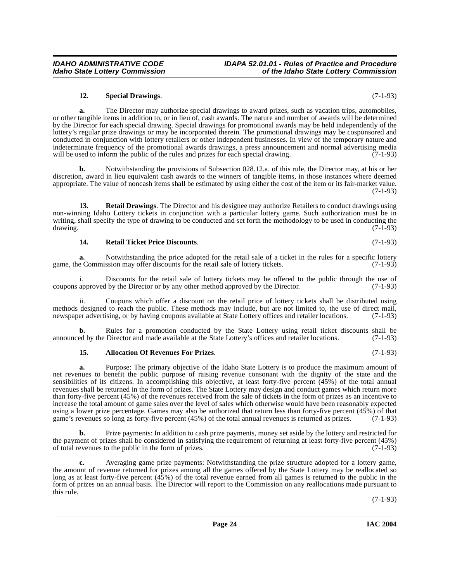#### <span id="page-23-3"></span>**12. Special Drawings**. (7-1-93)

**a.** The Director may authorize special drawings to award prizes, such as vacation trips, automobiles, or other tangible items in addition to, or in lieu of, cash awards. The nature and number of awards will be determined by the Director for each special drawing. Special drawings for promotional awards may be held independently of the lottery's regular prize drawings or may be incorporated therein. The promotional drawings may be cosponsored and conducted in conjunction with lottery retailers or other independent businesses. In view of the temporary nature and indeterminate frequency of the promotional awards drawings, a press announcement and normal advertising media will be used to inform the public of the rules and prizes for each special drawing.  $(7-1-93)$ 

**b.** Notwithstanding the provisions of Subsection 028.12.a. of this rule, the Director may, at his or her discretion, award in lieu equivalent cash awards to the winners of tangible items, in those instances where deemed appropriate. The value of noncash items shall be estimated by using either the cost of the item or its fair-market value. (7-1-93)

**13. Retail Drawings**. The Director and his designee may authorize Retailers to conduct drawings using non-winning Idaho Lottery tickets in conjunction with a particular lottery game. Such authorization must be in writing, shall specify the type of drawing to be conducted and set forth the methodology to be used in conducting the drawing. (7-1-93)

#### <span id="page-23-2"></span><span id="page-23-1"></span>**14. Retail Ticket Price Discounts**. (7-1-93)

**a.** Notwithstanding the price adopted for the retail sale of a ticket in the rules for a specific lottery game, the Commission may offer discounts for the retail sale of lottery tickets. (7-1-93)

i. Discounts for the retail sale of lottery tickets may be offered to the public through the use of approved by the Director (7-1-93) coupons approved by the Director or by any other method approved by the Director.

ii. Coupons which offer a discount on the retail price of lottery tickets shall be distributed using methods designed to reach the public. These methods may include, but are not limited to, the use of direct mail, newspaper advertising, or by having coupons available at State Lottery offices and retailer locations. (7-1-93)

**b.** Rules for a promotion conducted by the State Lottery using retail ticket discounts shall be ed by the Director and made available at the State Lottery's offices and retailer locations. (7-1-93) announced by the Director and made available at the State Lottery's offices and retailer locations.

#### <span id="page-23-0"></span>**15. Allocation Of Revenues For Prizes**. (7-1-93)

**a.** Purpose: The primary objective of the Idaho State Lottery is to produce the maximum amount of net revenues to benefit the public purpose of raising revenue consonant with the dignity of the state and the sensibilities of its citizens. In accomplishing this objective, at least forty-five percent (45%) of the total annual revenues shall be returned in the form of prizes. The State Lottery may design and conduct games which return more than forty-five percent (45%) of the revenues received from the sale of tickets in the form of prizes as an incentive to increase the total amount of game sales over the level of sales which otherwise would have been reasonably expected using a lower prize percentage. Games may also be authorized that return less than forty-five percent  $(45\%)$  of that game's revenues so long as forty-five percent  $(45\%)$  of the total annual revenues is returned as prize game's revenues so long as forty-five percent (45%) of the total annual revenues is returned as prizes.

**b.** Prize payments: In addition to cash prize payments, money set aside by the lottery and restricted for the payment of prizes shall be considered in satisfying the requirement of returning at least forty-five percent  $(45%)$  of total revenues to the public in the form of prizes.  $(7-1-93)$ of total revenues to the public in the form of prizes.

**c.** Averaging game prize payments: Notwithstanding the prize structure adopted for a lottery game, the amount of revenue returned for prizes among all the games offered by the State Lottery may be reallocated so long as at least forty-five percent (45%) of the total revenue earned from all games is returned to the public in the form of prizes on an annual basis. The Director will report to the Commission on any reallocations made pursuant to this rule.

(7-1-93)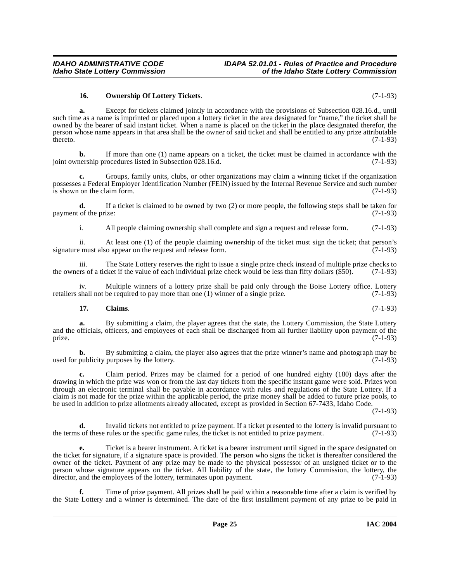<span id="page-24-1"></span>**16. Ownership Of Lottery Tickets**. (7-1-93)

**a.** Except for tickets claimed jointly in accordance with the provisions of Subsection 028.16.d., until such time as a name is imprinted or placed upon a lottery ticket in the area designated for "name," the ticket shall be owned by the bearer of said instant ticket. When a name is placed on the ticket in the place designated therefor, the person whose name appears in that area shall be the owner of said ticket and shall be entitled to any prize attributable  $t$ hereto.  $(7-1-93)$ 

**b.** If more than one (1) name appears on a ticket, the ticket must be claimed in accordance with the nership procedures listed in Subsection 028.16.d. (7-1-93) joint ownership procedures listed in Subsection  $0.28.16$ .d.

**c.** Groups, family units, clubs, or other organizations may claim a winning ticket if the organization possesses a Federal Employer Identification Number (FEIN) issued by the Internal Revenue Service and such number  $\frac{1}{15}$  shown on the claim form. (7-1-93)

**d.** If a ticket is claimed to be owned by two (2) or more people, the following steps shall be taken for of the prize: (7-1-93) payment of the prize:

i. All people claiming ownership shall complete and sign a request and release form. (7-1-93)

ii. At least one (1) of the people claiming ownership of the ticket must sign the ticket; that person's signature must also appear on the request and release form.

iii. The State Lottery reserves the right to issue a single prize check instead of multiple prize checks to res of a ticket if the value of each individual prize check would be less than fifty dollars (\$50). (7-1-93) the owners of a ticket if the value of each individual prize check would be less than fifty dollars  $(\$50)$ .

iv. Multiple winners of a lottery prize shall be paid only through the Boise Lottery office. Lottery shall not be required to pay more than one (1) winner of a single prize. (7-1-93) retailers shall not be required to pay more than one  $(1)$  winner of a single prize.

### <span id="page-24-0"></span>**17. Claims**. (7-1-93)

**a.** By submitting a claim, the player agrees that the state, the Lottery Commission, the State Lottery and the officials, officers, and employees of each shall be discharged from all further liability upon payment of the prize. prize.  $(7-1-93)$ 

**b.** By submitting a claim, the player also agrees that the prize winner's name and photograph may be used for publicity purposes by the lottery. (7-1-93)

**c.** Claim period. Prizes may be claimed for a period of one hundred eighty (180) days after the drawing in which the prize was won or from the last day tickets from the specific instant game were sold. Prizes won through an electronic terminal shall be payable in accordance with rules and regulations of the State Lottery. If a claim is not made for the prize within the applicable period, the prize money shall be added to future prize pools, to be used in addition to prize allotments already allocated, except as provided in Section 67-7433, Idaho Code.

(7-1-93)

**d.** Invalid tickets not entitled to prize payment. If a ticket presented to the lottery is invalid pursuant to the terms of these rules or the specific game rules, the ticket is not entitled to prize payment. (7-1-93)

**e.** Ticket is a bearer instrument. A ticket is a bearer instrument until signed in the space designated on the ticket for signature, if a signature space is provided. The person who signs the ticket is thereafter considered the owner of the ticket. Payment of any prize may be made to the physical possessor of an unsigned ticket or to the person whose signature appears on the ticket. All liability of the state, the lottery Commission, the lottery, the director, and the employees of the lottery, terminates upon payment. (7-1-93) director, and the employees of the lottery, terminates upon payment.

**f.** Time of prize payment. All prizes shall be paid within a reasonable time after a claim is verified by the State Lottery and a winner is determined. The date of the first installment payment of any prize to be paid in

**Idaho State Lottery Commission of the Idaho State Lottery Commission**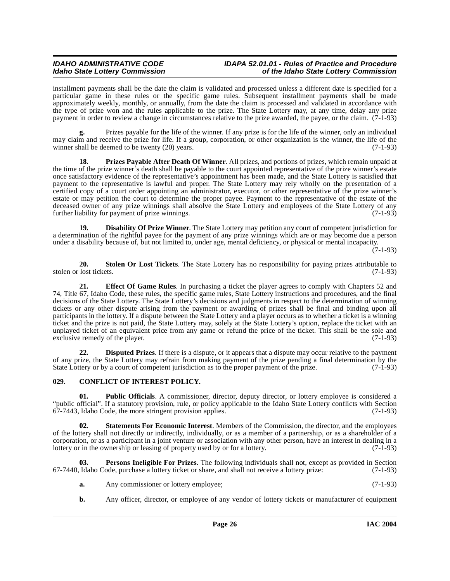installment payments shall be the date the claim is validated and processed unless a different date is specified for a particular game in these rules or the specific game rules. Subsequent installment payments shall be made approximately weekly, monthly, or annually, from the date the claim is processed and validated in accordance with the type of prize won and the rules applicable to the prize. The State Lottery may, at any time, delay any prize payment in order to review a change in circumstances relative to the prize awarded, the payee, or the claim. (7-1-93)

**g.** Prizes payable for the life of the winner. If any prize is for the life of the winner, only an individual may claim and receive the prize for life. If a group, corporation, or other organization is the winner, the life of the winner shall be deemed to be twenty (20) years. (7-1-93)

<span id="page-25-6"></span>**18. Prizes Payable After Death Of Winner**. All prizes, and portions of prizes, which remain unpaid at the time of the prize winner's death shall be payable to the court appointed representative of the prize winner's estate once satisfactory evidence of the representative's appointment has been made, and the State Lottery is satisfied that payment to the representative is lawful and proper. The State Lottery may rely wholly on the presentation of a certified copy of a court order appointing an administrator, executor, or other representative of the prize winner's estate or may petition the court to determine the proper payee. Payment to the representative of the estate of the deceased owner of any prize winnings shall absolve the State Lottery and employees of the State Lottery of any<br>further liability for payment of prize winnings. further liability for payment of prize winnings.

<span id="page-25-2"></span>**19. Disability Of Prize Winner**. The State Lottery may petition any court of competent jurisdiction for a determination of the rightful payee for the payment of any prize winnings which are or may become due a person under a disability because of, but not limited to, under age, mental deficiency, or physical or mental incapacity.

 $(7-1-93)$ 

<span id="page-25-8"></span>**20. 20. Stolen Or Lost Tickets**. The State Lottery has no responsibility for paying prizes attributable to lost tickets. (7-1-93) stolen or lost tickets.

<span id="page-25-4"></span>**21. Effect Of Game Rules**. In purchasing a ticket the player agrees to comply with Chapters 52 and 74, Title 67, Idaho Code, these rules, the specific game rules, State Lottery instructions and procedures, and the final decisions of the State Lottery. The State Lottery's decisions and judgments in respect to the determination of winning tickets or any other dispute arising from the payment or awarding of prizes shall be final and binding upon all participants in the lottery. If a dispute between the State Lottery and a player occurs as to whether a ticket is a winning ticket and the prize is not paid, the State Lottery may, solely at the State Lottery's option, replace the ticket with an unplayed ticket of an equivalent price from any game or refund the price of the ticket. This shall be the sole and exclusive remedy of the player. (7-1-93) exclusive remedy of the player.

<span id="page-25-3"></span>**22. Disputed Prizes**. If there is a dispute, or it appears that a dispute may occur relative to the payment of any prize, the State Lottery may refrain from making payment of the prize pending a final determination by the State Lottery or by a court of competent jurisdiction as to the proper payment of the prize. (7-1-93)

### <span id="page-25-1"></span><span id="page-25-0"></span>**029. CONFLICT OF INTEREST POLICY.**

**01.** Public Officials. A commissioner, director, deputy director, or lottery employee is considered a "public official". If a statutory provision, rule, or policy applicable to the Idaho State Lottery conflicts with Section  $67-7443$ , Idaho Code, the more stringent provision applies.

<span id="page-25-7"></span>**02. Statements For Economic Interest**. Members of the Commission, the director, and the employees of the lottery shall not directly or indirectly, individually, or as a member of a partnership, or as a shareholder of a corporation, or as a participant in a joint venture or association with any other person, have an interest in dealing in a lottery or in the ownership or leasing of property used by or for a lottery. (7-1-93) lottery or in the ownership or leasing of property used by or for a lottery.

**03. Persons Ineligible For Prizes**. The following individuals shall not, except as provided in Section 67-7440, Idaho Code, purchase a lottery ticket or share, and shall not receive a lottery prize: (7-1-93)

- <span id="page-25-5"></span>**a.** Any commissioner or lottery employee; (7-1-93)
- **b.** Any officer, director, or employee of any vendor of lottery tickets or manufacturer of equipment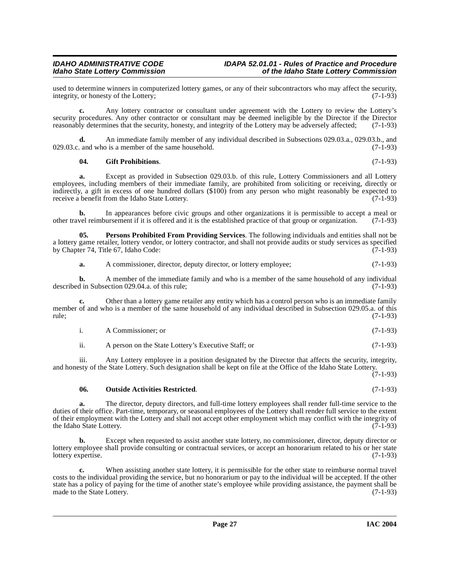used to determine winners in computerized lottery games, or any of their subcontractors who may affect the security, integrity, or honesty of the Lottery: (7-1-93) integrity, or honesty of the Lottery;

**c.** Any lottery contractor or consultant under agreement with the Lottery to review the Lottery's security procedures. Any other contractor or consultant may be deemed ineligible by the Director if the Director reasonably determines that the security, honesty, and integrity of the Lottery may be adversely affected; (7-1-93)

**d.** An immediate family member of any individual described in Subsections 029.03.a., 029.03.b., and and who is a member of the same household.  $029.03.c.$  and who is a member of the same household.

#### <span id="page-26-0"></span>**04. Gift Prohibitions**. (7-1-93)

**a.** Except as provided in Subsection 029.03.b. of this rule, Lottery Commissioners and all Lottery employees, including members of their immediate family, are prohibited from soliciting or receiving, directly or indirectly, a gift in excess of one hundred dollars (\$100) from any person who might reasonably be expected to receive a benefit from the Idaho State Lottery. (7-1-93) receive a benefit from the Idaho State Lottery.

**b.** In appearances before civic groups and other organizations it is permissible to accept a meal or other travel reimbursement if it is offered and it is the established practice of that group or organization. (7-1-93)

**05. Persons Prohibited From Providing Services**. The following individuals and entities shall not be a lottery game retailer, lottery vendor, or lottery contractor, and shall not provide audits or study services as specified<br>by Chapter 74, Title 67, Idaho Code: (7-1-93) by Chapter 74, Title 67, Idaho Code:

<span id="page-26-2"></span>**a.** A commissioner, director, deputy director, or lottery employee; (7-1-93)

**b.** A member of the immediate family and who is a member of the same household of any individual in Subsection 029.04.a. of this rule: (7-1-93) described in Subsection 029.04.a. of this rule;

Other than a lottery game retailer any entity which has a control person who is an immediate family member of and who is a member of the same household of any individual described in Subsection 029.05.a. of this rule: (7-1-93) rule; (7-1-93)

| A Commissioner: or | $(7-1-93)$ |
|--------------------|------------|

ii. A person on the State Lottery's Executive Staff; or (7-1-93)

iii. Any Lottery employee in a position designated by the Director that affects the security, integrity, and honesty of the State Lottery. Such designation shall be kept on file at the Office of the Idaho State Lottery.  $(7-1-93)$ 

<span id="page-26-1"></span>**06. Outside Activities Restricted**. (7-1-93)

**a.** The director, deputy directors, and full-time lottery employees shall render full-time service to the duties of their office. Part-time, temporary, or seasonal employees of the Lottery shall render full service to the extent of their employment with the Lottery and shall not accept other employment which may conflict with the integrity of the Idaho State Lottery. (7-1-93)

**b.** Except when requested to assist another state lottery, no commissioner, director, deputy director or lottery employee shall provide consulting or contractual services, or accept an honorarium related to his or her state<br>(7-1-93) lottery expertise.

**c.** When assisting another state lottery, it is permissible for the other state to reimburse normal travel costs to the individual providing the service, but no honorarium or pay to the individual will be accepted. If the other state has a policy of paying for the time of another state's employee while providing assistance, the payment shall be made to the State Lottery. made to the State Lottery.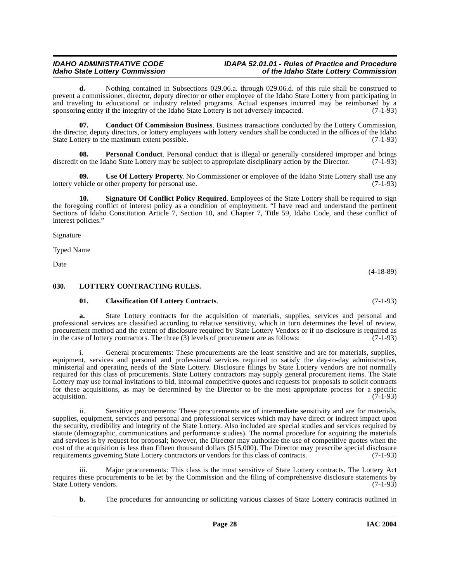#### **IDAHO ADMINISTRATIVE CODE IDAPA 52.01.01 - Rules of Practice and Procedure<br>Idaho State Lottery Commission** of the Idaho State Lottery Commission **Idaho State Lottery Commission of the Idaho State Lottery Commission**

**d.** Nothing contained in Subsections 029.06.a. through 029.06.d. of this rule shall be construed to prevent a commissioner, director, deputy director or other employee of the Idaho State Lottery from participating in and traveling to educational or industry related programs. Actual expenses incurred may be reimbursed by a sponsoring entity if the integrity of the Idaho State Lottery is not adversely impacted. (7-1-93) sponsoring entity if the integrity of the Idaho State Lottery is not adversely impacted.

<span id="page-27-2"></span>**07. Conduct Of Commission Business**. Business transactions conducted by the Lottery Commission, the director, deputy directors, or lottery employees with lottery vendors shall be conducted in the offices of the Idaho State Lottery to the maximum extent possible. (7-1-93)

**Personal Conduct**. Personal conduct that is illegal or generally considered improper and brings discredit on the Idaho State Lottery may be subject to appropriate disciplinary action by the Director. (7-1-93)

<span id="page-27-5"></span>**09. Use Of Lottery Property**. No Commissioner or employee of the Idaho State Lottery shall use any lottery vehicle or other property for personal use. (7-1-93)

<span id="page-27-4"></span>**10. Signature Of Conflict Policy Required**. Employees of the State Lottery shall be required to sign the foregoing conflict of interest policy as a condition of employment. "I have read and understand the pertinent Sections of Idaho Constitution Article 7, Section 10, and Chapter 7, Title 59, Idaho Code, and these conflict of interest policies."

Signature

Typed Name

Date

### (4-18-89)

#### <span id="page-27-0"></span>**030. LOTTERY CONTRACTING RULES.**

### <span id="page-27-3"></span><span id="page-27-1"></span>**01. Classification Of Lottery Contracts**. (7-1-93)

**a.** State Lottery contracts for the acquisition of materials, supplies, services and personal and professional services are classified according to relative sensitivity, which in turn determines the level of review, procurement method and the extent of disclosure required by State Lottery Vendors or if no disclosure is required as in the case of lottery contractors. The three (3) levels of procurement are as follows: (7-1-93) in the case of lottery contractors. The three  $(3)$  levels of procurement are as follows:

i. General procurements: These procurements are the least sensitive and are for materials, supplies, equipment, services and personal and professional services required to satisfy the day-to-day administrative, ministerial and operating needs of the State Lottery. Disclosure filings by State Lottery vendors are not normally required for this class of procurements. State Lottery contractors may supply general procurement items. The State Lottery may use formal invitations to bid, informal competitive quotes and requests for proposals to solicit contracts for these acquisitions, as may be determined by the Director to be the most appropriate process for a specific acquisition.  $(7-1-93)$ 

ii. Sensitive procurements: These procurements are of intermediate sensitivity and are for materials, supplies, equipment, services and personal and professional services which may have direct or indirect impact upon the security, credibility and integrity of the State Lottery. Also included are special studies and services required by statute (demographic, communications and performance studies). The normal procedure for acquiring the materials and services is by request for proposal; however, the Director may authorize the use of competitive quotes when the cost of the acquisition is less than fifteen thousand dollars (\$15,000). The Director may prescribe special disclosure requirements governing State Lottery contractors or vendors for this class of contracts. (7-1-93) requirements governing State Lottery contractors or vendors for this class of contracts.

iii. Major procurements: This class is the most sensitive of State Lottery contracts. The Lottery Act requires these procurements to be let by the Commission and the filing of comprehensive disclosure statements by State Lottery vendors. (7-1-93) State Lottery vendors.

**b.** The procedures for announcing or soliciting various classes of State Lottery contracts outlined in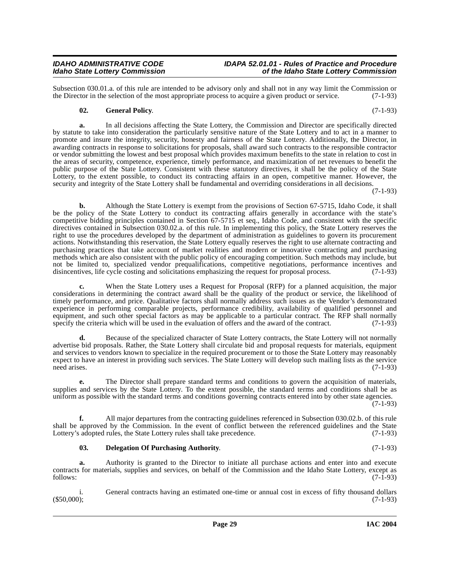Subsection 030.01.a. of this rule are intended to be advisory only and shall not in any way limit the Commission or the Director in the selection of the most appropriate process to acquire a given product or service. (7-1the Director in the selection of the most appropriate process to acquire a given product or service.

### **02. General Policy**. (7-1-93)

**a.** In all decisions affecting the State Lottery, the Commission and Director are specifically directed by statute to take into consideration the particularly sensitive nature of the State Lottery and to act in a manner to promote and insure the integrity, security, honesty and fairness of the State Lottery. Additionally, the Director, in awarding contracts in response to solicitations for proposals, shall award such contracts to the responsible contractor or vendor submitting the lowest and best proposal which provides maximum benefits to the state in relation to cost in the areas of security, competence, experience, timely performance, and maximization of net revenues to benefit the public purpose of the State Lottery. Consistent with these statutory directives, it shall be the policy of the State Lottery, to the extent possible, to conduct its contracting affairs in an open, competitive manner. However, the security and integrity of the State Lottery shall be fundamental and overriding considerations in all decisions.

(7-1-93)

**b.** Although the State Lottery is exempt from the provisions of Section 67-5715, Idaho Code, it shall be the policy of the State Lottery to conduct its contracting affairs generally in accordance with the state's competitive bidding principles contained in Section 67-5715 et seq., Idaho Code, and consistent with the specific directives contained in Subsection 030.02.a. of this rule. In implementing this policy, the State Lottery reserves the right to use the procedures developed by the department of administration as guidelines to govern its procurement actions. Notwithstanding this reservation, the State Lottery equally reserves the right to use alternate contracting and purchasing practices that take account of market realities and modern or innovative contracting and purchasing methods which are also consistent with the public policy of encouraging competition. Such methods may include, but not be limited to, specialized vendor prequalifications, competitive negotiations, performance incentives and disincentives, life cycle costing and solicitations emphasizing the request for proposal process. (7-1-93)

**c.** When the State Lottery uses a Request for Proposal (RFP) for a planned acquisition, the major considerations in determining the contract award shall be the quality of the product or service, the likelihood of timely performance, and price. Qualitative factors shall normally address such issues as the Vendor's demonstrated experience in performing comparable projects, performance credibility, availability of qualified personnel and equipment, and such other special factors as may be applicable to a particular contract. The RFP shall normally specify the criteria which will be used in the evaluation of offers and the award of the contract. (7-1-93)

**d.** Because of the specialized character of State Lottery contracts, the State Lottery will not normally advertise bid proposals. Rather, the State Lottery shall circulate bid and proposal requests for materials, equipment and services to vendors known to specialize in the required procurement or to those the State Lottery may reasonably expect to have an interest in providing such services. The State Lottery will develop such mailing lists as the service need arises. (7-1-93)

**e.** The Director shall prepare standard terms and conditions to govern the acquisition of materials, supplies and services by the State Lottery. To the extent possible, the standard terms and conditions shall be as uniform as possible with the standard terms and conditions governing contracts entered into by other state agencies.

(7-1-93)

**f.** All major departures from the contracting guidelines referenced in Subsection 030.02.b. of this rule shall be approved by the Commission. In the event of conflict between the referenced guidelines and the State Lottery's adopted rules, the State Lottery rules shall take precedence. (7-1-93)

#### <span id="page-28-0"></span>**03. Delegation Of Purchasing Authority**. (7-1-93)

**a.** Authority is granted to the Director to initiate all purchase actions and enter into and execute contracts for materials, supplies and services, on behalf of the Commission and the Idaho State Lottery, except as follows: (7-1-93)

i. General contracts having an estimated one-time or annual cost in excess of fifty thousand dollars (\$50,000);  $(550,000);$  (950,000);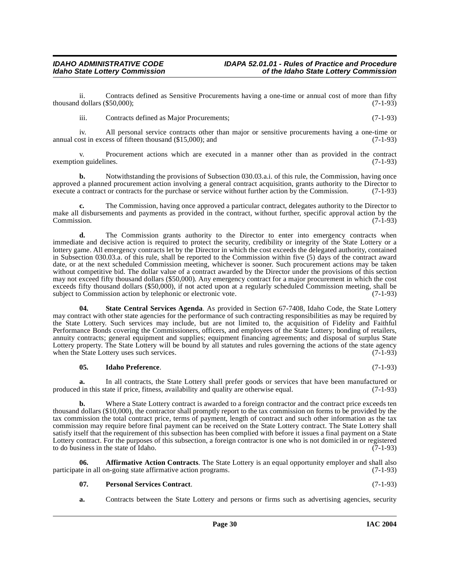ii. Contracts defined as Sensitive Procurements having a one-time or annual cost of more than fifty dollars (\$50,000): (7-1-93) thousand dollars  $(\$50,000)$ ;

iii. Contracts defined as Major Procurements; (7-1-93)

iv. All personal service contracts other than major or sensitive procurements having a one-time or annual cost in excess of fifteen thousand  $(\$15,000)$ ; and  $(\7-1-93)$ 

Procurement actions which are executed in a manner other than as provided in the contract exemption guidelines. (7-1-93)

**b.** Notwithstanding the provisions of Subsection 030.03.a.i. of this rule, the Commission, having once approved a planned procurement action involving a general contract acquisition, grants authority to the Director to execute a contract or contracts for the purchase or service without further action by the Commission. (7-1-93)

**c.** The Commission, having once approved a particular contract, delegates authority to the Director to make all disbursements and payments as provided in the contract, without further, specific approval action by the  $\text{Commission.}$  (7-1-93)

**d.** The Commission grants authority to the Director to enter into emergency contracts when immediate and decisive action is required to protect the security, credibility or integrity of the State Lottery or a lottery game. All emergency contracts let by the Director in which the cost exceeds the delegated authority, contained in Subsection 030.03.a. of this rule, shall be reported to the Commission within five (5) days of the contract award date, or at the next scheduled Commission meeting, whichever is sooner. Such procurement actions may be taken without competitive bid. The dollar value of a contract awarded by the Director under the provisions of this section may not exceed fifty thousand dollars (\$50,000). Any emergency contract for a major procurement in which the cost exceeds fifty thousand dollars (\$50,000), if not acted upon at a regularly scheduled Commission meeting, shall be subject to Commission action by telephonic or electronic vote. (7-1-93)

<span id="page-29-2"></span>**State Central Services Agenda**. As provided in Section 67-7408, Idaho Code, the State Lottery may contract with other state agencies for the performance of such contracting responsibilities as may be required by the State Lottery. Such services may include, but are not limited to, the acquisition of Fidelity and Faithful Performance Bonds covering the Commissioners, officers, and employees of the State Lottery; bonding of retailers, annuity contracts; general equipment and supplies; equipment financing agreements; and disposal of surplus State Lottery property. The State Lottery will be bound by all statutes and rules governing the actions of the state agency when the State Lottery uses such services. (7-1-93) when the State Lottery uses such services.

#### **05. Idaho Preference**. (7-1-93)

**a.** In all contracts, the State Lottery shall prefer goods or services that have been manufactured or produced in this state if price, fitness, availability and quality are otherwise equal. (7-1-93)

**b.** Where a State Lottery contract is awarded to a foreign contractor and the contract price exceeds ten thousand dollars (\$10,000), the contractor shall promptly report to the tax commission on forms to be provided by the tax commission the total contract price, terms of payment, length of contract and such other information as the tax commission may require before final payment can be received on the State Lottery contract. The State Lottery shall satisfy itself that the requirement of this subsection has been complied with before it issues a final payment on a State Lottery contract. For the purposes of this subsection, a foreign contractor is one who is not domiciled in or registered to do business in the state of Idaho. (7-1-93) to do business in the state of Idaho.

**06. Affirmative Action Contracts**. The State Lottery is an equal opportunity employer and shall also participate in all on-going state affirmative action programs. (7-1-93)

<span id="page-29-1"></span><span id="page-29-0"></span>

| 07.<br><b>Personal Services Contract.</b> |  | $(7-1-93)$ |  |  |  |  |
|-------------------------------------------|--|------------|--|--|--|--|
|-------------------------------------------|--|------------|--|--|--|--|

**a.** Contracts between the State Lottery and persons or firms such as advertising agencies, security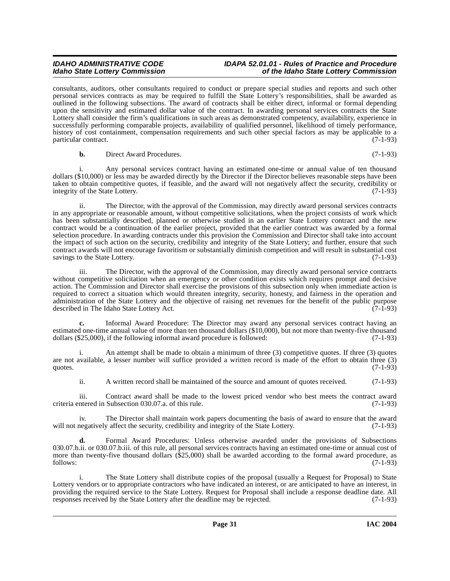### **IDAHO ADMINISTRATIVE CODE IDAPA 52.01.01 - Rules of Practice and Procedure<br>Idaho State Lottery Commission in the Idaho State Lottery Commission Idaho State Lottery Commission of the Idaho State Lottery Commission**

consultants, auditors, other consultants required to conduct or prepare special studies and reports and such other personal services contracts as may be required to fulfill the State Lottery's responsibilities, shall be awarded as outlined in the following subsections. The award of contracts shall be either direct, informal or formal depending upon the sensitivity and estimated dollar value of the contract. In awarding personal services contracts the State Lottery shall consider the firm's qualifications in such areas as demonstrated competency, availability, experience in successfully performing comparable projects, availability of qualified personnel, likelihood of timely performance, history of cost containment, compensation requirements and such other special factors as may be applicable to a particular contract. (7-1-93)

**b.** Direct Award Procedures. (7-1-93)

i. Any personal services contract having an estimated one-time or annual value of ten thousand dollars (\$10,000) or less may be awarded directly by the Director if the Director believes reasonable steps have been taken to obtain competitive quotes, if feasible, and the award will not negatively affect the security, credibility or integrity of the State Lottery. (7-1-93)

ii. The Director, with the approval of the Commission, may directly award personal services contracts in any appropriate or reasonable amount, without competitive solicitations, when the project consists of work which has been substantially described, planned or otherwise studied in an earlier State Lottery contract and the new contract would be a continuation of the earlier project, provided that the earlier contract was awarded by a formal selection procedure. In awarding contracts under this provision the Commission and Director shall take into account the impact of such action on the security, credibility and integrity of the State Lottery; and further, ensure that such contract awards will not encourage favoritism or substantially diminish competition and will result in substantial cost savings to the State Lottery. (7-1-93)

iii. The Director, with the approval of the Commission, may directly award personal service contracts without competitive solicitation when an emergency or other condition exists which requires prompt and decisive action. The Commission and Director shall exercise the provisions of this subsection only when immediate action is required to correct a situation which would threaten integrity, security, honesty, and fairness in the operation and administration of the State Lottery and the objective of raising net revenues for the benefit of the public purpose described in The Idaho State Lottery Act. (7-1-93) described in The Idaho State Lottery Act.

**c.** Informal Award Procedure: The Director may award any personal services contract having an estimated one-time annual value of more than ten thousand dollars (\$10,000), but not more than twenty-five thousand dollars (\$25,000), if the following informal award procedure is followed: (7-1-93) dollars  $(\$25,000)$ , if the following informal award procedure is followed:

i. An attempt shall be made to obtain a minimum of three (3) competitive quotes. If three (3) quotes are not available, a lesser number will suffice provided a written record is made of the effort to obtain three (3) quotes.  $(7-1-93)$ 

ii. A written record shall be maintained of the source and amount of quotes received. (7-1-93)

iii. Contract award shall be made to the lowest priced vendor who best meets the contract award in Subsection 030.07.a. of this rule. (7-1-93) criteria entered in Subsection 030.07.a. of this rule.

iv. The Director shall maintain work papers documenting the basis of award to ensure that the award will not negatively affect the security, credibility and integrity of the State Lottery. (7-1-93)

**d.** Formal Award Procedures: Unless otherwise awarded under the provisions of Subsections 030.07.b.ii. or 030.07.b.iii. of this rule, all personal services contracts having an estimated one-time or annual cost of more than twenty-five thousand dollars (\$25,000) shall be awarded according to the formal award procedure, as follows: (7-1-93)

i. The State Lottery shall distribute copies of the proposal (usually a Request for Proposal) to State Lottery vendors or to appropriate contractors who have indicated an interest, or are anticipated to have an interest, in providing the required service to the State Lottery. Request for Proposal shall include a response deadline date. All responses received by the State Lottery after the deadline may be rejected. (7-1-93) responses received by the State Lottery after the deadline may be rejected.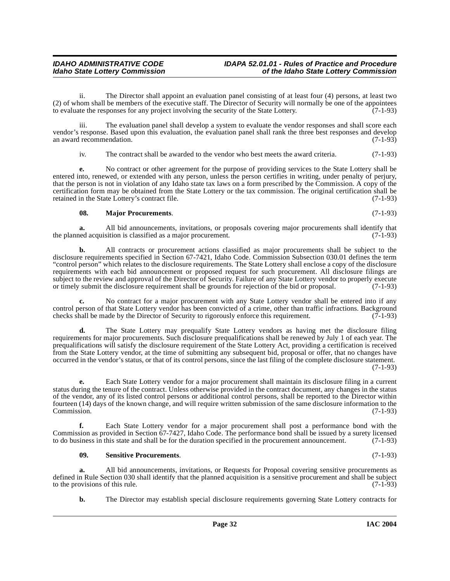ii. The Director shall appoint an evaluation panel consisting of at least four (4) persons, at least two (2) of whom shall be members of the executive staff. The Director of Security will normally be one of the appointees to evaluate the responses for any project involving the security of the State Lottery.  $(7-1-93)$ to evaluate the responses for any project involving the security of the State Lottery.

iii. The evaluation panel shall develop a system to evaluate the vendor responses and shall score each vendor's response. Based upon this evaluation, the evaluation panel shall rank the three best responses and develop an award recommendation. (7-1-93) an award recommendation.

iv. The contract shall be awarded to the vendor who best meets the award criteria. (7-1-93)

**e.** No contract or other agreement for the purpose of providing services to the State Lottery shall be entered into, renewed, or extended with any person, unless the person certifies in writing, under penalty of perjury, that the person is not in violation of any Idaho state tax laws on a form prescribed by the Commission. A copy of the certification form may be obtained from the State Lottery or the tax commission. The original certification shall be retained in the State Lottery's contract file. (7-1-93)

#### <span id="page-31-0"></span>**08. Major Procurements**. (7-1-93)

**a.** All bid announcements, invitations, or proposals covering major procurements shall identify that hed acquisition is classified as a major procurement. (7-1-93) the planned acquisition is classified as a major procurement.

**b.** All contracts or procurement actions classified as major procurements shall be subject to the disclosure requirements specified in Section 67-7421, Idaho Code. Commission Subsection 030.01 defines the term "control person" which relates to the disclosure requirements. The State Lottery shall enclose a copy of the disclosure requirements with each bid announcement or proposed request for such procurement. All disclosure filings are subject to the review and approval of the Director of Security. Failure of any State Lottery vendor to properly execute<br>or timely submit the disclosure requirement shall be grounds for rejection of the bid or proposal. (7or timely submit the disclosure requirement shall be grounds for rejection of the bid or proposal.

No contract for a major procurement with any State Lottery vendor shall be entered into if any control person of that State Lottery vendor has been convicted of a crime, other than traffic infractions. Background checks shall be made by the Director of Security to rigorously enforce this requirement. (7-1-93)

**d.** The State Lottery may prequalify State Lottery vendors as having met the disclosure filing requirements for major procurements. Such disclosure prequalifications shall be renewed by July 1 of each year. The prequalifications will satisfy the disclosure requirement of the State Lottery Act, providing a certification is received from the State Lottery vendor, at the time of submitting any subsequent bid, proposal or offer, that no changes have occurred in the vendor's status, or that of its control persons, since the last filing of the complete disclosure statement. (7-1-93)

**e.** Each State Lottery vendor for a major procurement shall maintain its disclosure filing in a current status during the tenure of the contract. Unless otherwise provided in the contract document, any changes in the status of the vendor, any of its listed control persons or additional control persons, shall be reported to the Director within fourteen (14) days of the known change, and will require written submission of the same disclosure information to the Commission.

**f.** Each State Lottery vendor for a major procurement shall post a performance bond with the Commission as provided in Section 67-7427, Idaho Code. The performance bond shall be issued by a surety licensed to do business in this state and shall be for the duration specified in the procurement announcement. (7-1-93)

#### <span id="page-31-1"></span>**09. Sensitive Procurements**. (7-1-93)

**a.** All bid announcements, invitations, or Requests for Proposal covering sensitive procurements as defined in Rule Section 030 shall identify that the planned acquisition is a sensitive procurement and shall be subject to the provisions of this rule.  $(7-1-93)$ to the provisions of this rule.

**b.** The Director may establish special disclosure requirements governing State Lottery contracts for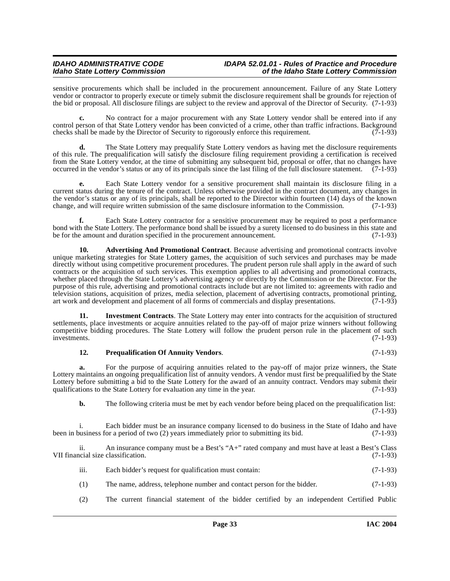sensitive procurements which shall be included in the procurement announcement. Failure of any State Lottery vendor or contractor to properly execute or timely submit the disclosure requirement shall be grounds for rejection of the bid or proposal. All disclosure filings are subject to the review and approval of the Director of Security. (7-1-93)

**c.** No contract for a major procurement with any State Lottery vendor shall be entered into if any control person of that State Lottery vendor has been convicted of a crime, other than traffic infractions. Background checks shall be made by the Director of Security to rigorously enforce this requirement. (7-1-93) checks shall be made by the Director of Security to rigorously enforce this requirement.

**d.** The State Lottery may prequalify State Lottery vendors as having met the disclosure requirements of this rule. The prequalification will satisfy the disclosure filing requirement providing a certification is received from the State Lottery vendor, at the time of submitting any subsequent bid, proposal or offer, that no changes have occurred in the vendor's status or any of its principals since the last filing of the full disclosure statement. (7-1-93)

**e.** Each State Lottery vendor for a sensitive procurement shall maintain its disclosure filing in a current status during the tenure of the contract. Unless otherwise provided in the contract document, any changes in the vendor's status or any of its principals, shall be reported to the Director within fourteen (14) days of the known change, and will require written submission of the same disclosure information to the Commission. (7-1change, and will require written submission of the same disclosure information to the Commission.

**f.** Each State Lottery contractor for a sensitive procurement may be required to post a performance bond with the State Lottery. The performance bond shall be issued by a surety licensed to do business in this state and be for the amount and duration specified in the procurement announcement. (7-1-93) be for the amount and duration specified in the procurement announcement.

<span id="page-32-0"></span>**10. Advertising And Promotional Contract**. Because advertising and promotional contracts involve unique marketing strategies for State Lottery games, the acquisition of such services and purchases may be made directly without using competitive procurement procedures. The prudent person rule shall apply in the award of such contracts or the acquisition of such services. This exemption applies to all advertising and promotional contracts, whether placed through the State Lottery's advertising agency or directly by the Commission or the Director. For the purpose of this rule, advertising and promotional contracts include but are not limited to: agreements with radio and television stations, acquisition of prizes, media selection, placement of advertising contracts, promotional printing, art work and development and placement of all forms of commercials and display presentations. (7-1-93)

**11. Investment Contracts**. The State Lottery may enter into contracts for the acquisition of structured settlements, place investments or acquire annuities related to the pay-off of major prize winners without following competitive bidding procedures. The State Lottery will follow the prudent person rule in the placement of such<br>investments. (7-1-93) investments. (7-1-93)

### <span id="page-32-2"></span><span id="page-32-1"></span>**12. Prequalification Of Annuity Vendors**. (7-1-93)

**a.** For the purpose of acquiring annuities related to the pay-off of major prize winners, the State Lottery maintains an ongoing prequalification list of annuity vendors. A vendor must first be prequalified by the State Lottery before submitting a bid to the State Lottery for the award of an annuity contract. Vendors may submit their qualifications to the State Lottery for evaluation any time in the year. (7-1-93)

**b.** The following criteria must be met by each vendor before being placed on the prequalification list: (7-1-93)

i. Each bidder must be an insurance company licensed to do business in the State of Idaho and have been in business for a period of two (2) years immediately prior to submitting its bid. (7-1-93)

ii. An insurance company must be a Best's "A+" rated company and must have at least a Best's Class cial size classification. (7-1-93) VII financial size classification.

- iii. Each bidder's request for qualification must contain: (7-1-93)
- (1) The name, address, telephone number and contact person for the bidder. (7-1-93)
- (2) The current financial statement of the bidder certified by an independent Certified Public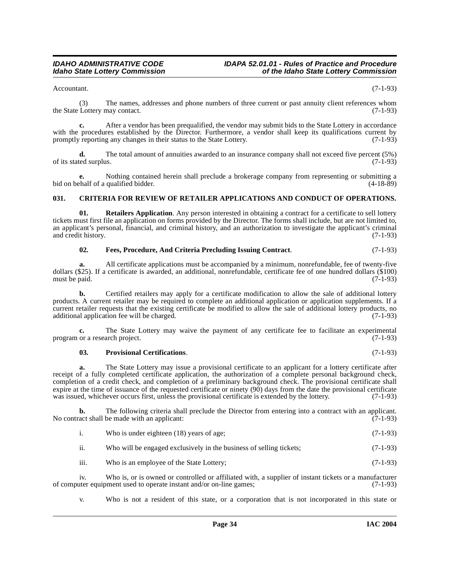Accountant. (7-1-93)

(3) The names, addresses and phone numbers of three current or past annuity client references whom Lottery may contact. (7-1-93) the State Lottery may contact.

**c.** After a vendor has been prequalified, the vendor may submit bids to the State Lottery in accordance with the procedures established by the Director. Furthermore, a vendor shall keep its qualifications current by promptly reporting any changes in their status to the State Lottery. (7-1-93)

**d.** The total amount of annuities awarded to an insurance company shall not exceed five percent (5%) red surplus. (7-1-93) of its stated surplus.

**e.** Nothing contained herein shall preclude a brokerage company from representing or submitting a bid on behalf of a qualified bidder. (4-18-89)

### <span id="page-33-1"></span><span id="page-33-0"></span>**031. CRITERIA FOR REVIEW OF RETAILER APPLICATIONS AND CONDUCT OF OPERATIONS.**

**01. Retailers Application**. Any person interested in obtaining a contract for a certificate to sell lottery tickets must first file an application on forms provided by the Director. The forms shall include, but are not limited to, an applicant's personal, financial, and criminal history, and an authorization to investigate the applicant's criminal and credit history.  $(7-1-93)$ and credit history.

<span id="page-33-2"></span>

| 02. | Fees, Procedure, And Criteria Precluding Issuing Contract. | $(7-1-93)$ |
|-----|------------------------------------------------------------|------------|
|     |                                                            |            |

**a.** All certificate applications must be accompanied by a minimum, nonrefundable, fee of twenty-five dollars (\$25). If a certificate is awarded, an additional, nonrefundable, certificate fee of one hundred dollars (\$100) must be paid. (7-1-93) must be paid.

**b.** Certified retailers may apply for a certificate modification to allow the sale of additional lottery products. A current retailer may be required to complete an additional application or application supplements. If a current retailer requests that the existing certificate be modified to allow the sale of additional lottery products, no additional application fee will be charged. additional application fee will be charged.

**c.** The State Lottery may waive the payment of any certificate fee to facilitate an experimental or a research project. (7-1-93) program or a research project.

#### <span id="page-33-3"></span>**03. Provisional Certifications**. (7-1-93)

**a.** The State Lottery may issue a provisional certificate to an applicant for a lottery certificate after receipt of a fully completed certificate application, the authorization of a complete personal background check, completion of a credit check, and completion of a preliminary background check. The provisional certificate shall expire at the time of issuance of the requested certificate or ninety (90) days from the date the provisional certificate was issued, whichever occurs first, unless the provisional certificate is extended by the lottery. (7-1-93)

**b.** The following criteria shall preclude the Director from entering into a contract with an applicant. (7-1-93)  $(7-1-93)$ No contract shall be made with an applicant:

| Who is under eighteen (18) years of age; | $(7-1-93)$ |
|------------------------------------------|------------|
|                                          |            |

ii. Who will be engaged exclusively in the business of selling tickets;  $(7-1-93)$ 

iii. Who is an employee of the State Lottery; (7-1-93)

iv. Who is, or is owned or controlled or affiliated with, a supplier of instant tickets or a manufacturer equipment used to operate instant and/or on-line games; (7-1-93) of computer equipment used to operate instant and/or on-line games;

v. Who is not a resident of this state, or a corporation that is not incorporated in this state or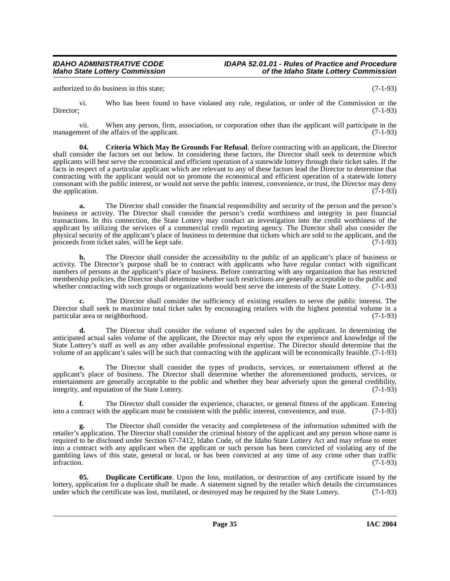authorized to do business in this state; (7-1-93)

vi. Who has been found to have violated any rule, regulation, or order of the Commission or the Director: (7-1-93) Director; (7-1-93)

vii. When any person, firm, association, or corporation other than the applicant will participate in the nent of the affairs of the applicant. (7-1-93) management of the affairs of the applicant.

<span id="page-34-0"></span>**04. Criteria Which May Be Grounds For Refusal**. Before contracting with an applicant, the Director shall consider the factors set out below. In considering these factors, the Director shall seek to determine which applicants will best serve the economical and efficient operation of a statewide lottery through their ticket sales. If the facts in respect of a particular applicant which are relevant to any of these factors lead the Director to determine that contracting with the applicant would not so promote the economical and efficient operation of a statewide lottery consonant with the public interest, or would not serve the public interest, convenience, or trust, the Director may deny the application.  $(7-1-93)$ 

**a.** The Director shall consider the financial responsibility and security of the person and the person's business or activity. The Director shall consider the person's credit worthiness and integrity in past financial transactions. In this connection, the State Lottery may conduct an investigation into the credit worthiness of the applicant by utilizing the services of a commercial credit reporting agency. The Director shall also consider the physical security of the applicant's place of business to determine that tickets which are sold to the applicant, and the proceeds from ticket sales, will be kept safe. proceeds from ticket sales, will be kept safe.

**b.** The Director shall consider the accessibility to the public of an applicant's place of business or activity. The Director's purpose shall be to contract with applicants who have regular contact with significant numbers of persons at the applicant's place of business. Before contracting with any organization that has restricted membership policies, the Director shall determine whether such restrictions are generally acceptable to the public and whether contracting with such groups or organizations would best serve the interests of the State Lottery. (7-1-93)

**c.** The Director shall consider the sufficiency of existing retailers to serve the public interest. The Director shall seek to maximize total ticket sales by encouraging retailers with the highest potential volume in a particular area or neighborhood. (7-1-93)

**d.** The Director shall consider the volume of expected sales by the applicant. In determining the anticipated actual sales volume of the applicant, the Director may rely upon the experience and knowledge of the State Lottery's staff as well as any other available professional expertise. The Director should determine that the volume of an applicant's sales will be such that contracting with the applicant will be economically feasible. (7-1-93)

**e.** The Director shall consider the types of products, services, or entertainment offered at the applicant's place of business. The Director shall determine whether the aforementioned products, services, or entertainment are generally acceptable to the public and whether they bear adversely upon the general credibility, integrity, and reputation of the State Lottery. (7-1-93)

**f.** The Director shall consider the experience, character, or general fitness of the applicant. Entering ntract with the applicant must be consistent with the public interest, convenience, and trust. (7-1-93) into a contract with the applicant must be consistent with the public interest, convenience, and trust.

**g.** The Director shall consider the veracity and completeness of the information submitted with the retailer's application. The Director shall consider the criminal history of the applicant and any person whose name is required to be disclosed under Section 67-7412, Idaho Code, of the Idaho State Lottery Act and may refuse to enter into a contract with any applicant when the applicant or such person has been convicted of violating any of the gambling laws of this state, general or local, or has been convicted at any time of any crime other than traffic infraction. (7-1-93)

<span id="page-34-1"></span>**05. Duplicate Certificate**. Upon the loss, mutilation, or destruction of any certificate issued by the lottery, application for a duplicate shall be made. A statement signed by the retailer which details the circumstances under which the certificate was lost, mutilated, or destroved may be required by the State Lottery. (7under which the certificate was lost, mutilated, or destroyed may be required by the State Lottery.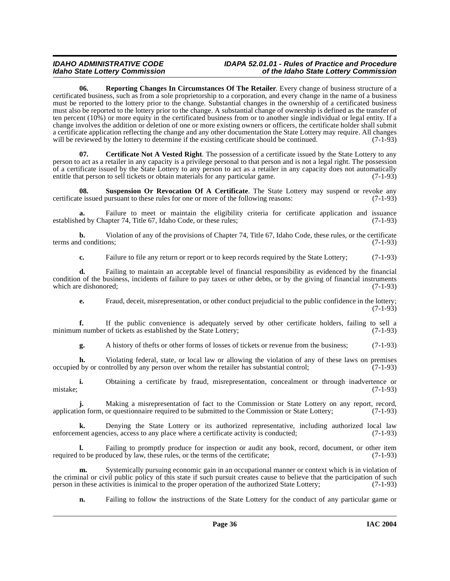<span id="page-35-1"></span>**06. Reporting Changes In Circumstances Of The Retailer**. Every change of business structure of a certificated business, such as from a sole proprietorship to a corporation, and every change in the name of a business must be reported to the lottery prior to the change. Substantial changes in the ownership of a certificated business must also be reported to the lottery prior to the change. A substantial change of ownership is defined as the transfer of ten percent (10%) or more equity in the certificated business from or to another single individual or legal entity. If a change involves the addition or deletion of one or more existing owners or officers, the certificate holder shall submit a certificate application reflecting the change and any other documentation the State Lottery may require. All changes will be reviewed by the lottery to determine if the existing certificate should be continued. (7-1-93)

<span id="page-35-0"></span>**07. Certificate Not A Vested Right**. The possession of a certificate issued by the State Lottery to any person to act as a retailer in any capacity is a privilege personal to that person and is not a legal right. The possession of a certificate issued by the State Lottery to any person to act as a retailer in any capacity does not automatically<br>entitle that person to sell tickets or obtain materials for any particular game. entitle that person to sell tickets or obtain materials for any particular game.

<span id="page-35-2"></span>**08.** Suspension Or Revocation Of A Certificate. The State Lottery may suspend or revoke any e issued pursuant to these rules for one or more of the following reasons: (7-1-93) certificate issued pursuant to these rules for one or more of the following reasons:

Failure to meet or maintain the eligibility criteria for certificate application and issuance established by Chapter 74, Title 67, Idaho Code, or these rules; (7-1-93)

**b.** Violation of any of the provisions of Chapter 74, Title 67, Idaho Code, these rules, or the certificate d conditions; terms and conditions;

**c.** Failure to file any return or report or to keep records required by the State Lottery; (7-1-93)

**d.** Failing to maintain an acceptable level of financial responsibility as evidenced by the financial condition of the business, incidents of failure to pay taxes or other debts, or by the giving of financial instruments which are dishonored; (7-1-93) which are dishonored;

**e.** Fraud, deceit, misrepresentation, or other conduct prejudicial to the public confidence in the lottery;  $(7-1-93)$ 

**f.** If the public convenience is adequately served by other certificate holders, failing to sell a minimum number of tickets as established by the State Lottery; (7-1-93)

**g.** A history of thefts or other forms of losses of tickets or revenue from the business; (7-1-93)

**h.** Violating federal, state, or local law or allowing the violation of any of these laws on premises occupied by or controlled by any person over whom the retailer has substantial control; (7-1-93)

**i.** Obtaining a certificate by fraud, misrepresentation, concealment or through inadvertence or mistake; (7-1-93)

**j.** Making a misrepresentation of fact to the Commission or State Lottery on any report, record, on form, or questionnaire required to be submitted to the Commission or State Lottery; (7-1-93) application form, or questionnaire required to be submitted to the Commission or State Lottery;

**k.** Denying the State Lottery or its authorized representative, including authorized local law enforcement agencies, access to any place where a certificate activity is conducted;  $(7-1-93)$ 

Failing to promptly produce for inspection or audit any book, record, document, or other item duced by law, these rules, or the terms of the certificate: (7-1-93) required to be produced by law, these rules, or the terms of the certificate;

**m.** Systemically pursuing economic gain in an occupational manner or context which is in violation of the criminal or civil public policy of this state if such pursuit creates cause to believe that the participation of such person in these activities is inimical to the proper operation of the authorized State Lottery; (7-1 person in these activities is inimical to the proper operation of the authorized State Lottery;

**n.** Failing to follow the instructions of the State Lottery for the conduct of any particular game or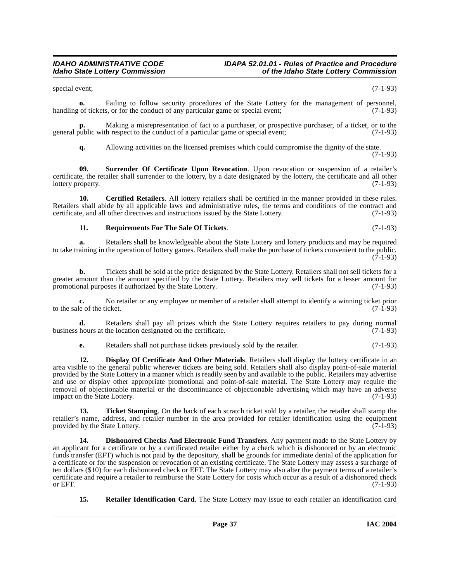special event; (7-1-93)

**o.** Failing to follow security procedures of the State Lottery for the management of personnel, handling of tickets, or for the conduct of any particular game or special event; (7-1-93)

Making a misrepresentation of fact to a purchaser, or prospective purchaser, of a ticket, or to the the conduct of a particular game or special event: (7-1-93) general public with respect to the conduct of a particular game or special event;

<span id="page-36-5"></span>**q.** Allowing activities on the licensed premises which could compromise the dignity of the state.

(7-1-93)

**09. Surrender Of Certificate Upon Revocation**. Upon revocation or suspension of a retailer's certificate, the retailer shall surrender to the lottery, by a date designated by the lottery, the certificate and all other lottery property. (7-1-93)

**10. Certified Retailers**. All lottery retailers shall be certified in the manner provided in these rules. Retailers shall abide by all applicable laws and administrative rules, the terms and conditions of the contract and certificate, and all other directives and instructions issued by the State Lottery. (7-1-93) certificate, and all other directives and instructions issued by the State Lottery.

### <span id="page-36-3"></span><span id="page-36-0"></span>**11. Requirements For The Sale Of Tickets**. (7-1-93)

**a.** Retailers shall be knowledgeable about the State Lottery and lottery products and may be required to take training in the operation of lottery games. Retailers shall make the purchase of tickets convenient to the public.  $(7-1-93)$ 

**b.** Tickets shall be sold at the price designated by the State Lottery. Retailers shall not sell tickets for a greater amount than the amount specified by the State Lottery. Retailers may sell tickets for a lesser amount for promotional purposes if authorized by the State Lottery. promotional purposes if authorized by the State Lottery.

**c.** No retailer or any employee or member of a retailer shall attempt to identify a winning ticket prior le of the ticket. (7-1-93) to the sale of the ticket.

**d.** Retailers shall pay all prizes which the State Lottery requires retailers to pay during normal hours at the location designated on the certificate. (7-1-93) business hours at the location designated on the certificate.

<span id="page-36-2"></span>**e.** Retailers shall not purchase tickets previously sold by the retailer. (7-1-93)

**12. Display Of Certificate And Other Materials**. Retailers shall display the lottery certificate in an area visible to the general public wherever tickets are being sold. Retailers shall also display point-of-sale material provided by the State Lottery in a manner which is readily seen by and available to the public. Retailers may advertise and use or display other appropriate promotional and point-of-sale material. The State Lottery may require the removal of objectionable material or the discontinuance of objectionable advertising which may have an adverse impact on the State Lottery. (7-1-93)

<span id="page-36-6"></span>**13. Ticket Stamping**. On the back of each scratch ticket sold by a retailer, the retailer shall stamp the retailer's name, address, and retailer number in the area provided for retailer identification using the equipment provided by the State Lottery. (7-1-93)

<span id="page-36-1"></span>**14. Dishonored Checks And Electronic Fund Transfers**. Any payment made to the State Lottery by an applicant for a certificate or by a certificated retailer either by a check which is dishonored or by an electronic funds transfer (EFT) which is not paid by the depository, shall be grounds for immediate denial of the application for a certificate or for the suspension or revocation of an existing certificate. The State Lottery may assess a surcharge of ten dollars (\$10) for each dishonored check or EFT. The State Lottery may also alter the payment terms of a retailer's certificate and require a retailer to reimburse the State Lottery for costs which occur as a result of a dishonored check or EFT.  $(7-1-93)$ 

<span id="page-36-4"></span>**15. Retailer Identification Card**. The State Lottery may issue to each retailer an identification card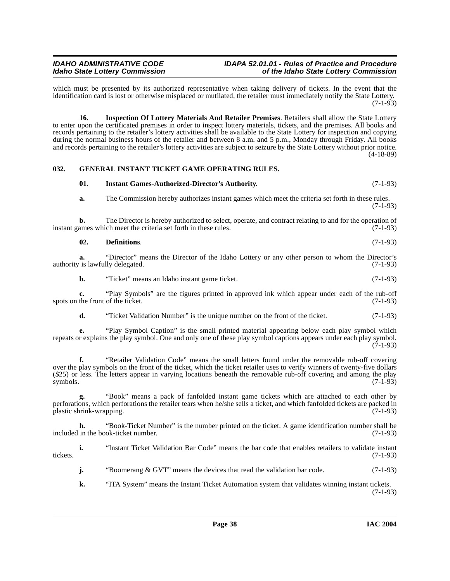which must be presented by its authorized representative when taking delivery of tickets. In the event that the identification card is lost or otherwise misplaced or mutilated, the retailer must immediately notify the State Lottery.  $(7-1-93)$ 

<span id="page-37-3"></span>**16. Inspection Of Lottery Materials And Retailer Premises**. Retailers shall allow the State Lottery to enter upon the certificated premises in order to inspect lottery materials, tickets, and the premises. All books and records pertaining to the retailer's lottery activities shall be available to the State Lottery for inspection and copying during the normal business hours of the retailer and between 8 a.m. and 5 p.m., Monday through Friday. All books and records pertaining to the retailer's lottery activities are subject to seizure by the State Lottery without prior notice. (4-18-89)

### <span id="page-37-0"></span>**032. GENERAL INSTANT TICKET GAME OPERATING RULES.**

### <span id="page-37-4"></span><span id="page-37-2"></span>**01. Instant Games-Authorized-Director's Authority**. (7-1-93)

**a.** The Commission hereby authorizes instant games which meet the criteria set forth in these rules. (7-1-93)

**b.** The Director is hereby authorized to select, operate, and contract relating to and for the operation of instant games which meet the criteria set forth in these rules. (7-1-93)

### <span id="page-37-1"></span>**02. Definitions**. (7-1-93)

**a.** "Director" means the Director of the Idaho Lottery or any other person to whom the Director's authority is lawfully delegated. (7-1-93)

**b.** "Ticket" means an Idaho instant game ticket. (7-1-93)

**c.** "Play Symbols" are the figures printed in approved ink which appear under each of the rub-off the front of the ticket. (7-1-93) spots on the front of the ticket.

**d.** "Ticket Validation Number" is the unique number on the front of the ticket. (7-1-93)

**e.** "Play Symbol Caption" is the small printed material appearing below each play symbol which repeats or explains the play symbol. One and only one of these play symbol captions appears under each play symbol.  $(7-1-93)$ 

**f.** "Retailer Validation Code" means the small letters found under the removable rub-off covering over the play symbols on the front of the ticket, which the ticket retailer uses to verify winners of twenty-five dollars (\$25) or less. The letters appear in varying locations beneath the removable rub-off covering and among the play symbols.  $(7-1-93)$ 

**g.** "Book" means a pack of fanfolded instant game tickets which are attached to each other by perforations, which perforations the retailer tears when he/she sells a ticket, and which fanfolded tickets are packed in plastic shrink-wrapping. (7-1-93) plastic shrink-wrapping.

**h.** "Book-Ticket Number" is the number printed on the ticket. A game identification number shall be included in the book-ticket number. (7-1-93)

**i.** "Instant Ticket Validation Bar Code" means the bar code that enables retailers to validate instant (7-1-93) tickets. (7-1-93)

**j.** "Boomerang & GVT" means the devices that read the validation bar code.  $(7-1-93)$ 

**k.** "ITA System" means the Instant Ticket Automation system that validates winning instant tickets. (7-1-93)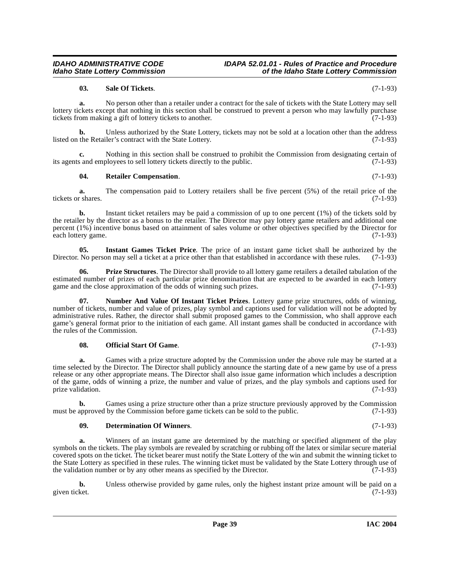#### **03. Sale Of Tickets**. (7-1-93)

**a.** No person other than a retailer under a contract for the sale of tickets with the State Lottery may sell lottery tickets except that nothing in this section shall be construed to prevent a person who may lawfully purchase tickets from making a gift of lottery tickets to another. (7-1-93)

**b.** Unless authorized by the State Lottery, tickets may not be sold at a location other than the address listed on the Retailer's contract with the State Lottery. (7-1-93)

Nothing in this section shall be construed to prohibit the Commission from designating certain of ployees to sell lottery tickets directly to the public. (7-1-93) its agents and employees to sell lottery tickets directly to the public.

#### <span id="page-38-5"></span>**04. Retailer Compensation**. (7-1-93)

**a.** The compensation paid to Lottery retailers shall be five percent (5%) of the retail price of the r shares. (7-1-93) tickets or shares.

**b.** Instant ticket retailers may be paid a commission of up to one percent (1%) of the tickets sold by the retailer by the director as a bonus to the retailer. The Director may pay lottery game retailers and additional one percent (1%) incentive bonus based on attainment of sales volume or other objectives specified by the Director for each lottery game. (7-1-93)

<span id="page-38-1"></span>**05.** Instant Games Ticket Price. The price of an instant game ticket shall be authorized by the No person may sell a ticket at a price other than that established in accordance with these rules. (7-1-93) Director. No person may sell a ticket at a price other than that established in accordance with these rules.

<span id="page-38-4"></span>**06. Prize Structures**. The Director shall provide to all lottery game retailers a detailed tabulation of the estimated number of prizes of each particular prize denomination that are expected to be awarded in each lottery game and the close approximation of the odds of winning such prizes. (7-1-93)

<span id="page-38-2"></span>**07. Number And Value Of Instant Ticket Prizes**. Lottery game prize structures, odds of winning, number of tickets, number and value of prizes, play symbol and captions used for validation will not be adopted by administrative rules. Rather, the director shall submit proposed games to the Commission, who shall approve each game's general format prior to the initiation of each game. All instant games shall be conducted in accordance with the rules of the Commission. (7-1-93)

#### <span id="page-38-3"></span>**08. Official Start Of Game**. (7-1-93)

**a.** Games with a prize structure adopted by the Commission under the above rule may be started at a time selected by the Director. The Director shall publicly announce the starting date of a new game by use of a press release or any other appropriate means. The Director shall also issue game information which includes a description of the game, odds of winning a prize, the number and value of prizes, and the play symbols and captions used for prize validation. (7-1-93)

**b.** Games using a prize structure other than a prize structure previously approved by the Commission approved by the Commission before game tickets can be sold to the public. (7-1-93) must be approved by the Commission before game tickets can be sold to the public.

#### <span id="page-38-0"></span>**09. Determination Of Winners**. (7-1-93)

**a.** Winners of an instant game are determined by the matching or specified alignment of the play symbols on the tickets. The play symbols are revealed by scratching or rubbing off the latex or similar secure material covered spots on the ticket. The ticket bearer must notify the State Lottery of the win and submit the winning ticket to the State Lottery as specified in these rules. The winning ticket must be validated by the State Lottery through use of the validation number or by any other means as specified by the Director. (7-1-93)

**b.** Unless otherwise provided by game rules, only the highest instant prize amount will be paid on a given ticket. (7-1-93) given ticket. (7-1-93)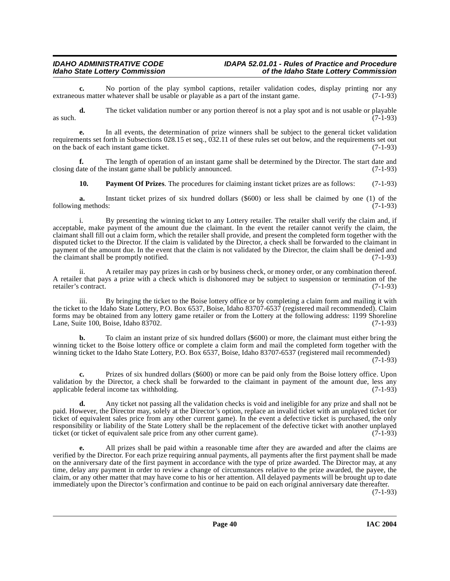**c.** No portion of the play symbol captions, retailer validation codes, display printing nor any us matter whatever shall be usable or playable as a part of the instant game. (7-1-93) extraneous matter whatever shall be usable or playable as a part of the instant game.

**d.** The ticket validation number or any portion thereof is not a play spot and is not usable or playable  $\alpha$  as such. (7-1-93)

**e.** In all events, the determination of prize winners shall be subject to the general ticket validation requirements set forth in Subsections 028.15 et seq., 032.11 of these rules set out below, and the requirements set out on the back of each instant game ticket. (7-1-93)

**f.** The length of operation of an instant game shall be determined by the Director. The start date and late of the instant game shall be publicly announced. (7-1-93) closing date of the instant game shall be publicly announced.

<span id="page-39-0"></span>**10. Payment Of Prizes**. The procedures for claiming instant ticket prizes are as follows: (7-1-93)

**a.** Instant ticket prizes of six hundred dollars (\$600) or less shall be claimed by one (1) of the g methods: (7-1-93) following methods:

i. By presenting the winning ticket to any Lottery retailer. The retailer shall verify the claim and, if acceptable, make payment of the amount due the claimant. In the event the retailer cannot verify the claim, the claimant shall fill out a claim form, which the retailer shall provide, and present the completed form together with the disputed ticket to the Director. If the claim is validated by the Director, a check shall be forwarded to the claimant in payment of the amount due. In the event that the claim is not validated by the Director, the claim shall be denied and the claimant shall be promptly notified.

ii. A retailer may pay prizes in cash or by business check, or money order, or any combination thereof. A retailer that pays a prize with a check which is dishonored may be subject to suspension or termination of the retailer's contract. (7-1-93)

iii. By bringing the ticket to the Boise lottery office or by completing a claim form and mailing it with the ticket to the Idaho State Lottery, P.O. Box 6537, Boise, Idaho 83707-6537 (registered mail recommended). Claim forms may be obtained from any lottery game retailer or from the Lottery at the following address: 1199 Shoreline Lane, Suite 100, Boise, Idaho 83702. (7-1-93)

**b.** To claim an instant prize of six hundred dollars (\$600) or more, the claimant must either bring the winning ticket to the Boise lottery office or complete a claim form and mail the completed form together with the winning ticket to the Idaho State Lottery, P.O. Box 6537, Boise, Idaho 83707-6537 (registered mail recommended) (7-1-93)

**c.** Prizes of six hundred dollars (\$600) or more can be paid only from the Boise lottery office. Upon validation by the Director, a check shall be forwarded to the claimant in payment of the amount due, less any applicable federal income tax withholding. (7-1-93) applicable federal income tax withholding.

**d.** Any ticket not passing all the validation checks is void and ineligible for any prize and shall not be paid. However, the Director may, solely at the Director's option, replace an invalid ticket with an unplayed ticket (or ticket of equivalent sales price from any other current game). In the event a defective ticket is purchased, the only responsibility or liability of the State Lottery shall be the replacement of the defective ticket with another unplayed ticket (or ticket of equivalent sale price from any other current game). (7-1-93)

**e.** All prizes shall be paid within a reasonable time after they are awarded and after the claims are verified by the Director. For each prize requiring annual payments, all payments after the first payment shall be made on the anniversary date of the first payment in accordance with the type of prize awarded. The Director may, at any time, delay any payment in order to review a change of circumstances relative to the prize awarded, the payee, the claim, or any other matter that may have come to his or her attention. All delayed payments will be brought up to date immediately upon the Director's confirmation and continue to be paid on each original anniversary date thereafter. (7-1-93)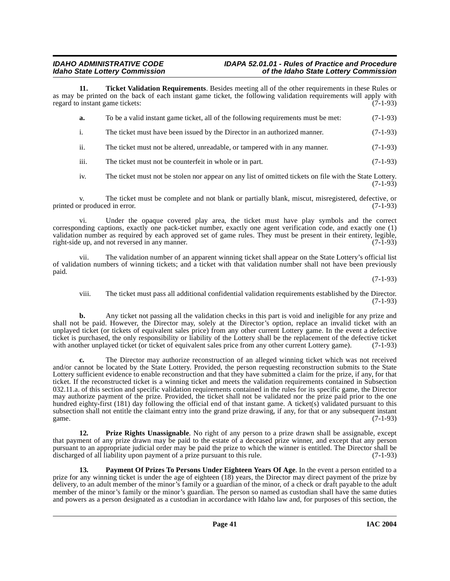#### **IDAHO ADMINISTRATIVE CODE IDAPA 52.01.01 - Rules of Practice and Procedure<br>Idaho State Lottery Commission in the Idaho State Lottery Commission Idaho State Lottery Commission of the Idaho State Lottery Commission**

**11. Ticket Validation Requirements**. Besides meeting all of the other requirements in these Rules or as may be printed on the back of each instant game ticket, the following validation requirements will apply with regard to instant game tickets:  $(7-1-93)$ regard to instant game tickets:

<span id="page-40-2"></span>

| а.             | To be a valid instant game ticket, all of the following requirements must be met: | $(7-1-93)$ |
|----------------|-----------------------------------------------------------------------------------|------------|
| $\blacksquare$ | The ticket must have been issued by the Director in an authorized manner.         | $(7-1-93)$ |
| ii.            | The ticket must not be altered, unreadable, or tampered with in any manner.       | $(7-1-93)$ |

iii. The ticket must not be counterfeit in whole or in part. (7-1-93)

iv. The ticket must not be stolen nor appear on any list of omitted tickets on file with the State Lottery.  $(7-1-93)$ 

v. The ticket must be complete and not blank or partially blank, miscut, misregistered, defective, or produced in error. (7-1-93) printed or produced in error.

vi. Under the opaque covered play area, the ticket must have play symbols and the correct corresponding captions, exactly one pack-ticket number, exactly one agent verification code, and exactly one (1) validation number as required by each approved set of game rules. They must be present in their entirety, legible, right-side up, and not reversed in any manner. right-side up, and not reversed in any manner.

vii. The validation number of an apparent winning ticket shall appear on the State Lottery's official list of validation numbers of winning tickets; and a ticket with that validation number shall not have been previously paid.

(7-1-93)

viii. The ticket must pass all additional confidential validation requirements established by the Director. (7-1-93)

**b.** Any ticket not passing all the validation checks in this part is void and ineligible for any prize and shall not be paid. However, the Director may, solely at the Director's option, replace an invalid ticket with an unplayed ticket (or tickets of equivalent sales price) from any other current Lottery game. In the event a defective ticket is purchased, the only responsibility or liability of the Lottery shall be the replacement of the defective ticket with another unplayed ticket (or ticket of equivalent sales price from any other current Lottery game). (7-1-93)

**c.** The Director may authorize reconstruction of an alleged winning ticket which was not received and/or cannot be located by the State Lottery. Provided, the person requesting reconstruction submits to the State Lottery sufficient evidence to enable reconstruction and that they have submitted a claim for the prize, if any, for that ticket. If the reconstructed ticket is a winning ticket and meets the validation requirements contained in Subsection 032.11.a. of this section and specific validation requirements contained in the rules for its specific game, the Director may authorize payment of the prize. Provided, the ticket shall not be validated nor the prize paid prior to the one hundred eighty-first (181) day following the official end of that instant game. A ticket(s) validated pursuant to this subsection shall not entitle the claimant entry into the grand prize drawing, if any, for that or any subsequent instant game. game.  $(7-1-93)$ 

<span id="page-40-1"></span>**12. Prize Rights Unassignable**. No right of any person to a prize drawn shall be assignable, except that payment of any prize drawn may be paid to the estate of a deceased prize winner, and except that any person pursuant to an appropriate judicial order may be paid the prize to which the winner is entitled. The Director shall be discharged of all liability upon payment of a prize pursuant to this rule.

<span id="page-40-0"></span>**13. Payment Of Prizes To Persons Under Eighteen Years Of Age**. In the event a person entitled to a prize for any winning ticket is under the age of eighteen (18) years, the Director may direct payment of the prize by delivery, to an adult member of the minor's family or a guardian of the minor, of a check or draft payable to the adult member of the minor's family or the minor's guardian. The person so named as custodian shall have the same duties and powers as a person designated as a custodian in accordance with Idaho law and, for purposes of this section, the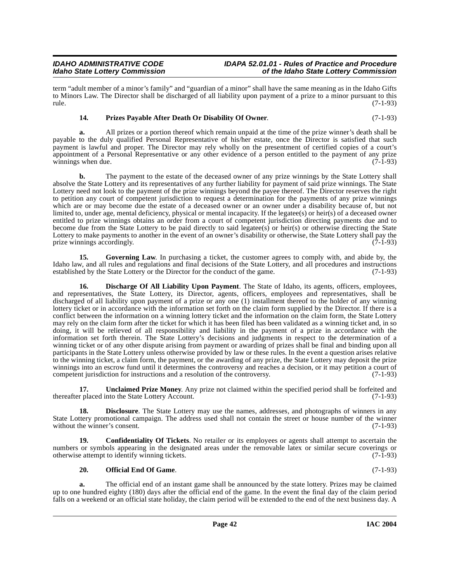term "adult member of a minor's family" and "guardian of a minor" shall have the same meaning as in the Idaho Gifts to Minors Law. The Director shall be discharged of all liability upon payment of a prize to a minor pursuant to this rule. (7-1-93)

### <span id="page-41-4"></span>**14. Prizes Payable After Death Or Disability Of Owner**. (7-1-93)

**a.** All prizes or a portion thereof which remain unpaid at the time of the prize winner's death shall be payable to the duly qualified Personal Representative of his/her estate, once the Director is satisfied that such payment is lawful and proper. The Director may rely wholly on the presentment of certified copies of a court's appointment of a Personal Representative or any other evidence of a person entitled to the payment of any prize<br>winnings when due. (7-1-93) winnings when due.

**b.** The payment to the estate of the deceased owner of any prize winnings by the State Lottery shall absolve the State Lottery and its representatives of any further liability for payment of said prize winnings. The State Lottery need not look to the payment of the prize winnings beyond the payee thereof. The Director reserves the right to petition any court of competent jurisdiction to request a determination for the payments of any prize winnings which are or may become due the estate of a deceased owner or an owner under a disability because of, but not limited to, under age, mental deficiency, physical or mental incapacity. If the legatee(s) or heir(s) of a deceased owner entitled to prize winnings obtains an order from a court of competent jurisdiction directing payments due and to become due from the State Lottery to be paid directly to said legatee(s) or heir(s) or otherwise directing the State Lottery to make payments to another in the event of an owner's disability or otherwise, the State Lottery shall pay the prize winnings accordingly. prize winnings accordingly.

<span id="page-41-2"></span>**15.** Governing Law. In purchasing a ticket, the customer agrees to comply with, and abide by, the Idaho law, and all rules and regulations and final decisions of the State Lottery, and all procedures and instructions established by the State Lottery or the Director for the conduct of the game.

<span id="page-41-1"></span>**16. Discharge Of All Liability Upon Payment**. The State of Idaho, its agents, officers, employees, and representatives, the State Lottery, its Director, agents, officers, employees and representatives, shall be discharged of all liability upon payment of a prize or any one (1) installment thereof to the holder of any winning lottery ticket or in accordance with the information set forth on the claim form supplied by the Director. If there is a conflict between the information on a winning lottery ticket and the information on the claim form, the State Lottery may rely on the claim form after the ticket for which it has been filed has been validated as a winning ticket and, in so doing, it will be relieved of all responsibility and liability in the payment of a prize in accordance with the information set forth therein. The State Lottery's decisions and judgments in respect to the determination of a winning ticket or of any other dispute arising from payment or awarding of prizes shall be final and binding upon all participants in the State Lottery unless otherwise provided by law or these rules. In the event a question arises relative to the winning ticket, a claim form, the payment, or the awarding of any prize, the State Lottery may deposit the prize winnings into an escrow fund until it determines the controversy and reaches a decision, or it may petition a court of competent iurisdiction for instructions and a resolution of the controversy. (7-1-93) competent jurisdiction for instructions and a resolution of the controversy.

<span id="page-41-5"></span>**17.** Unclaimed Prize Money. Any prize not claimed within the specified period shall be forfeited and thereafter placed into the State Lottery Account. (7-1-93)

18. **Disclosure**. The State Lottery may use the names, addresses, and photographs of winners in any State Lottery promotional campaign. The address used shall not contain the street or house number of the winner without the winner's consent. (7-1-93)

**19. Confidentiality Of Tickets**. No retailer or its employees or agents shall attempt to ascertain the numbers or symbols appearing in the designated areas under the removable latex or similar secure coverings or otherwise attempt to identify winning tickets. (7-1-93) otherwise attempt to identify winning tickets.

#### <span id="page-41-3"></span><span id="page-41-0"></span>**20. Official End Of Game**. (7-1-93)

**a.** The official end of an instant game shall be announced by the state lottery. Prizes may be claimed up to one hundred eighty (180) days after the official end of the game. In the event the final day of the claim period falls on a weekend or an official state holiday, the claim period will be extended to the end of the next business day. A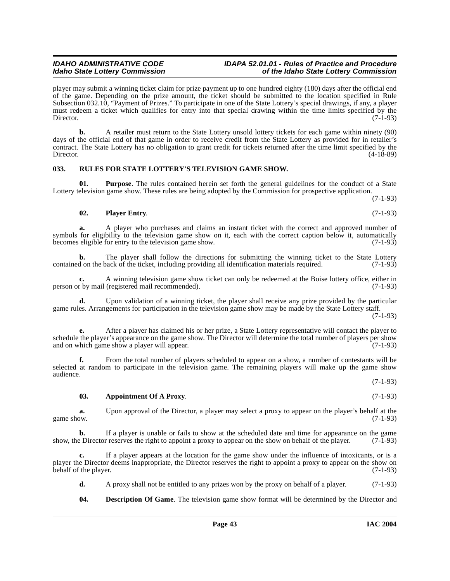player may submit a winning ticket claim for prize payment up to one hundred eighty (180) days after the official end of the game. Depending on the prize amount, the ticket should be submitted to the location specified in Rule Subsection 032.10, "Payment of Prizes." To participate in one of the State Lottery's special drawings, if any, a player must redeem a ticket which qualifies for entry into that special drawing within the time limits specified by the Director. (7-1-93)

**b.** A retailer must return to the State Lottery unsold lottery tickets for each game within ninety (90) days of the official end of that game in order to receive credit from the State Lottery as provided for in retailer's contract. The State Lottery has no obligation to grant credit for tickets returned after the time limit specified by the Director. (4-18-89)

### <span id="page-42-4"></span><span id="page-42-0"></span>**033. RULES FOR STATE LOTTERY'S TELEVISION GAME SHOW.**

**01. Purpose**. The rules contained herein set forth the general guidelines for the conduct of a State Lottery television game show. These rules are being adopted by the Commission for prospective application.

(7-1-93)

#### <span id="page-42-3"></span>**02. Player Entry**. (7-1-93)

**a.** A player who purchases and claims an instant ticket with the correct and approved number of symbols for eligibility to the television game show on it, each with the correct caption below it, automatically becomes eligible for entry to the television game show.  $(7-1-93)$ becomes eligible for entry to the television game show.

**b.** The player shall follow the directions for submitting the winning ticket to the State Lottery contained on the back of the ticket, including providing all identification materials required. (7-1-93)

**c.** A winning television game show ticket can only be redeemed at the Boise lottery office, either in r by mail (registered mail recommended). (7-1-93) person or by mail (registered mail recommended).

**d.** Upon validation of a winning ticket, the player shall receive any prize provided by the particular game rules. Arrangements for participation in the television game show may be made by the State Lottery staff.

(7-1-93)

**e.** After a player has claimed his or her prize, a State Lottery representative will contact the player to schedule the player's appearance on the game show. The Director will determine the total number of players per show<br>(7-1-93) (7-1-93) and on which game show a player will appear.

**f.** From the total number of players scheduled to appear on a show, a number of contestants will be selected at random to participate in the television game. The remaining players will make up the game show audience.

(7-1-93)

#### <span id="page-42-1"></span>**03. Appointment Of A Proxy**. (7-1-93)

**a.** Upon approval of the Director, a player may select a proxy to appear on the player's behalf at the game show. (7-1-93) game show.  $(7-1-93)$ 

**b.** If a player is unable or fails to show at the scheduled date and time for appearance on the game show, the Director reserves the right to appoint a proxy to appear on the show on behalf of the player. (7-1-93)

**c.** If a player appears at the location for the game show under the influence of intoxicants, or is a player the Director deems inappropriate, the Director reserves the right to appoint a proxy to appear on the show on behalf of the player. (7-1-93)

**d.** A proxy shall not be entitled to any prizes won by the proxy on behalf of a player. (7-1-93)

### <span id="page-42-2"></span>**04. Description Of Game**. The television game show format will be determined by the Director and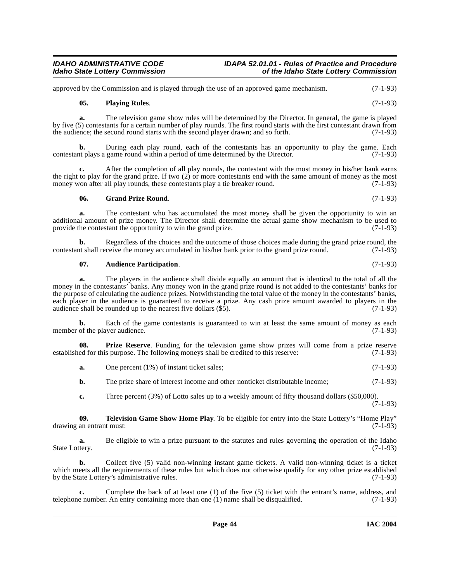approved by the Commission and is played through the use of an approved game mechanism. (7-1-93)

#### **05. Playing Rules**. (7-1-93)

**a.** The television game show rules will be determined by the Director. In general, the game is played by five (5) contestants for a certain number of play rounds. The first round starts with the first contestant drawn from the audience: the second round starts with the second player drawn: and so forth.  $(7-1-93)$ the audience; the second round starts with the second player drawn; and so forth.

**b.** During each play round, each of the contestants has an opportunity to play the game. Each contestant plays a game round within a period of time determined by the Director. (7-1-93)

**c.** After the completion of all play rounds, the contestant with the most money in his/her bank earns the right to play for the grand prize. If two  $(2)$  or more contestants end with the same amount of money as the most money won after all play rounds, these contestants play a tie breaker round. (7-1-93)

#### **06. Grand Prize Round**. (7-1-93)

**a.** The contestant who has accumulated the most money shall be given the opportunity to win an additional amount of prize money. The Director shall determine the actual game show mechanism to be used to provide the contestant the opportunity to win the grand prize. (7-1-93)

**b.** Regardless of the choices and the outcome of those choices made during the grand prize round, the thank that shall receive the money accumulated in his/her bank prior to the grand prize round. (7-1-93) contestant shall receive the money accumulated in his/her bank prior to the grand prize round.

### <span id="page-43-0"></span>**07. Audience Participation**. (7-1-93)

**a.** The players in the audience shall divide equally an amount that is identical to the total of all the money in the contestants' banks. Any money won in the grand prize round is not added to the contestants' banks for the purpose of calculating the audience prizes. Notwithstanding the total value of the money in the contestants' banks, each player in the audience is guaranteed to receive a prize. Any cash prize amount awarded to players in the audience shall be rounded up to the nearest five dollars (\$5). (7-1-93) audience shall be rounded up to the nearest five dollars  $(\hat{\$5})$ .

**b.** Each of the game contestants is guaranteed to win at least the same amount of money as each member of the player audience. (7-1-93)

**08. Prize Reserve**. Funding for the television game show prizes will come from a prize reserve ed for this purpose. The following moneys shall be credited to this reserve: (7-1-93) established for this purpose. The following moneys shall be credited to this reserve:

<span id="page-43-1"></span>**a.** One percent (1%) of instant ticket sales; (7-1-93)

**b.** The prize share of interest income and other nonticket distributable income; (7-1-93)

<span id="page-43-2"></span>**c.** Three percent (3%) of Lotto sales up to a weekly amount of fifty thousand dollars (\$50,000).

 $(7-1-93)$ 

**09. Television Game Show Home Play**. To be eligible for entry into the State Lottery's "Home Play" drawing an entrant must: (7-1-93)

**a.** Be eligible to win a prize pursuant to the statutes and rules governing the operation of the Idaho (7-1-93) State Lottery.

**b.** Collect five (5) valid non-winning instant game tickets. A valid non-winning ticket is a ticket which meets all the requirements of these rules but which does not otherwise qualify for any other prize established by the State Lottery's administrative rules. (7-1-93)

**c.** Complete the back of at least one (1) of the five (5) ticket with the entrant's name, address, and e number. An entry containing more than one (1) name shall be disqualified.  $(7-1-93)$ telephone number. An entry containing more than one  $(1)$  name shall be disqualified.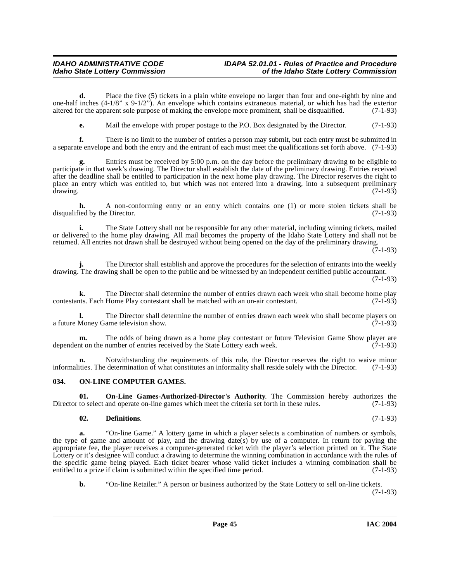**d.** Place the five (5) tickets in a plain white envelope no larger than four and one-eighth by nine and one-half inches  $(4-1/8$ " x 9-1/2"). An envelope which contains extraneous material, or which has had the exterior altered for the apparent sole purpose of making the envelope more prominent, shall be disqualified.  $(7-1$ altered for the apparent sole purpose of making the envelope more prominent, shall be disqualified.

**e.** Mail the envelope with proper postage to the P.O. Box designated by the Director. (7-1-93)

**f.** There is no limit to the number of entries a person may submit, but each entry must be submitted in a separate envelope and both the entry and the entrant of each must meet the qualifications set forth above. (7-1-93)

Entries must be received by 5:00 p.m. on the day before the preliminary drawing to be eligible to participate in that week's drawing. The Director shall establish the date of the preliminary drawing. Entries received after the deadline shall be entitled to participation in the next home play drawing. The Director reserves the right to place an entry which was entitled to, but which was not entered into a drawing, into a subsequent preliminary drawing. (7-1-93)

**h.** A non-conforming entry or an entry which contains one (1) or more stolen tickets shall be lied by the Director. (7-1-93) disqualified by the Director.

**i.** The State Lottery shall not be responsible for any other material, including winning tickets, mailed or delivered to the home play drawing. All mail becomes the property of the Idaho State Lottery and shall not be returned. All entries not drawn shall be destroyed without being opened on the day of the preliminary drawing.

```
(7-1-93)
```
**j.** The Director shall establish and approve the procedures for the selection of entrants into the weekly drawing. The drawing shall be open to the public and be witnessed by an independent certified public accountant.

(7-1-93)

**k.** The Director shall determine the number of entries drawn each week who shall become home play to the Director shall be matched with an on-air contestant. (7-1-93) contestants. Each Home Play contestant shall be matched with an on-air contestant.

**l.** The Director shall determine the number of entries drawn each week who shall become players on Money Game television show. (7-1-93) a future Money Game television show.

**m.** The odds of being drawn as a home play contestant or future Television Game Show player are nt on the number of entries received by the State Lottery each week. (7-1-93) dependent on the number of entries received by the State Lottery each week.

**n.** Notwithstanding the requirements of this rule, the Director reserves the right to waive minor informalities. The determination of what constitutes an informality shall reside solely with the Director. (7-1-93)

### <span id="page-44-2"></span><span id="page-44-0"></span>**034. ON-LINE COMPUTER GAMES.**

**01. On-Line Games-Authorized-Director's Authority**. The Commission hereby authorizes the to select and operate on-line games which meet the criteria set forth in these rules. (7-1-93) Director to select and operate on-line games which meet the criteria set forth in these rules.

#### <span id="page-44-3"></span><span id="page-44-1"></span>**02. Definitions**. (7-1-93)

**a.** "On-line Game." A lottery game in which a player selects a combination of numbers or symbols, the type of game and amount of play, and the drawing date(s) by use of a computer. In return for paying the appropriate fee, the player receives a computer-generated ticket with the player's selection printed on it. The State Lottery or it's designee will conduct a drawing to determine the winning combination in accordance with the rules of the specific game being played. Each ticket bearer whose valid ticket includes a winning combination shall be entitled to a prize if claim is submitted within the specified time period. (7-1-93)

**b.** "On-line Retailer." A person or business authorized by the State Lottery to sell on-line tickets. (7-1-93)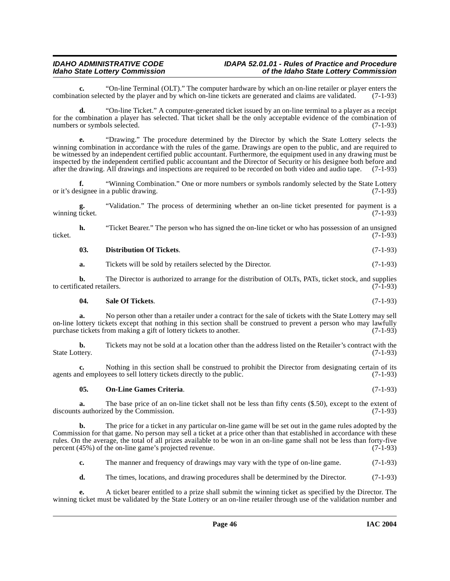**c.** "On-line Terminal (OLT)." The computer hardware by which an on-line retailer or player enters the tion selected by the player and by which on-line tickets are generated and claims are validated. (7-1-93) combination selected by the player and by which on-line tickets are generated and claims are validated.

**d.** "On-line Ticket." A computer-generated ticket issued by an on-line terminal to a player as a receipt for the combination a player has selected. That ticket shall be the only acceptable evidence of the combination of numbers or symbols selected. (7-1-93)

**e.** "Drawing." The procedure determined by the Director by which the State Lottery selects the winning combination in accordance with the rules of the game. Drawings are open to the public, and are required to be witnessed by an independent certified public accountant. Furthermore, the equipment used in any drawing must be inspected by the independent certified public accountant and the Director of Security or his designee both before and after the drawing. All drawings and inspections are required to be recorded on both video and audio tape. (7-1-93)

**f.** "Winning Combination." One or more numbers or symbols randomly selected by the State Lottery or it's designee in a public drawing. (7-1-93)

**g.** "Validation." The process of determining whether an on-line ticket presented for payment is a winning ticket.

**h.** "Ticket Bearer." The person who has signed the on-line ticket or who has possession of an unsigned (7-1-93) ticket. (7-1-93)

| 03. | <b>Distribution Of Tickets.</b> | $(7-1-93)$ |
|-----|---------------------------------|------------|
|     |                                 |            |

**a.** Tickets will be sold by retailers selected by the Director. (7-1-93)

**b.** The Director is authorized to arrange for the distribution of OLTs, PATs, ticket stock, and supplies cated retailers. (7-1-93) to certificated retailers.

<span id="page-45-1"></span>
$$
04. \qquad \text{Sale Of Tickets.} \tag{7-1-93}
$$

**a.** No person other than a retailer under a contract for the sale of tickets with the State Lottery may sell on-line lottery tickets except that nothing in this section shall be construed to prevent a person who may lawfully purchase tickets from making a gift of lottery tickets to another. (7-1-93)

**b.** Tickets may not be sold at a location other than the address listed on the Retailer's contract with the term. (7-1-93) State Lottery.

**c.** Nothing in this section shall be construed to prohibit the Director from designating certain of its nd employees to sell lottery tickets directly to the public. (7-1-93) agents and employees to sell lottery tickets directly to the public.

### <span id="page-45-0"></span>**05. On-Line Games Criteria**. (7-1-93)

**a.** The base price of an on-line ticket shall not be less than fifty cents (\$.50), except to the extent of s authorized by the Commission. (7-1-93) discounts authorized by the Commission.

**b.** The price for a ticket in any particular on-line game will be set out in the game rules adopted by the Commission for that game. No person may sell a ticket at a price other than that established in accordance with these rules. On the average, the total of all prizes available to be won in an on-line game shall not be less than forty-five percent (45%) of the on-line game's projected revenue. percent  $(45\%)$  of the on-line game's projected revenue.

**c.** The manner and frequency of drawings may vary with the type of on-line game.  $(7-1-93)$ 

**d.** The times, locations, and drawing procedures shall be determined by the Director. (7-1-93)

**e.** A ticket bearer entitled to a prize shall submit the winning ticket as specified by the Director. The winning ticket must be validated by the State Lottery or an on-line retailer through use of the validation number and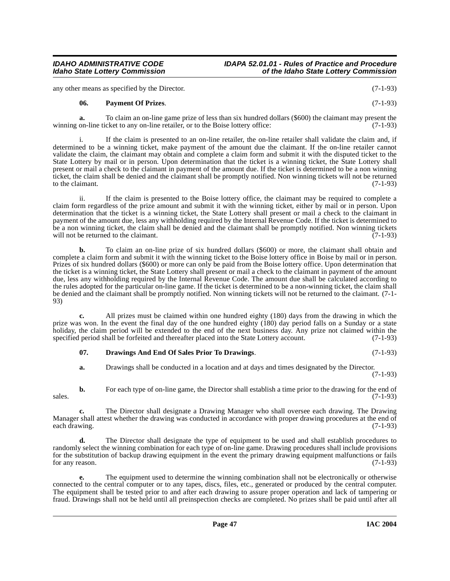any other means as specified by the Director. (7-1-93)

#### <span id="page-46-1"></span>**06. Payment Of Prizes**. (7-1-93)

**a.** To claim an on-line game prize of less than six hundred dollars (\$600) the claimant may present the winning on-line ticket to any on-line retailer, or to the Boise lottery office: (7-1-93)

i. If the claim is presented to an on-line retailer, the on-line retailer shall validate the claim and, if determined to be a winning ticket, make payment of the amount due the claimant. If the on-line retailer cannot validate the claim, the claimant may obtain and complete a claim form and submit it with the disputed ticket to the State Lottery by mail or in person. Upon determination that the ticket is a winning ticket, the State Lottery shall present or mail a check to the claimant in payment of the amount due. If the ticket is determined to be a non winning ticket, the claim shall be denied and the claimant shall be promptly notified. Non winning tickets will not be returned to the claimant.  $(7-1-93)$ 

ii. If the claim is presented to the Boise lottery office, the claimant may be required to complete a claim form regardless of the prize amount and submit it with the winning ticket, either by mail or in person. Upon determination that the ticket is a winning ticket, the State Lottery shall present or mail a check to the claimant in payment of the amount due, less any withholding required by the Internal Revenue Code. If the ticket is determined to be a non winning ticket, the claim shall be denied and the claimant shall be promptly notified. Non winning tickets will not be returned to the claimant. will not be returned to the claimant.

**b.** To claim an on-line prize of six hundred dollars (\$600) or more, the claimant shall obtain and complete a claim form and submit it with the winning ticket to the Boise lottery office in Boise by mail or in person. Prizes of six hundred dollars (\$600) or more can only be paid from the Boise lottery office. Upon determination that the ticket is a winning ticket, the State Lottery shall present or mail a check to the claimant in payment of the amount due, less any withholding required by the Internal Revenue Code. The amount due shall be calculated according to the rules adopted for the particular on-line game. If the ticket is determined to be a non-winning ticket, the claim shall be denied and the claimant shall be promptly notified. Non winning tickets will not be returned to the claimant. (7-1- 93)

**c.** All prizes must be claimed within one hundred eighty (180) days from the drawing in which the prize was won. In the event the final day of the one hundred eighty (180) day period falls on a Sunday or a state holiday, the claim period will be extended to the end of the next business day. Any prize not claimed within the specified period shall be forfeited and thereafter placed into the State Lottery account. (7-1-93) specified period shall be forfeited and thereafter placed into the State Lottery account.

### <span id="page-46-0"></span>**07. Drawings And End Of Sales Prior To Drawings**. (7-1-93)

**a.** Drawings shall be conducted in a location and at days and times designated by the Director. (7-1-93)

**b.** For each type of on-line game, the Director shall establish a time prior to the drawing for the end of  $s$ sales. (7-1-93)

**c.** The Director shall designate a Drawing Manager who shall oversee each drawing. The Drawing Manager shall attest whether the drawing was conducted in accordance with proper drawing procedures at the end of each drawing. (7-1-93)

**d.** The Director shall designate the type of equipment to be used and shall establish procedures to randomly select the winning combination for each type of on-line game. Drawing procedures shall include provisions for the substitution of backup drawing equipment in the event the primary drawing equipment malfunctions or fails for any reason.  $(7-1-93)$ 

**e.** The equipment used to determine the winning combination shall not be electronically or otherwise connected to the central computer or to any tapes, discs, files, etc., generated or produced by the central computer. The equipment shall be tested prior to and after each drawing to assure proper operation and lack of tampering or fraud. Drawings shall not be held until all preinspection checks are completed. No prizes shall be paid until after all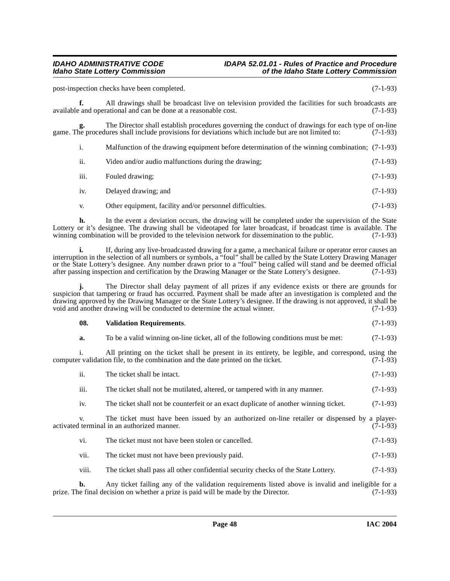#### **IDAHO ADMINISTRATIVE CODE IDAPA 52.01.01 - Rules of Practice and Procedure<br>Idaho State Lottery Commission** of the Idaho State Lottery Commission **Idaho State Lottery Commission of the Idaho State Lottery Commission**

post-inspection checks have been completed. (7-1-93)

**f.** All drawings shall be broadcast live on television provided the facilities for such broadcasts are available and operational and can be done at a reasonable cost. (7-1-93)

The Director shall establish procedures governing the conduct of drawings for each type of on-line lures shall include provisions for deviations which include but are not limited to: (7-1-93) game. The procedures shall include provisions for deviations which include but are not limited to:

| Malfunction of the drawing equipment before determination of the winning combination; (7-1-93) |  |  |
|------------------------------------------------------------------------------------------------|--|--|
|                                                                                                |  |  |

- ii. Video and/or audio malfunctions during the drawing; (7-1-93)
- iii. Fouled drawing; (7-1-93)
- iv. Delayed drawing; and (7-1-93)
- v. Other equipment, facility and/or personnel difficulties. (7-1-93)

**h.** In the event a deviation occurs, the drawing will be completed under the supervision of the State Lottery or it's designee. The drawing shall be videotaped for later broadcast, if broadcast time is available. The winning combination will be provided to the television network for dissemination to the public. (7-1-93) winning combination will be provided to the television network for dissemination to the public.

**i.** If, during any live-broadcasted drawing for a game, a mechanical failure or operator error causes an interruption in the selection of all numbers or symbols, a "foul" shall be called by the State Lottery Drawing Manager or the State Lottery's designee. Any number drawn prior to a "foul" being called will stand and be deemed official<br>after passing inspection and certification by the Drawing Manager or the State Lottery's designee. (7-1-93) after passing inspection and certification by the Drawing Manager or the State Lottery's designee.

**j.** The Director shall delay payment of all prizes if any evidence exists or there are grounds for suspicion that tampering or fraud has occurred. Payment shall be made after an investigation is completed and the drawing approved by the Drawing Manager or the State Lottery's designee. If the drawing is not approved, it shall be void and another drawing will be conducted to determine the actual winner. (7-1-93) void and another drawing will be conducted to determine the actual winner.

#### <span id="page-47-0"></span>**08. Validation Requirements**. (7-1-93)

**a.** To be a valid winning on-line ticket, all of the following conditions must be met:  $(7-1-93)$ 

i. All printing on the ticket shall be present in its entirety, be legible, and correspond, using the computer validation file, to the combination and the date printed on the ticket.  $(7-\tilde{1}-93)$ 

- ii. The ticket shall be intact. (7-1-93)
- iii. The ticket shall not be mutilated, altered, or tampered with in any manner. (7-1-93)

iv. The ticket shall not be counterfeit or an exact duplicate of another winning ticket. (7-1-93)

v. The ticket must have been issued by an authorized on-line retailer or dispensed by a playeractivated terminal in an authorized manner. (7-1-93)

- vi. The ticket must not have been stolen or cancelled. (7-1-93)
- vii. The ticket must not have been previously paid. (7-1-93)
- viii. The ticket shall pass all other confidential security checks of the State Lottery. (7-1-93)

**b.** Any ticket failing any of the validation requirements listed above is invalid and ineligible for a ne final decision on whether a prize is paid will be made by the Director. (7-1-93) prize. The final decision on whether a prize is paid will be made by the Director.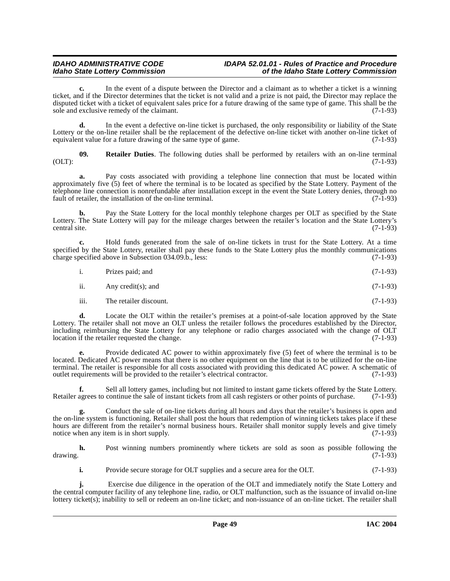**c.** In the event of a dispute between the Director and a claimant as to whether a ticket is a winning ticket, and if the Director determines that the ticket is not valid and a prize is not paid, the Director may replace the disputed ticket with a ticket of equivalent sales price for a future drawing of the same type of game. This shall be the sole and exclusive remedy of the claimant. (7-1-93)

**d.** In the event a defective on-line ticket is purchased, the only responsibility or liability of the State Lottery or the on-line retailer shall be the replacement of the defective on-line ticket with another on-line ticket of equivalent value for a future drawing of the same type of game. (7-1-93)

<span id="page-48-0"></span>**09. Retailer Duties**. The following duties shall be performed by retailers with an on-line terminal  $(OLT):$  (0.1) (1-93)

**a.** Pay costs associated with providing a telephone line connection that must be located within approximately five (5) feet of where the terminal is to be located as specified by the State Lottery. Payment of the telephone line connection is nonrefundable after installation except in the event the State Lottery denies, through no fault of retailer, the installation of the on-line terminal. (7-1-93) fault of retailer, the installation of the on-line terminal.

**b.** Pay the State Lottery for the local monthly telephone charges per OLT as specified by the State Lottery. The State Lottery will pay for the mileage charges between the retailer's location and the State Lottery's central site. (7-1-93)

**c.** Hold funds generated from the sale of on-line tickets in trust for the State Lottery. At a time specified by the State Lottery, retailer shall pay these funds to the State Lottery plus the monthly communications charge specified above in Subsection 034.09.b., less: (7-1-93) charge specified above in Subsection 034.09.b., less:

| $\mathbf{i}$ . | Prizes paid; and | $(7-1-93)$ |
|----------------|------------------|------------|

- ii. Any credit(s); and  $(7-1-93)$
- iii. The retailer discount. (7-1-93)

**d.** Locate the OLT within the retailer's premises at a point-of-sale location approved by the State Lottery. The retailer shall not move an OLT unless the retailer follows the procedures established by the Director, including reimbursing the State Lottery for any telephone or radio charges associated with the change of OLT location if the retailer requested the change. location if the retailer requested the change.

**e.** Provide dedicated AC power to within approximately five (5) feet of where the terminal is to be located. Dedicated AC power means that there is no other equipment on the line that is to be utilized for the on-line terminal. The retailer is responsible for all costs associated with providing this dedicated AC power. A schematic of outlet requirements will be provided to the retailer's electrical contractor. (7-1-93) outlet requirements will be provided to the retailer's electrical contractor.

**f.** Sell all lottery games, including but not limited to instant game tickets offered by the State Lottery. Retailer agrees to continue the sale of instant tickets from all cash registers or other points of purchase. (7-1-93)

**g.** Conduct the sale of on-line tickets during all hours and days that the retailer's business is open and the on-line system is functioning. Retailer shall post the hours that redemption of winning tickets takes place if these hours are different from the retailer's normal business hours. Retailer shall monitor supply levels and give timely notice when any item is in short supply. (7-1-93)

**h.** Post winning numbers prominently where tickets are sold as soon as possible following the (7-1-93) drawing. (7-1-93)

**i.** Provide secure storage for OLT supplies and a secure area for the OLT. (7-1-93)

**j.** Exercise due diligence in the operation of the OLT and immediately notify the State Lottery and the central computer facility of any telephone line, radio, or OLT malfunction, such as the issuance of invalid on-line lottery ticket(s); inability to sell or redeem an on-line ticket; and non-issuance of an on-line ticket. The retailer shall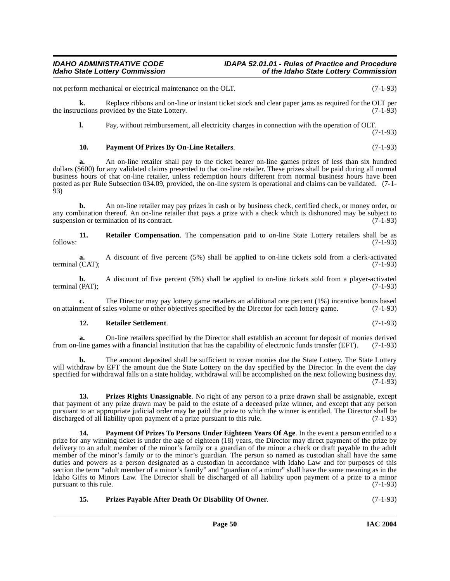not perform mechanical or electrical maintenance on the OLT. (7-1-93)

**k.** Replace ribbons and on-line or instant ticket stock and clear paper jams as required for the OLT per the instructions provided by the State Lottery.  $(7-1-93)$ 

**l.** Pay, without reimbursement, all electricity charges in connection with the operation of OLT.

(7-1-93)

#### <span id="page-49-0"></span>**10. Payment Of Prizes By On-Line Retailers**. (7-1-93)

**a.** An on-line retailer shall pay to the ticket bearer on-line games prizes of less than six hundred dollars (\$600) for any validated claims presented to that on-line retailer. These prizes shall be paid during all normal business hours of that on-line retailer, unless redemption hours different from normal business hours have been posted as per Rule Subsection 034.09, provided, the on-line system is operational and claims can be validated. (7-1- 93)

**b.** An on-line retailer may pay prizes in cash or by business check, certified check, or money order, or any combination thereof. An on-line retailer that pays a prize with a check which is dishonored may be subject to suspension or termination of its contract. (7-1-93)

<span id="page-49-4"></span>**11. Retailer Compensation**. The compensation paid to on-line State Lottery retailers shall be as (7-1-93) follows: (7-1-93)

**a.** A discount of five percent (5%) shall be applied to on-line tickets sold from a clerk-activated terminal  $(CAT)$ ; (7-1-93)

**b.** A discount of five percent (5%) shall be applied to on-line tickets sold from a player-activated (PAT); (7-1-93) terminal (PAT);

**c.** The Director may pay lottery game retailers an additional one percent (1%) incentive bonus based ment of sales volume or other objectives specified by the Director for each lottery game. (7-1-93) on attainment of sales volume or other objectives specified by the Director for each lottery game.

#### **12. Retailer Settlement**. (7-1-93)

**a.** On-line retailers specified by the Director shall establish an account for deposit of monies derived line games with a financial institution that has the capability of electronic funds transfer (EFT). (7-1-93) from on-line games with a financial institution that has the capability of electronic funds transfer (EFT).

**b.** The amount deposited shall be sufficient to cover monies due the State Lottery. The State Lottery will withdraw by EFT the amount due the State Lottery on the day specified by the Director. In the event the day specified for withdrawal falls on a state holiday, withdrawal will be accomplished on the next following business day.  $(7-1-93)$ 

<span id="page-49-3"></span>**13. Prizes Rights Unassignable**. No right of any person to a prize drawn shall be assignable, except that payment of any prize drawn may be paid to the estate of a deceased prize winner, and except that any person pursuant to an appropriate judicial order may be paid the prize to which the winner is entitled. The Director shall be discharged of all liability upon payment of a prize pursuant to this rule. (7-1-93) discharged of all liability upon payment of a prize pursuant to this rule.

<span id="page-49-1"></span>**Payment Of Prizes To Persons Under Eighteen Years Of Age.** In the event a person entitled to a prize for any winning ticket is under the age of eighteen (18) years, the Director may direct payment of the prize by delivery to an adult member of the minor's family or a guardian of the minor a check or draft payable to the adult member of the minor's family or to the minor's guardian. The person so named as custodian shall have the same duties and powers as a person designated as a custodian in accordance with Idaho Law and for purposes of this section the term "adult member of a minor's family" and "guardian of a minor" shall have the same meaning as in the Idaho Gifts to Minors Law. The Director shall be discharged of all liability upon payment of a prize to a minor pursuant to this rule.

### <span id="page-49-2"></span>**15. Prizes Payable After Death Or Disability Of Owner**. (7-1-93)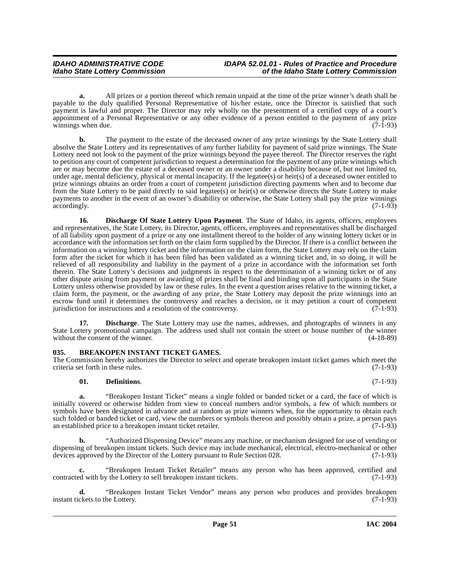**a.** All prizes or a portion thereof which remain unpaid at the time of the prize winner's death shall be payable to the duly qualified Personal Representative of his/her estate, once the Director is satisfied that such payment is lawful and proper. The Director may rely wholly on the presentment of a certified copy of a court's appointment of a Personal Representative or any other evidence of a person entitled to the payment of any prize winnings when due. (7-1-93)

**b.** The payment to the estate of the deceased owner of any prize winnings by the State Lottery shall absolve the State Lottery and its representatives of any further liability for payment of said prize winnings. The State Lottery need not look to the payment of the prize winnings beyond the payee thereof. The Director reserves the right to petition any court of competent jurisdiction to request a determination for the payment of any prize winnings which are or may become due the estate of a deceased owner or an owner under a disability because of, but not limited to, under age, mental deficiency, physical or mental incapacity. If the legatee(s) or heir(s) of a deceased owner entitled to prize winnings obtains an order from a court of competent jurisdiction directing payments when and to become due from the State Lottery to be paid directly to said legatee(s) or heir(s) or otherwise directs the State Lottery to make payments to another in the event of an owner's disability or otherwise, the State Lottery shall pay the prize winnings accordingly. (7-1-93) accordingly. (7-1-93)

<span id="page-50-2"></span>**16. Discharge Of State Lottery Upon Payment**. The State of Idaho, its agents, officers, employees and representatives, the State Lottery, its Director, agents, officers, employees and representatives shall be discharged of all liability upon payment of a prize or any one installment thereof to the holder of any winning lottery ticket or in accordance with the information set forth on the claim form supplied by the Director. If there is a conflict between the information on a winning lottery ticket and the information on the claim form, the State Lottery may rely on the claim form after the ticket for which it has been filed has been validated as a winning ticket and, in so doing, it will be relieved of all responsibility and liability in the payment of a prize in accordance with the information set forth therein. The State Lottery's decisions and judgments in respect to the determination of a winning ticket or of any other dispute arising from payment or awarding of prizes shall be final and binding upon all participants in the State Lottery unless otherwise provided by law or these rules. In the event a question arises relative to the winning ticket, a claim form, the payment, or the awarding of any prize, the State Lottery may deposit the prize winnings into an escrow fund until it determines the controversy and reaches a decision, or it may petition a court of competent jurisdiction for instructions and a resolution of the controversy. (7-1-93) jurisdiction for instructions and a resolution of the controversy.

**17. Discharge**. The State Lottery may use the names, addresses, and photographs of winners in any State Lottery promotional campaign. The address used shall not contain the street or house number of the winner without the consent of the winner. (4-18-89) without the consent of the winner.

### <span id="page-50-1"></span><span id="page-50-0"></span>**035. BREAKOPEN INSTANT TICKET GAMES.**

The Commission hereby authorizes the Director to select and operate breakopen instant ticket games which meet the criteria set forth in these rules. (7-1-93)

### **01. Definitions**. (7-1-93)

**a.** "Breakopen Instant Ticket" means a single folded or banded ticket or a card, the face of which is initially covered or otherwise hidden from view to conceal numbers and/or symbols, a few of which numbers or symbols have been designated in advance and at random as prize winners when, for the opportunity to obtain each such folded or banded ticket or card, view the numbers or symbols thereon and possibly obtain a prize, a person pays an established price to a breakopen instant ticket retailer. (7-1-93)

**b.** "Authorized Dispensing Device" means any machine, or mechanism designed for use of vending or dispensing of breakopen instant tickets. Such device may include mechanical, electrical, electro-mechanical or other<br>devices approved by the Director of the Lottery pursuant to Rule Section 028. (7-1-93) devices approved by the Director of the Lottery pursuant to Rule Section 028.

**c.** "Breakopen Instant Ticket Retailer" means any person who has been approved, certified and d with by the Lottery to sell breakopen instant tickets. (7-1-93) contracted with by the Lottery to sell breakopen instant tickets.

**d.** "Breakopen Instant Ticket Vendor" means any person who produces and provides breakopen ckets to the Lottery. (7-1-93) instant tickets to the Lottery.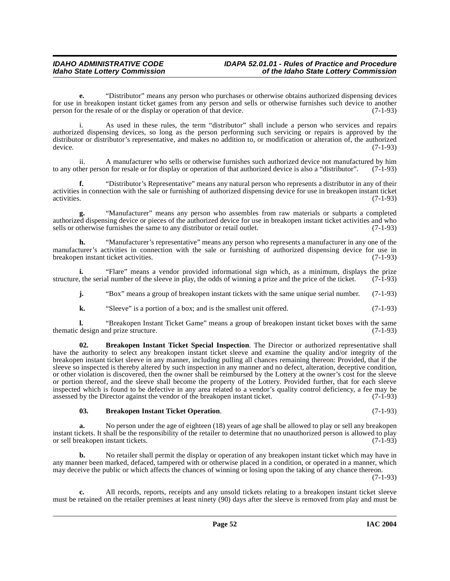### **IDAHO ADMINISTRATIVE CODE IDAPA 52.01.01 - Rules of Practice and Procedure<br>Idaho State Lottery Commission in the Idaho State Lottery Commission Idaho State Lottery Commission of the Idaho State Lottery Commission**

**e.** "Distributor" means any person who purchases or otherwise obtains authorized dispensing devices for use in breakopen instant ticket games from any person and sells or otherwise furnishes such device to another person for the resale of or the display or operation of that device. (7-1-93) person for the resale of or the display or operation of that device.

As used in these rules, the term "distributor" shall include a person who services and repairs authorized dispensing devices, so long as the person performing such servicing or repairs is approved by the distributor or distributor's representative, and makes no addition to, or modification or alteration of, the authorized device. device. (7-1-93)

ii. A manufacturer who sells or otherwise furnishes such authorized device not manufactured by him<br>her person for resale or for display or operation of that authorized device is also a "distributor". (7-1-93) to any other person for resale or for display or operation of that authorized device is also a "distributor".

**f.** "Distributor's Representative" means any natural person who represents a distributor in any of their activities in connection with the sale or furnishing of authorized dispensing device for use in breakopen instant ticket activities. (7-1-93)

**g.** "Manufacturer" means any person who assembles from raw materials or subparts a completed authorized dispensing device or pieces of the authorized device for use in breakopen instant ticket activities and who sells or otherwise furnishes the same to any distributor or retail outlet. (7-1-93)

**h.** "Manufacturer's representative" means any person who represents a manufacturer in any one of the manufacturer's activities in connection with the sale or furnishing of authorized dispensing device for use in<br>breakopen instant ticket activities. (7-1-93) breakopen instant ticket activities.

**i.** "Flare" means a vendor provided informational sign which, as a minimum, displays the prize  $\alpha$ , the serial number of the sleeve in play, the odds of winning a prize and the price of the ticket. (7-1-93) structure, the serial number of the sleeve in play, the odds of winning a prize and the price of the ticket.

**j.** "Box" means a group of breakopen instant tickets with the same unique serial number. (7-1-93)

<span id="page-51-1"></span>**k.** "Sleeve" is a portion of a box; and is the smallest unit offered.  $(7-1-93)$ 

**l.** "Breakopen Instant Ticket Game" means a group of breakopen instant ticket boxes with the same thematic design and prize structure. (7-1-93)

**02. Breakopen Instant Ticket Special Inspection**. The Director or authorized representative shall have the authority to select any breakopen instant ticket sleeve and examine the quality and/or integrity of the breakopen instant ticket sleeve in any manner, including pulling all chances remaining thereon: Provided, that if the sleeve so inspected is thereby altered by such inspection in any manner and no defect, alteration, deceptive condition, or other violation is discovered, then the owner shall be reimbursed by the Lottery at the owner's cost for the sleeve or portion thereof, and the sleeve shall become the property of the Lottery. Provided further, that for each sleeve inspected which is found to be defective in any area related to a vendor's quality control deficiency, a fee may be assessed by the Director against the vendor of the breakopen instant ticket. (7-1-93)

### <span id="page-51-0"></span>**03. Breakopen Instant Ticket Operation**. (7-1-93)

**a.** No person under the age of eighteen (18) years of age shall be allowed to play or sell any breakopen instant tickets. It shall be the responsibility of the retailer to determine that no unauthorized person is allowed to play or sell breakopen instant tickets.

**b.** No retailer shall permit the display or operation of any breakopen instant ticket which may have in any manner been marked, defaced, tampered with or otherwise placed in a condition, or operated in a manner, which may deceive the public or which affects the chances of winning or losing upon the taking of any chance thereon.

(7-1-93)

**c.** All records, reports, receipts and any unsold tickets relating to a breakopen instant ticket sleeve must be retained on the retailer premises at least ninety (90) days after the sleeve is removed from play and must be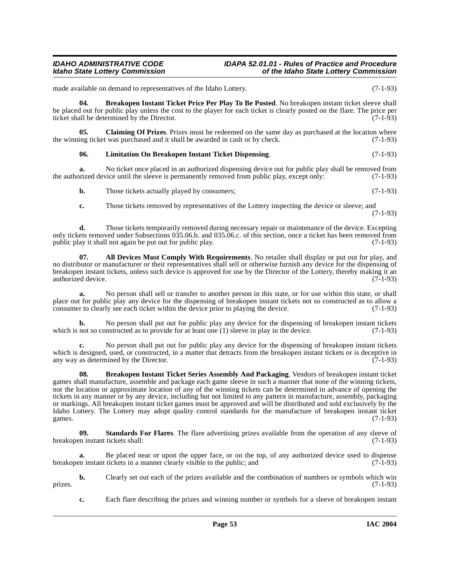made available on demand to representatives of the Idaho Lottery. (7-1-93)

<span id="page-52-1"></span>**04. Breakopen Instant Ticket Price Per Play To Be Posted**. No breakopen instant ticket sleeve shall be placed out for public play unless the cost to the player for each ticket is clearly posted on the flare. The price per ticket shall be determined by the Director. (7-1-93)

**05.** Claiming Of Prizes. Prizes must be redeemed on the same day as purchased at the location where ing ticket was purchased and it shall be awarded in cash or by check. (7-1-93) the winning ticket was purchased and it shall be awarded in cash or by check.

#### <span id="page-52-4"></span><span id="page-52-3"></span>**06. Limitation On Breakopen Instant Ticket Dispensing**. (7-1-93)

**a.** No ticket once placed in an authorized dispensing device out for public play shall be removed from public play shall be removed from public play. except only: (7-1-93) the authorized device until the sleeve is permanently removed from public play, except only:

- **b.** Those tickets actually played by consumers; (7-1-93)
- <span id="page-52-0"></span>**c.** Those tickets removed by representatives of the Lottery inspecting the device or sleeve; and (7-1-93)

**d.** Those tickets temporarily removed during necessary repair or maintenance of the device. Excepting only tickets removed under Subsections 035.06.b. and 035.06.c. of this section, once a ticket has been removed from public play it shall not again be put out for public play. public play it shall not again be put out for public play.

**07. All Devices Must Comply With Requirements**. No retailer shall display or put out for play, and no distributor or manufacturer or their representatives shall sell or otherwise furnish any device for the dispensing of breakopen instant tickets, unless such device is approved for use by the Director of the Lottery, thereby making it an authorized device. (7-1-93) authorized device.

**a.** No person shall sell or transfer to another person in this state, or for use within this state, or shall place out for public play any device for the dispensing of breakopen instant tickets not so constructed as to allow a consumer to clearly see each ticket within the device prior to playing the device. (7-1-93) consumer to clearly see each ticket within the device prior to playing the device.

**b.** No person shall put out for public play any device for the dispensing of breakopen instant tickets which is not so constructed as to provide for at least one (1) sleeve in play in the device. (7-1-93)

**c.** No person shall put out for public play any device for the dispensing of breakopen instant tickets which is designed, used, or constructed, in a matter that detracts from the breakopen instant tickets or is deceptive in any way as determined by the Director. (7-1-93)

<span id="page-52-2"></span>**08. Breakopen Instant Ticket Series Assembly And Packaging**. Vendors of breakopen instant ticket games shall manufacture, assemble and package each game sleeve in such a manner that none of the winning tickets, nor the location or approximate location of any of the winning tickets can be determined in advance of opening the tickets in any manner or by any device, including but not limited to any pattern in manufacture, assembly, packaging or markings. All breakopen instant ticket games must be approved and will be distributed and sold exclusively by the Idaho Lottery. The Lottery may adopt quality control standards for the manufacture of breakopen instant ticket games. (7-1-93) games.  $(7-1-93)$ 

**09. Standards For Flares**. The flare advertising prizes available from the operation of any sleeve of breakopen instant tickets shall: (7-1-93)

**a.** Be placed near or upon the upper face, or on the top, of any authorized device used to dispense breakopen instant tickets in a manner clearly visible to the public; and (7-1-93)

**b.** Clearly set out each of the prizes available and the combination of numbers or symbols which win (7-1-93) prizes.  $(7-1-93)$ 

**c.** Each flare describing the prizes and winning number or symbols for a sleeve of breakopen instant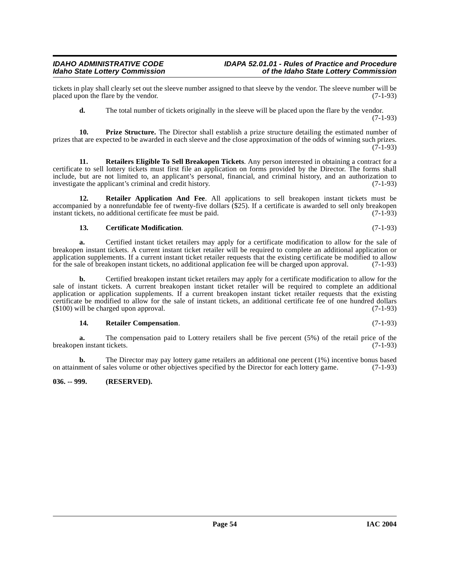tickets in play shall clearly set out the sleeve number assigned to that sleeve by the vendor. The sleeve number will be placed upon the flare by the vendor. (7-1-93) placed upon the flare by the vendor.

<span id="page-53-5"></span><span id="page-53-2"></span>**d.** The total number of tickets originally in the sleeve will be placed upon the flare by the vendor. (7-1-93)

**10. Prize Structure.** The Director shall establish a prize structure detailing the estimated number of prizes that are expected to be awarded in each sleeve and the close approximation of the odds of winning such prizes.  $(7-1-93)$ 

**11. Retailers Eligible To Sell Breakopen Tickets**. Any person interested in obtaining a contract for a certificate to sell lottery tickets must first file an application on forms provided by the Director. The forms shall include, but are not limited to, an applicant's personal, financial, and criminal history, and an authorization to investigate the applicant's criminal and credit history. (7-1-93)

**12. Retailer Application And Fee**. All applications to sell breakopen instant tickets must be accompanied by a nonrefundable fee of twenty-five dollars (\$25). If a certificate is awarded to sell only breakopen instant tickets, no additional certificate fee must be paid.  $(7-1-93)$ instant tickets, no additional certificate fee must be paid.

### <span id="page-53-3"></span><span id="page-53-1"></span>**13. Certificate Modification**. (7-1-93)

**a.** Certified instant ticket retailers may apply for a certificate modification to allow for the sale of breakopen instant tickets. A current instant ticket retailer will be required to complete an additional application or application supplements. If a current instant ticket retailer requests that the existing certificate be modified to allow for the sale of breakopen instant tickets, no additional application fee will be charged upon approval. (7-1-93)

**b.** Certified breakopen instant ticket retailers may apply for a certificate modification to allow for the sale of instant tickets. A current breakopen instant ticket retailer will be required to complete an additional application or application supplements. If a current breakopen instant ticket retailer requests that the existing certificate be modified to allow for the sale of instant tickets, an additional certificate fee of one hundred dollars  $(5100)$  will be charged upon approval.  $($100)$  will be charged upon approval.

### <span id="page-53-4"></span>**14. Retailer Compensation**. (7-1-93)

**a.** The compensation paid to Lottery retailers shall be five percent (5%) of the retail price of the retail rickets. (7-1-93) breakopen instant tickets.

**b.** The Director may pay lottery game retailers an additional one percent (1%) incentive bonus based on attainment of sales volume or other objectives specified by the Director for each lottery game. (7-1-93)

### <span id="page-53-0"></span>**036. -- 999. (RESERVED).**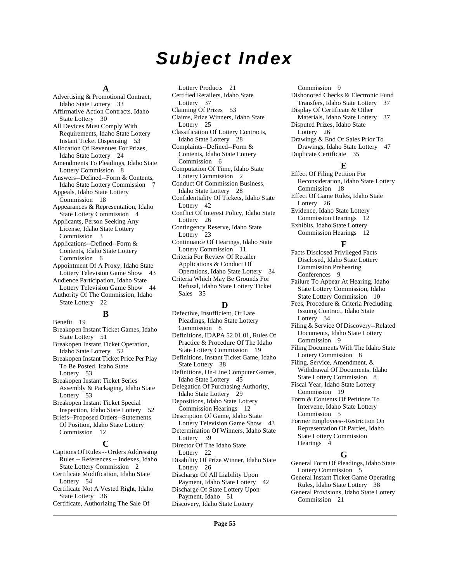## **Subject Index**

#### **A**

Advertising & Promotional Contract, Idaho State Lottery [33](#page-32-0) Affirmative Action Contracts, Idaho State Lottery [30](#page-29-0) All Devices Must Comply With Requirements, Idaho State Lottery Instant Ticket Dispensing [53](#page-52-0) Allocation Of Revenues For Prizes, Idaho State Lottery [24](#page-23-0) Amendments To Pleadings, Idaho State Lottery Commission [8](#page-7-2) Answers--Defined--Form & Contents, Idaho State Lottery Commission [7](#page-6-0) Appeals, Idaho State Lottery Commission [18](#page-17-1) Appearances & Representation, Idaho State Lottery Commission [4](#page-3-2) Applicants, Person Seeking Any License, Idaho State Lottery Commission [3](#page-2-1) Applications--Defined--Form & Contents, Idaho State Lottery Commission [6](#page-5-0) Appointment Of A Proxy, Idaho State Lottery Television Game Show [43](#page-42-1) Audience Participation, Idaho State Lottery Television Game Show [44](#page-43-0) Authority Of The Commission, Idaho State Lottery [22](#page-21-0)

### **B**

Benefit [19](#page-18-1) Breakopen Instant Ticket Games, Idaho State Lottery [51](#page-50-1) Breakopen Instant Ticket Operation, Idaho State Lottery [52](#page-51-0) Breakopen Instant Ticket Price Per Play To Be Posted, Idaho State Lottery [53](#page-52-1) Breakopen Instant Ticket Series Assembly & Packaging, Idaho State Lottery [53](#page-52-2) Breakopen Instant Ticket Special Inspection, Idaho State Lottery [52](#page-51-1) Briefs--Proposed Orders--Statements Of Position, Idaho State Lottery Commission [12](#page-11-1)

### **C**

Captions Of Rules -- Orders Addressing Rules -- References -- Indexes, Idaho State Lottery Commission [2](#page-1-5) Certificate Modification, Idaho State Lottery [54](#page-53-1) Certificate Not A Vested Right, Idaho

State Lottery [36](#page-35-0) Certificate, Authorizing The Sale Of

Lottery Products [21](#page-20-1) Certified Retailers, Idaho State Lottery [37](#page-36-0) Claiming Of Prizes [53](#page-52-3) Claims, Prize Winners, Idaho State Lottery [25](#page-24-0) Classification Of Lottery Contracts, Idaho State Lottery [28](#page-27-1) Complaints--Defined--Form & Contents, Idaho State Lottery Commission [6](#page-5-1) Computation Of Time, Idaho State Lottery Commission [2](#page-1-6) Conduct Of Commission Business, Idaho State Lottery [28](#page-27-2) Confidentiality Of Tickets, Idaho State Lottery [42](#page-41-0) Conflict Of Interest Policy, Idaho State Lottery [26](#page-25-1) Contingency Reserve, Idaho State Lottery [23](#page-22-0) Continuance Of Hearings, Idaho State Lottery Commission [11](#page-10-0) Criteria For Review Of Retailer Applications & Conduct Of Operations, Idaho State Lottery [34](#page-33-1)

Criteria Which May Be Grounds For Refusal, Idaho State Lottery Ticket Sales [35](#page-34-0)

### **D**

Defective, Insufficient, Or Late Pleadings, Idaho State Lottery Commission [8](#page-7-3) Definitions, IDAPA 52.01.01, Rules Of Practice & Procedure Of The Idaho State Lottery Commission [19](#page-18-2)

Definitions, Instant Ticket Game, Idaho State Lottery [38](#page-37-1)

Definitions, On-Line Computer Games, Idaho State Lottery [45](#page-44-1)

Delegation Of Purchasing Authority, Idaho State Lottery [29](#page-28-0)

Depositions, Idaho State Lottery Commission Hearings [12](#page-11-2)

Description Of Game, Idaho State Lottery Television Game Show [43](#page-42-2)

Determination Of Winners, Idaho State Lottery [39](#page-38-0)

Director Of The Idaho State Lottery [22](#page-21-1)

Disability Of Prize Winner, Idaho State Lottery [26](#page-25-2)

Discharge Of All Liability Upon Payment, Idaho State Lottery [42](#page-41-1) Discharge Of State Lottery Upon Payment, Idaho [51](#page-50-2)

Discovery, Idaho State Lottery

Commission [9](#page-8-2) Dishonored Checks & Electronic Fund Transfers, Idaho State Lottery [37](#page-36-1) Display Of Certificate & Other Materials, Idaho State Lottery [37](#page-36-2) Disputed Prizes, Idaho State Lottery [26](#page-25-3)

Drawings & End Of Sales Prior To Drawings, Idaho State Lottery [47](#page-46-0) Duplicate Certificate [35](#page-34-1)

#### **E**

Effect Of Filing Petition For Reconsideration, Idaho State Lottery Commission [18](#page-17-2)

Effect Of Game Rules, Idaho State Lottery [26](#page-25-4)

Evidence, Idaho State Lottery Commission Hearings [12](#page-11-3) Exhibits, Idaho State Lottery

Commission Hearings [12](#page-11-4)

### **F**

Facts Disclosed Privileged Facts Disclosed, Idaho State Lottery Commission Prehearing Conferences [9](#page-8-3) Failure To Appear At Hearing, Idaho State Lottery Commission, Idaho State Lottery Commission [10](#page-9-0) Fees, Procedure & Criteria Precluding Issuing Contract, Idaho State Lottery [34](#page-33-2) Filing & Service Of Discovery--Related Documents, Idaho State Lottery Commission [9](#page-8-4) Filing Documents With The Idaho State

Lottery Commission [8](#page-7-4)

Filing, Service, Amendment, & Withdrawal Of Documents, Idaho State Lottery Commission [8](#page-7-5)

Fiscal Year, Idaho State Lottery Commission [19](#page-18-3)

Form & Contents Of Petitions To Intervene, Idaho State Lottery Commission [5](#page-4-1)

Former Employees--Restriction On Representation Of Parties, Idaho State Lottery Commission Hearings [4](#page-3-3)

### **G**

General Form Of Pleadings, Idaho State Lottery Commission [5](#page-4-2) General Instant Ticket Game Operating Rules, Idaho State Lottery [38](#page-37-2) General Provisions, Idaho State Lottery Commission [21](#page-20-2)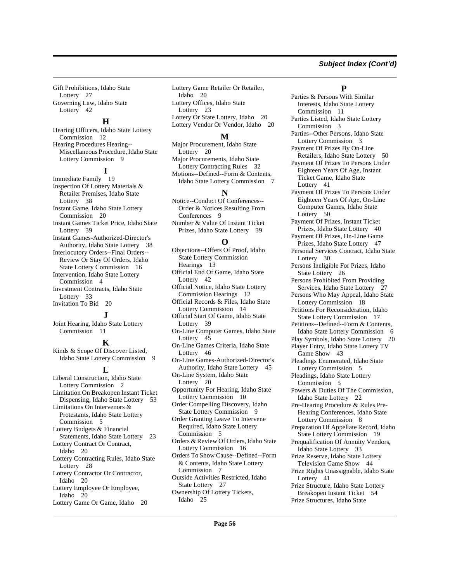#### **Subject Index (Cont'd)**

Gift Prohibitions, Idaho State Lottery [27](#page-26-0) Governing Law, Idaho State Lottery [42](#page-41-2)

#### **H**

Hearing Officers, Idaho State Lottery Commission [12](#page-11-5) Hearing Procedures Hearing-- Miscellaneous Procedure, Idaho State Lottery Commission [9](#page-8-5)

#### **I**

Immediate Family [19](#page-18-4) Inspection Of Lottery Materials & Retailer Premises, Idaho State Lottery [38](#page-37-3) Instant Game, Idaho State Lottery Commission [20](#page-19-0) Instant Games Ticket Price, Idaho State Lottery [39](#page-38-1) Instant Games-Authorized-Director's Authority, Idaho State Lottery [38](#page-37-4) Interlocutory Orders--Final Orders-- Review Or Stay Of Orders, Idaho State Lottery Commission [16](#page-15-2) Intervention, Idaho State Lottery Commission [4](#page-3-4) Investment Contracts, Idaho State Lottery [33](#page-32-1) Invitation To Bid [20](#page-19-1)

#### **J**

Joint Hearing, Idaho State Lottery Commission [11](#page-10-1)

#### **K**

Kinds & Scope Of Discover Listed, Idaho State Lottery Commission [9](#page-8-6)

#### **L**

Liberal Construction, Idaho State Lottery Commission [2](#page-1-7) Limitation On Breakopen Instant Ticket Dispensing, Idaho State Lottery [53](#page-52-4) Limitations On Intervenors & Protestants, Idaho State Lottery Commission [5](#page-4-3) Lottery Budgets & Financial Statements, Idaho State Lottery [23](#page-22-1) Lottery Contract Or Contract, Idaho [20](#page-19-2) Lottery Contracting Rules, Idaho State Lottery [28](#page-27-3) Lottery Contractor Or Contractor, Idaho [20](#page-19-3) Lottery Employee Or Employee, Idaho [20](#page-19-4) Lottery Game Or Game, Idaho [20](#page-19-5)

Lottery Game Retailer Or Retailer, Idaho [20](#page-19-6) Lottery Offices, Idaho State Lottery [23](#page-22-2) Lottery Or State Lottery, Idaho [20](#page-19-7) Lottery Vendor Or Vendor, Idaho [20](#page-19-8)

#### **M**

Major Procurement, Idaho State Lottery [20](#page-19-9) Major Procurements, Idaho State Lottery Contracting Rules [32](#page-31-0) Motions--Defined--Form & Contents, Idaho State Lottery Commission [7](#page-6-1)

#### **N**

Notice--Conduct Of Conferences-- Order & Notices Resulting From Conferences [9](#page-8-7) Number & Value Of Instant Ticket

Prizes, Idaho State Lottery [39](#page-38-2)

### **O**

Objections--Offers Of Proof, Idaho State Lottery Commission Hearings [13](#page-12-1) Official End Of Game, Idaho State Lottery [42](#page-41-3) Official Notice, Idaho State Lottery Commission Hearings [12](#page-11-6) Official Records & Files, Idaho State Lottery Commission [14](#page-13-1) Official Start Of Game, Idaho State Lottery [39](#page-38-3) On-Line Computer Games, Idaho State Lottery [45](#page-44-2) On-Line Games Criteria, Idaho State Lottery [46](#page-45-0) On-Line Games-Authorized-Director's Authority, Idaho State Lottery [45](#page-44-3) On-Line System, Idaho State Lottery [20](#page-19-10) Opportunity For Hearing, Idaho State Lottery Commission [10](#page-9-1) Order Compelling Discovery, Idaho State Lottery Commission [9](#page-8-8) Order Granting Leave To Intervene Required, Idaho State Lottery Commission [5](#page-4-4) Orders & Review Of Orders, Idaho State Lottery Commission [16](#page-15-3) Orders To Show Cause--Defined--Form & Contents, Idaho State Lottery Commission [7](#page-6-2) Outside Activities Restricted, Idaho

State Lottery [27](#page-26-1) Ownership Of Lottery Tickets, Idaho [25](#page-24-1)

#### **P**

Parties & Persons With Similar

Interests, Idaho State Lottery Commission [11](#page-10-2) Parties Listed, Idaho State Lottery Commission [3](#page-2-2) Parties--Other Persons, Idaho State Lottery Commission [3](#page-2-3) Payment Of Prizes By On-Line Retailers, Idaho State Lottery [50](#page-49-0) Payment Of Prizes To Persons Under Eighteen Years Of Age, Instant Ticket Game, Idaho State Lottery [41](#page-40-0) Payment Of Prizes To Persons Under Eighteen Years Of Age, On-Line Computer Games, Idaho State Lottery [50](#page-49-1) Payment Of Prizes, Instant Ticket Prizes, Idaho State Lottery [40](#page-39-0) Payment Of Prizes, On-Line Game Prizes, Idaho State Lottery [47](#page-46-1) Personal Services Contract, Idaho State Lottery [30](#page-29-1) Persons Ineligible For Prizes, Idaho State Lottery [26](#page-25-5) Persons Prohibited From Providing Services, Idaho State Lottery [27](#page-26-2) Persons Who May Appeal, Idaho State Lottery Commission [18](#page-17-3) Petitions For Reconsideration, Idaho State Lottery Commission [17](#page-16-1) Petitions--Defined--Form & Contents, Idaho State Lottery Commission [6](#page-5-2) Play Symbols, Idaho State Lottery [20](#page-19-11) Player Entry, Idaho State Lottery TV Game Show [43](#page-42-3) Pleadings Enumerated, Idaho State Lottery Commission [5](#page-4-5) Pleadings, Idaho State Lottery Commission [5](#page-4-6) Powers & Duties Of The Commission, Idaho State Lottery [22](#page-21-2) Pre-Hearing Procedure & Rules Pre-Hearing Conferences, Idaho State Lottery Commission [8](#page-7-6) Preparation Of Appellate Record, Idaho State Lottery Commission [19](#page-18-5) Prequalification Of Annuity Vendors, Idaho State Lottery [33](#page-32-2) Prize Reserve, Idaho State Lottery Television Game Show [44](#page-43-1) Prize Rights Unassignable, Idaho State Lottery [41](#page-40-1) Prize Structure, Idaho State Lottery Breakopen Instant Ticket [54](#page-53-2) Prize Structures, Idaho State